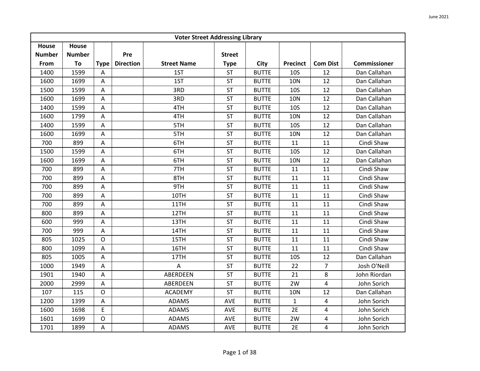| <b>Voter Street Addressing Library</b> |               |             |                  |                    |               |              |                 |                         |                     |  |  |
|----------------------------------------|---------------|-------------|------------------|--------------------|---------------|--------------|-----------------|-------------------------|---------------------|--|--|
| <b>House</b>                           | House         |             |                  |                    |               |              |                 |                         |                     |  |  |
| <b>Number</b>                          | <b>Number</b> |             | Pre              |                    | <b>Street</b> |              |                 |                         |                     |  |  |
| From                                   | To            | <b>Type</b> | <b>Direction</b> | <b>Street Name</b> | <b>Type</b>   | <b>City</b>  | <b>Precinct</b> | <b>Com Dist</b>         | <b>Commissioner</b> |  |  |
| 1400                                   | 1599          | Α           |                  | 1ST                | <b>ST</b>     | <b>BUTTE</b> | <b>10S</b>      | 12                      | Dan Callahan        |  |  |
| 1600                                   | 1699          | Α           |                  | 1ST                | <b>ST</b>     | <b>BUTTE</b> | <b>10N</b>      | 12                      | Dan Callahan        |  |  |
| 1500                                   | 1599          | A           |                  | 3RD                | <b>ST</b>     | <b>BUTTE</b> | <b>10S</b>      | 12                      | Dan Callahan        |  |  |
| 1600                                   | 1699          | Α           |                  | 3RD                | <b>ST</b>     | <b>BUTTE</b> | <b>10N</b>      | 12                      | Dan Callahan        |  |  |
| 1400                                   | 1599          | A           |                  | 4TH                | <b>ST</b>     | <b>BUTTE</b> | <b>10S</b>      | 12                      | Dan Callahan        |  |  |
| 1600                                   | 1799          | A           |                  | 4TH                | <b>ST</b>     | <b>BUTTE</b> | <b>10N</b>      | 12                      | Dan Callahan        |  |  |
| 1400                                   | 1599          | A           |                  | 5TH                | <b>ST</b>     | <b>BUTTE</b> | <b>10S</b>      | 12                      | Dan Callahan        |  |  |
| 1600                                   | 1699          | Α           |                  | 5TH                | <b>ST</b>     | <b>BUTTE</b> | <b>10N</b>      | 12                      | Dan Callahan        |  |  |
| 700                                    | 899           | A           |                  | 6TH                | <b>ST</b>     | <b>BUTTE</b> | 11              | 11                      | Cindi Shaw          |  |  |
| 1500                                   | 1599          | Α           |                  | 6TH                | <b>ST</b>     | <b>BUTTE</b> | 10 <sub>S</sub> | 12                      | Dan Callahan        |  |  |
| 1600                                   | 1699          | A           |                  | 6TH                | <b>ST</b>     | <b>BUTTE</b> | <b>10N</b>      | 12                      | Dan Callahan        |  |  |
| 700                                    | 899           | Α           |                  | 7TH                | <b>ST</b>     | <b>BUTTE</b> | 11              | 11                      | Cindi Shaw          |  |  |
| 700                                    | 899           | A           |                  | 8TH                | <b>ST</b>     | <b>BUTTE</b> | 11              | 11                      | Cindi Shaw          |  |  |
| 700                                    | 899           | A           |                  | 9TH                | <b>ST</b>     | <b>BUTTE</b> | 11              | 11                      | Cindi Shaw          |  |  |
| 700                                    | 899           | Α           |                  | 10TH               | <b>ST</b>     | <b>BUTTE</b> | 11              | 11                      | Cindi Shaw          |  |  |
| 700                                    | 899           | Α           |                  | 11TH               | <b>ST</b>     | <b>BUTTE</b> | 11              | 11                      | Cindi Shaw          |  |  |
| 800                                    | 899           | A           |                  | 12TH               | <b>ST</b>     | <b>BUTTE</b> | 11              | 11                      | Cindi Shaw          |  |  |
| 600                                    | 999           | Α           |                  | 13TH               | <b>ST</b>     | <b>BUTTE</b> | 11              | 11                      | Cindi Shaw          |  |  |
| 700                                    | 999           | A           |                  | 14TH               | <b>ST</b>     | <b>BUTTE</b> | 11              | 11                      | Cindi Shaw          |  |  |
| 805                                    | 1025          | O           |                  | 15TH               | <b>ST</b>     | <b>BUTTE</b> | 11              | 11                      | Cindi Shaw          |  |  |
| 800                                    | 1099          | A           |                  | 16TH               | <b>ST</b>     | <b>BUTTE</b> | 11              | 11                      | Cindi Shaw          |  |  |
| 805                                    | 1005          | Α           |                  | 17TH               | <b>ST</b>     | <b>BUTTE</b> | 10 <sub>S</sub> | 12                      | Dan Callahan        |  |  |
| 1000                                   | 1949          | Α           |                  | A                  | <b>ST</b>     | <b>BUTTE</b> | 22              | $\overline{7}$          | Josh O'Neill        |  |  |
| 1901                                   | 1940          | A           |                  | ABERDEEN           | <b>ST</b>     | <b>BUTTE</b> | 21              | 8                       | John Riordan        |  |  |
| 2000                                   | 2999          | A           |                  | ABERDEEN           | <b>ST</b>     | <b>BUTTE</b> | 2W              | $\overline{4}$          | John Sorich         |  |  |
| 107                                    | 115           | O           |                  | <b>ACADEMY</b>     | <b>ST</b>     | <b>BUTTE</b> | <b>10N</b>      | 12                      | Dan Callahan        |  |  |
| 1200                                   | 1399          | A           |                  | <b>ADAMS</b>       | AVE           | <b>BUTTE</b> | $\mathbf{1}$    | $\overline{4}$          | John Sorich         |  |  |
| 1600                                   | 1698          | E           |                  | <b>ADAMS</b>       | AVE           | <b>BUTTE</b> | 2E              | 4                       | John Sorich         |  |  |
| 1601                                   | 1699          | O           |                  | <b>ADAMS</b>       | AVE           | <b>BUTTE</b> | 2W              | 4                       | John Sorich         |  |  |
| 1701                                   | 1899          | A           |                  | <b>ADAMS</b>       | AVE           | <b>BUTTE</b> | 2E              | $\overline{\mathbf{4}}$ | John Sorich         |  |  |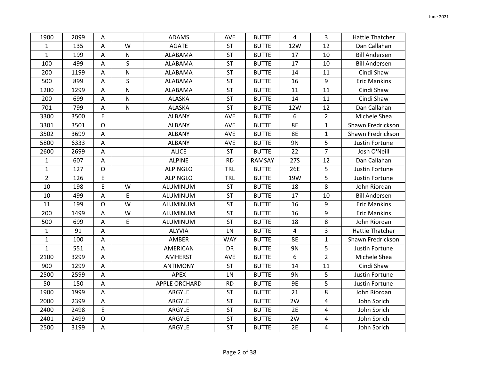| 1900           | 2099 | $\overline{A}$ |              | <b>ADAMS</b>    | AVE        | <b>BUTTE</b> | $\overline{4}$ | $\overline{3}$ | <b>Hattie Thatcher</b> |
|----------------|------|----------------|--------------|-----------------|------------|--------------|----------------|----------------|------------------------|
| $\mathbf{1}$   | 135  | A              | W            | <b>AGATE</b>    | <b>ST</b>  | <b>BUTTE</b> | 12W            | 12             | Dan Callahan           |
| $\mathbf{1}$   | 199  | $\mathsf{A}$   | ${\sf N}$    | ALABAMA         | <b>ST</b>  | <b>BUTTE</b> | 17             | 10             | <b>Bill Andersen</b>   |
| 100            | 499  | A              | $\mathsf{S}$ | ALABAMA         | ST         | <b>BUTTE</b> | 17             | 10             | <b>Bill Andersen</b>   |
| 200            | 1199 | A              | ${\sf N}$    | ALABAMA         | ST         | <b>BUTTE</b> | 14             | 11             | Cindi Shaw             |
| 500            | 899  | A              | S            | ALABAMA         | <b>ST</b>  | <b>BUTTE</b> | 16             | 9              | <b>Eric Mankins</b>    |
| 1200           | 1299 | A              | $\mathsf{N}$ | ALABAMA         | <b>ST</b>  | <b>BUTTE</b> | 11             | 11             | Cindi Shaw             |
| 200            | 699  | A              | ${\sf N}$    | ALASKA          | <b>ST</b>  | <b>BUTTE</b> | 14             | 11             | Cindi Shaw             |
| 701            | 799  | A              | ${\sf N}$    | ALASKA          | <b>ST</b>  | <b>BUTTE</b> | 12W            | 12             | Dan Callahan           |
| 3300           | 3500 | E              |              | <b>ALBANY</b>   | AVE        | <b>BUTTE</b> | 6              | $\overline{2}$ | Michele Shea           |
| 3301           | 3501 | $\mathsf{O}$   |              | <b>ALBANY</b>   | AVE        | <b>BUTTE</b> | 8E             | $\mathbf{1}$   | Shawn Fredrickson      |
| 3502           | 3699 | A              |              | <b>ALBANY</b>   | AVE        | <b>BUTTE</b> | 8E             | $\mathbf{1}$   | Shawn Fredrickson      |
| 5800           | 6333 | A              |              | <b>ALBANY</b>   | AVE        | <b>BUTTE</b> | 9N             | 5              | Justin Fortune         |
| 2600           | 2699 | $\overline{A}$ |              | <b>ALICE</b>    | ST         | <b>BUTTE</b> | 22             | $\overline{7}$ | Josh O'Neill           |
| $\mathbf{1}$   | 607  | $\mathsf A$    |              | <b>ALPINE</b>   | <b>RD</b>  | RAMSAY       | <b>27S</b>     | 12             | Dan Callahan           |
| $\mathbf 1$    | 127  | $\mathsf{O}$   |              | <b>ALPINGLO</b> | <b>TRL</b> | <b>BUTTE</b> | 26E            | 5              | Justin Fortune         |
| $\overline{2}$ | 126  | E              |              | <b>ALPINGLO</b> | <b>TRL</b> | <b>BUTTE</b> | 19W            | 5              | Justin Fortune         |
| 10             | 198  | E              | W            | ALUMINUM        | <b>ST</b>  | <b>BUTTE</b> | 18             | 8              | John Riordan           |
| 10             | 499  | $\overline{A}$ | $\mathsf E$  | ALUMINUM        | ST         | <b>BUTTE</b> | 17             | 10             | <b>Bill Andersen</b>   |
| 11             | 199  | $\mathsf{O}$   | W            | ALUMINUM        | <b>ST</b>  | <b>BUTTE</b> | 16             | 9              | <b>Eric Mankins</b>    |
| 200            | 1499 | A              | W            | ALUMINUM        | <b>ST</b>  | <b>BUTTE</b> | 16             | 9              | <b>Eric Mankins</b>    |
| 500            | 699  | A              | E            | ALUMINUM        | <b>ST</b>  | <b>BUTTE</b> | 18             | 8              | John Riordan           |
| $\mathbf{1}$   | 91   | $\overline{A}$ |              | <b>ALYVIA</b>   | LN         | <b>BUTTE</b> | $\overline{4}$ | 3              | <b>Hattie Thatcher</b> |
| $\mathbf 1$    | 100  | $\mathsf{A}$   |              | AMBER           | <b>WAY</b> | <b>BUTTE</b> | <b>8E</b>      | $\mathbf{1}$   | Shawn Fredrickson      |
| $\mathbf{1}$   | 551  | A              |              | AMERICAN        | DR         | <b>BUTTE</b> | <b>9N</b>      | 5              | Justin Fortune         |
| 2100           | 3299 | $\mathsf{A}$   |              | <b>AMHERST</b>  | AVE        | <b>BUTTE</b> | 6              | $\overline{2}$ | Michele Shea           |
| 900            | 1299 | A              |              | <b>ANTIMONY</b> | <b>ST</b>  | <b>BUTTE</b> | 14             | 11             | Cindi Shaw             |
| 2500           | 2599 | A              |              | <b>APEX</b>     | LN         | <b>BUTTE</b> | 9N             | 5              | Justin Fortune         |
| 50             | 150  | A              |              | APPLE ORCHARD   | <b>RD</b>  | <b>BUTTE</b> | <b>9E</b>      | 5              | Justin Fortune         |
| 1900           | 1999 | A              |              | ARGYLE          | <b>ST</b>  | <b>BUTTE</b> | 21             | 8              | John Riordan           |
| 2000           | 2399 | A              |              | ARGYLE          | <b>ST</b>  | <b>BUTTE</b> | 2W             | 4              | John Sorich            |
| 2400           | 2498 | E              |              | ARGYLE          | <b>ST</b>  | <b>BUTTE</b> | 2E             | 4              | John Sorich            |
| 2401           | 2499 | $\mathsf O$    |              | ARGYLE          | ST         | <b>BUTTE</b> | 2W             | 4              | John Sorich            |
| 2500           | 3199 | A              |              | ARGYLE          | <b>ST</b>  | <b>BUTTE</b> | 2E             | 4              | John Sorich            |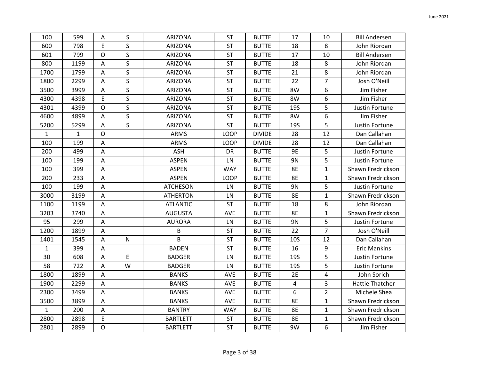| 100          | 599          | Α                         | S            | <b>ARIZONA</b>  | <b>ST</b>   | <b>BUTTE</b>  | 17         | 10             | <b>Bill Andersen</b>   |
|--------------|--------------|---------------------------|--------------|-----------------|-------------|---------------|------------|----------------|------------------------|
| 600          | 798          | E                         | $\mathsf{S}$ | ARIZONA         | <b>ST</b>   | <b>BUTTE</b>  | 18         | 8              | John Riordan           |
| 601          | 799          | $\mathsf{O}$              | S            | ARIZONA         | ST          | <b>BUTTE</b>  | 17         | 10             | <b>Bill Andersen</b>   |
| 800          | 1199         | A                         | $\mathsf{S}$ | ARIZONA         | <b>ST</b>   | <b>BUTTE</b>  | 18         | 8              | John Riordan           |
| 1700         | 1799         | Α                         | $\sf S$      | <b>ARIZONA</b>  | <b>ST</b>   | <b>BUTTE</b>  | 21         | 8              | John Riordan           |
| 1800         | 2299         | A                         | S            | ARIZONA         | <b>ST</b>   | <b>BUTTE</b>  | 22         | $\overline{7}$ | Josh O'Neill           |
| 3500         | 3999         | A                         | $\mathsf{S}$ | <b>ARIZONA</b>  | <b>ST</b>   | <b>BUTTE</b>  | 8W         | 6              | Jim Fisher             |
| 4300         | 4398         | E                         | $\mathsf{S}$ | <b>ARIZONA</b>  | <b>ST</b>   | <b>BUTTE</b>  | 8W         | 6              | Jim Fisher             |
| 4301         | 4399         | $\mathsf{O}$              | $\mathsf{S}$ | ARIZONA         | <b>ST</b>   | <b>BUTTE</b>  | <b>19S</b> | 5              | Justin Fortune         |
| 4600         | 4899         | Α                         | $\mathsf{S}$ | ARIZONA         | <b>ST</b>   | <b>BUTTE</b>  | 8W         | 6              | Jim Fisher             |
| 5200         | 5299         | Α                         | $\mathsf{S}$ | ARIZONA         | ST          | <b>BUTTE</b>  | <b>19S</b> | 5              | Justin Fortune         |
| $\mathbf{1}$ | $\mathbf{1}$ | $\mathsf{O}$              |              | <b>ARMS</b>     | <b>LOOP</b> | <b>DIVIDE</b> | 28         | 12             | Dan Callahan           |
| 100          | 199          | A                         |              | <b>ARMS</b>     | LOOP        | <b>DIVIDE</b> | 28         | 12             | Dan Callahan           |
| 200          | 499          | Α                         |              | <b>ASH</b>      | DR          | <b>BUTTE</b>  | 9E         | 5              | Justin Fortune         |
| 100          | 199          | $\mathsf A$               |              | <b>ASPEN</b>    | LN          | <b>BUTTE</b>  | 9N         | 5              | Justin Fortune         |
| 100          | 399          | A                         |              | <b>ASPEN</b>    | <b>WAY</b>  | <b>BUTTE</b>  | <b>8E</b>  | $\mathbf{1}$   | Shawn Fredrickson      |
| 200          | 233          | A                         |              | <b>ASPEN</b>    | <b>LOOP</b> | <b>BUTTE</b>  | 8E         | $\mathbf{1}$   | Shawn Fredrickson      |
| 100          | 199          | A                         |              | <b>ATCHESON</b> | LN          | <b>BUTTE</b>  | 9N         | 5              | Justin Fortune         |
| 3000         | 3199         | A                         |              | <b>ATHERTON</b> | LN          | <b>BUTTE</b>  | 8E         | $\mathbf{1}$   | Shawn Fredrickson      |
| 1100         | 1199         | $\mathsf A$               |              | <b>ATLANTIC</b> | ST          | <b>BUTTE</b>  | 18         | 8              | John Riordan           |
| 3203         | 3740         | A                         |              | <b>AUGUSTA</b>  | AVE         | <b>BUTTE</b>  | <b>8E</b>  | $\mathbf{1}$   | Shawn Fredrickson      |
| 95           | 299          | A                         |              | <b>AURORA</b>   | LN          | <b>BUTTE</b>  | 9N         | 5              | Justin Fortune         |
| 1200         | 1899         | $\mathsf A$               |              | B               | ST          | <b>BUTTE</b>  | 22         | $\overline{7}$ | Josh O'Neill           |
| 1401         | 1545         | A                         | ${\sf N}$    | B               | <b>ST</b>   | <b>BUTTE</b>  | <b>10S</b> | 12             | Dan Callahan           |
| $\mathbf{1}$ | 399          | A                         |              | <b>BADEN</b>    | <b>ST</b>   | <b>BUTTE</b>  | 16         | 9              | <b>Eric Mankins</b>    |
| 30           | 608          | Α                         | $\mathsf E$  | <b>BADGER</b>   | LN          | <b>BUTTE</b>  | <b>19S</b> | 5              | Justin Fortune         |
| 58           | 722          | Α                         | W            | <b>BADGER</b>   | LN          | <b>BUTTE</b>  | <b>19S</b> | 5              | Justin Fortune         |
| 1800         | 1899         | A                         |              | <b>BANKS</b>    | <b>AVE</b>  | <b>BUTTE</b>  | 2E         | 4              | John Sorich            |
| 1900         | 2299         | $\boldsymbol{\mathsf{A}}$ |              | <b>BANKS</b>    | AVE         | <b>BUTTE</b>  | 4          | 3              | <b>Hattie Thatcher</b> |
| 2300         | 3499         | $\boldsymbol{\mathsf{A}}$ |              | <b>BANKS</b>    | AVE         | <b>BUTTE</b>  | 6          | $\overline{2}$ | Michele Shea           |
| 3500         | 3899         | Α                         |              | <b>BANKS</b>    | <b>AVE</b>  | <b>BUTTE</b>  | <b>8E</b>  | 1              | Shawn Fredrickson      |
| $\mathbf{1}$ | 200          | Α                         |              | <b>BANTRY</b>   | <b>WAY</b>  | <b>BUTTE</b>  | 8E         | $\mathbf{1}$   | Shawn Fredrickson      |
| 2800         | 2898         | E                         |              | <b>BARTLETT</b> | <b>ST</b>   | <b>BUTTE</b>  | 8E         | 1              | Shawn Fredrickson      |
| 2801         | 2899         | $\mathsf{O}$              |              | <b>BARTLETT</b> | <b>ST</b>   | <b>BUTTE</b>  | 9W         | 6              | Jim Fisher             |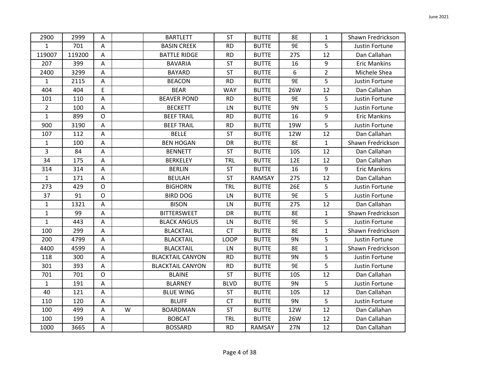| 2900           | 2999   | Α              |   | <b>BARTLETT</b>         | <b>ST</b>   | <b>BUTTE</b> | <b>8E</b>  | 1              | Shawn Fredrickson   |
|----------------|--------|----------------|---|-------------------------|-------------|--------------|------------|----------------|---------------------|
| $\mathbf{1}$   | 701    | A              |   | <b>BASIN CREEK</b>      | <b>RD</b>   | <b>BUTTE</b> | 9E         | 5              | Justin Fortune      |
| 119007         | 119200 | $\overline{A}$ |   | <b>BATTLE RIDGE</b>     | <b>RD</b>   | <b>BUTTE</b> | <b>27S</b> | 12             | Dan Callahan        |
| 207            | 399    | Α              |   | <b>BAVARIA</b>          | <b>ST</b>   | <b>BUTTE</b> | 16         | 9              | <b>Eric Mankins</b> |
| 2400           | 3299   | A              |   | <b>BAYARD</b>           | <b>ST</b>   | <b>BUTTE</b> | 6          | $\overline{2}$ | Michele Shea        |
| $\mathbf{1}$   | 2115   | A              |   | <b>BEACON</b>           | <b>RD</b>   | <b>BUTTE</b> | <b>9E</b>  | 5              | Justin Fortune      |
| 404            | 404    | E              |   | <b>BEAR</b>             | <b>WAY</b>  | <b>BUTTE</b> | 26W        | 12             | Dan Callahan        |
| 101            | 110    | A              |   | <b>BEAVER POND</b>      | <b>RD</b>   | <b>BUTTE</b> | <b>9E</b>  | 5              | Justin Fortune      |
| $\overline{2}$ | 100    | Α              |   | <b>BECKETT</b>          | LN          | <b>BUTTE</b> | <b>9N</b>  | 5              | Justin Fortune      |
| $\mathbf{1}$   | 899    | $\mathsf{O}$   |   | <b>BEEF TRAIL</b>       | <b>RD</b>   | <b>BUTTE</b> | 16         | 9              | <b>Eric Mankins</b> |
| 900            | 3190   | A              |   | <b>BEEF TRAIL</b>       | <b>RD</b>   | <b>BUTTE</b> | 19W        | 5              | Justin Fortune      |
| 107            | 112    | Α              |   | <b>BELLE</b>            | <b>ST</b>   | <b>BUTTE</b> | 12W        | 12             | Dan Callahan        |
| $\mathbf{1}$   | 100    | A              |   | <b>BEN HOGAN</b>        | DR          | <b>BUTTE</b> | <b>8E</b>  | $\mathbf{1}$   | Shawn Fredrickson   |
| $\overline{3}$ | 84     | A              |   | <b>BENNETT</b>          | <b>ST</b>   | <b>BUTTE</b> | <b>10S</b> | 12             | Dan Callahan        |
| 34             | 175    | Α              |   | <b>BERKELEY</b>         | <b>TRL</b>  | <b>BUTTE</b> | 12E        | 12             | Dan Callahan        |
| 314            | 314    | A              |   | <b>BERLIN</b>           | <b>ST</b>   | <b>BUTTE</b> | 16         | 9              | <b>Eric Mankins</b> |
| $\mathbf{1}$   | 171    | A              |   | <b>BEULAH</b>           | <b>ST</b>   | RAMSAY       | 27S        | 12             | Dan Callahan        |
| 273            | 429    | $\mathsf O$    |   | <b>BIGHORN</b>          | <b>TRL</b>  | <b>BUTTE</b> | 26E        | 5              | Justin Fortune      |
| 37             | 91     | $\mathsf{O}$   |   | <b>BIRD DOG</b>         | LN          | <b>BUTTE</b> | <b>9E</b>  | 5              | Justin Fortune      |
| $\mathbf{1}$   | 1321   | A              |   | <b>BISON</b>            | LN          | <b>BUTTE</b> | 27S        | 12             | Dan Callahan        |
| $\mathbf{1}$   | 99     | A              |   | <b>BITTERSWEET</b>      | DR          | <b>BUTTE</b> | 8E         | 1              | Shawn Fredrickson   |
| $\mathbf{1}$   | 443    | A              |   | <b>BLACK ANGUS</b>      | LN          | <b>BUTTE</b> | 9E         | 5              | Justin Fortune      |
| 100            | 299    | Α              |   | <b>BLACKTAIL</b>        | <b>CT</b>   | <b>BUTTE</b> | <b>8E</b>  | $\mathbf{1}$   | Shawn Fredrickson   |
| 200            | 4799   | A              |   | <b>BLACKTAIL</b>        | <b>LOOP</b> | <b>BUTTE</b> | 9N         | 5              | Justin Fortune      |
| 4400           | 4599   | Α              |   | <b>BLACKTAIL</b>        | LN          | <b>BUTTE</b> | <b>8E</b>  | $\mathbf{1}$   | Shawn Fredrickson   |
| 118            | 300    | A              |   | <b>BLACKTAIL CANYON</b> | <b>RD</b>   | <b>BUTTE</b> | 9N         | 5              | Justin Fortune      |
| 301            | 393    | A              |   | <b>BLACKTAIL CANYON</b> | <b>RD</b>   | <b>BUTTE</b> | 9E         | 5              | Justin Fortune      |
| 701            | 701    | $\mathsf{O}$   |   | <b>BLAINE</b>           | <b>ST</b>   | <b>BUTTE</b> | <b>10S</b> | 12             | Dan Callahan        |
| $\mathbf{1}$   | 191    | A              |   | <b>BLARNEY</b>          | <b>BLVD</b> | <b>BUTTE</b> | 9N         | 5              | Justin Fortune      |
| 40             | 121    | A              |   | <b>BLUE WING</b>        | <b>ST</b>   | <b>BUTTE</b> | <b>10S</b> | 12             | Dan Callahan        |
| 110            | 120    | $\mathsf A$    |   | <b>BLUFF</b>            | CT          | <b>BUTTE</b> | 9N         | 5              | Justin Fortune      |
| 100            | 499    | A              | W | <b>BOARDMAN</b>         | <b>ST</b>   | <b>BUTTE</b> | 12W        | 12             | Dan Callahan        |
| 100            | 199    | A              |   | <b>BOBCAT</b>           | <b>TRL</b>  | <b>BUTTE</b> | 26W        | 12             | Dan Callahan        |
| 1000           | 3665   | $\mathsf A$    |   | <b>BOSSARD</b>          | <b>RD</b>   | RAMSAY       | 27N        | 12             | Dan Callahan        |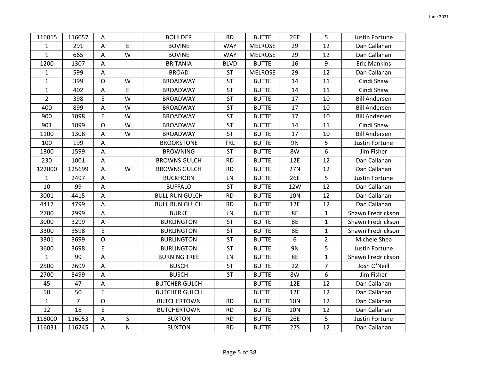| 116015         | 116057         | A                         |           | <b>BOULDER</b>        | <b>RD</b>   | <b>BUTTE</b>   | 26E        | 5              | Justin Fortune       |
|----------------|----------------|---------------------------|-----------|-----------------------|-------------|----------------|------------|----------------|----------------------|
| $\mathbf{1}$   | 291            | A                         | E         | <b>BOVINE</b>         | <b>WAY</b>  | <b>MELROSE</b> | 29         | 12             | Dan Callahan         |
| $\mathbf{1}$   | 665            | $\mathsf A$               | W         | <b>BOVINE</b>         | <b>WAY</b>  | <b>MELROSE</b> | 29         | 12             | Dan Callahan         |
| 1200           | 1307           | A                         |           | <b>BRITANIA</b>       | <b>BLVD</b> | <b>BUTTE</b>   | 16         | 9              | <b>Eric Mankins</b>  |
| $\mathbf 1$    | 599            | A                         |           | <b>BROAD</b>          | <b>ST</b>   | <b>MELROSE</b> | 29         | 12             | Dan Callahan         |
| $\mathbf 1$    | 399            | $\mathsf{O}$              | W         | <b>BROADWAY</b>       | ST          | <b>BUTTE</b>   | 14         | 11             | Cindi Shaw           |
| $\mathbf{1}$   | 402            | A                         | E         | <b>BROADWAY</b>       | <b>ST</b>   | <b>BUTTE</b>   | 14         | 11             | Cindi Shaw           |
| $\overline{2}$ | 398            | E                         | W         | <b>BROADWAY</b>       | <b>ST</b>   | <b>BUTTE</b>   | 17         | 10             | <b>Bill Andersen</b> |
| 400            | 899            | A                         | W         | <b>BROADWAY</b>       | <b>ST</b>   | <b>BUTTE</b>   | 17         | 10             | <b>Bill Andersen</b> |
| 900            | 1098           | E                         | W         | <b>BROADWAY</b>       | <b>ST</b>   | <b>BUTTE</b>   | 17         | 10             | <b>Bill Andersen</b> |
| 901            | 1099           | $\mathsf{O}$              | W         | <b>BROADWAY</b>       | <b>ST</b>   | <b>BUTTE</b>   | 14         | 11             | Cindi Shaw           |
| 1100           | 1308           | A                         | W         | <b>BROADWAY</b>       | <b>ST</b>   | <b>BUTTE</b>   | 17         | 10             | <b>Bill Andersen</b> |
| 100            | 199            | A                         |           | <b>BROOKSTONE</b>     | <b>TRL</b>  | <b>BUTTE</b>   | 9N         | 5              | Justin Fortune       |
| 1300           | 1599           | A                         |           | <b>BROWNING</b>       | <b>ST</b>   | <b>BUTTE</b>   | 8W         | 6              | Jim Fisher           |
| 230            | 1001           | $\mathsf A$               |           | <b>BROWNS GULCH</b>   | <b>RD</b>   | <b>BUTTE</b>   | 12E        | 12             | Dan Callahan         |
| 122000         | 125699         | A                         | W         | <b>BROWNS GULCH</b>   | <b>RD</b>   | <b>BUTTE</b>   | 27N        | 12             | Dan Callahan         |
| $\mathbf{1}$   | 2497           | Α                         |           | <b>BUCKHORN</b>       | LN          | <b>BUTTE</b>   | 26E        | 5              | Justin Fortune       |
| 10             | 99             | $\boldsymbol{\mathsf{A}}$ |           | <b>BUFFALO</b>        | <b>ST</b>   | <b>BUTTE</b>   | 12W        | 12             | Dan Callahan         |
| 3001           | 4415           | $\overline{A}$            |           | <b>BULL RUN GULCH</b> | <b>RD</b>   | <b>BUTTE</b>   | <b>10N</b> | 12             | Dan Callahan         |
| 4417           | 4799           | A                         |           | <b>BULL RUN GULCH</b> | <b>RD</b>   | <b>BUTTE</b>   | 12E        | 12             | Dan Callahan         |
| 2700           | 2999           | A                         |           | <b>BURKE</b>          | LN          | <b>BUTTE</b>   | 8E         | $\mathbf{1}$   | Shawn Fredrickson    |
| 3000           | 3299           | $\mathsf A$               |           | <b>BURLINGTON</b>     | <b>ST</b>   | <b>BUTTE</b>   | 8E         | $\mathbf{1}$   | Shawn Fredrickson    |
| 3300           | 3598           | E                         |           | <b>BURLINGTON</b>     | <b>ST</b>   | <b>BUTTE</b>   | <b>8E</b>  | $\mathbf{1}$   | Shawn Fredrickson    |
| 3301           | 3699           | $\circ$                   |           | <b>BURLINGTON</b>     | ST          | <b>BUTTE</b>   | 6          | $\overline{2}$ | Michele Shea         |
| 3600           | 3698           | E                         |           | <b>BURLINGTON</b>     | <b>ST</b>   | <b>BUTTE</b>   | 9N         | 5              | Justin Fortune       |
| $\mathbf{1}$   | 99             | $\mathsf A$               |           | <b>BURNING TREE</b>   | LN          | <b>BUTTE</b>   | 8E         | $\mathbf{1}$   | Shawn Fredrickson    |
| 2500           | 2699           | A                         |           | <b>BUSCH</b>          | <b>ST</b>   | <b>BUTTE</b>   | 22         | $\overline{7}$ | Josh O'Neill         |
| 2700           | 3499           | $\mathsf A$               |           | <b>BUSCH</b>          | <b>ST</b>   | <b>BUTTE</b>   | 8W         | 6              | Jim Fisher           |
| 45             | 47             | A                         |           | <b>BUTCHER GULCH</b>  |             | <b>BUTTE</b>   | 12E        | 12             | Dan Callahan         |
| 50             | 50             | E                         |           | <b>BUTCHER GULCH</b>  |             | <b>BUTTE</b>   | 12E        | 12             | Dan Callahan         |
| $\mathbf{1}$   | $\overline{7}$ | $\mathsf{O}$              |           | <b>BUTCHERTOWN</b>    | <b>RD</b>   | <b>BUTTE</b>   | <b>10N</b> | 12             | Dan Callahan         |
| 12             | 18             | E                         |           | <b>BUTCHERTOWN</b>    | <b>RD</b>   | <b>BUTTE</b>   | <b>10N</b> | 12             | Dan Callahan         |
| 116000         | 116053         | A                         | $\sf S$   | <b>BUXTON</b>         | <b>RD</b>   | <b>BUTTE</b>   | 26E        | 5              | Justin Fortune       |
| 116031         | 116245         | $\mathsf A$               | ${\sf N}$ | <b>BUXTON</b>         | <b>RD</b>   | <b>BUTTE</b>   | <b>27S</b> | 12             | Dan Callahan         |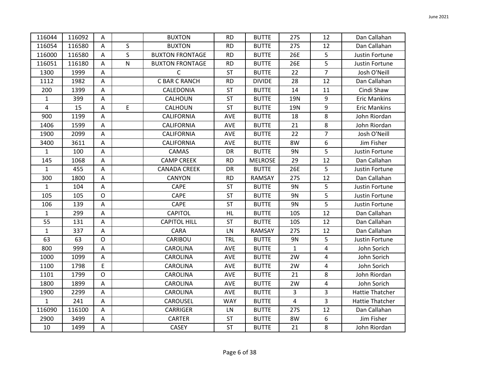| 116044         | 116092 | Α            |           | <b>BUXTON</b>          | <b>RD</b>  | <b>BUTTE</b>   | <b>27S</b>   | 12             | Dan Callahan           |
|----------------|--------|--------------|-----------|------------------------|------------|----------------|--------------|----------------|------------------------|
|                |        |              |           |                        |            |                |              |                |                        |
| 116054         | 116580 | A            | S         | <b>BUXTON</b>          | <b>RD</b>  | <b>BUTTE</b>   | <b>27S</b>   | 12             | Dan Callahan           |
| 116000         | 116580 | A            | S         | <b>BUXTON FRONTAGE</b> | <b>RD</b>  | <b>BUTTE</b>   | 26E          | 5              | Justin Fortune         |
| 116051         | 116180 | Α            | ${\sf N}$ | <b>BUXTON FRONTAGE</b> | <b>RD</b>  | <b>BUTTE</b>   | 26E          | 5              | Justin Fortune         |
| 1300           | 1999   | Α            |           | $\mathsf C$            | <b>ST</b>  | <b>BUTTE</b>   | 22           | $\overline{7}$ | Josh O'Neill           |
| 1112           | 1982   | A            |           | C BAR C RANCH          | <b>RD</b>  | <b>DIVIDE</b>  | 28           | 12             | Dan Callahan           |
| 200            | 1399   | Α            |           | CALEDONIA              | <b>ST</b>  | <b>BUTTE</b>   | 14           | 11             | Cindi Shaw             |
| $\mathbf{1}$   | 399    | A            |           | CALHOUN                | <b>ST</b>  | <b>BUTTE</b>   | <b>19N</b>   | 9              | <b>Eric Mankins</b>    |
| $\overline{4}$ | 15     | Α            | E         | CALHOUN                | <b>ST</b>  | <b>BUTTE</b>   | 19N          | 9              | <b>Eric Mankins</b>    |
| 900            | 1199   | A            |           | CALIFORNIA             | <b>AVE</b> | <b>BUTTE</b>   | 18           | 8              | John Riordan           |
| 1406           | 1599   | Α            |           | CALIFORNIA             | AVE        | <b>BUTTE</b>   | 21           | 8              | John Riordan           |
| 1900           | 2099   | Α            |           | CALIFORNIA             | AVE        | <b>BUTTE</b>   | 22           | $\overline{7}$ | Josh O'Neill           |
| 3400           | 3611   | A            |           | CALIFORNIA             | AVE        | <b>BUTTE</b>   | 8W           | 6              | Jim Fisher             |
| $\mathbf{1}$   | 100    | A            |           | CAMAS                  | DR         | <b>BUTTE</b>   | 9N           | 5              | Justin Fortune         |
| 145            | 1068   | A            |           | <b>CAMP CREEK</b>      | <b>RD</b>  | <b>MELROSE</b> | 29           | 12             | Dan Callahan           |
| $\mathbf{1}$   | 455    | A            |           | <b>CANADA CREEK</b>    | DR         | <b>BUTTE</b>   | 26E          | 5              | Justin Fortune         |
| 300            | 1800   | Α            |           | CANYON                 | <b>RD</b>  | <b>RAMSAY</b>  | <b>27S</b>   | 12             | Dan Callahan           |
| $\mathbf{1}$   | 104    | $\mathsf A$  |           | CAPE                   | <b>ST</b>  | <b>BUTTE</b>   | 9N           | 5              | Justin Fortune         |
| 105            | 105    | $\mathsf{O}$ |           | CAPE                   | <b>ST</b>  | <b>BUTTE</b>   | <b>9N</b>    | 5              | Justin Fortune         |
| 106            | 139    | Α            |           | CAPE                   | <b>ST</b>  | <b>BUTTE</b>   | 9N           | 5              | Justin Fortune         |
| 1              | 299    | Α            |           | <b>CAPITOL</b>         | HL.        | <b>BUTTE</b>   | <b>10S</b>   | 12             | Dan Callahan           |
| 55             | 131    | Α            |           | <b>CAPITOL HILL</b>    | <b>ST</b>  | <b>BUTTE</b>   | <b>10S</b>   | 12             | Dan Callahan           |
| $\mathbf{1}$   | 337    | A            |           | <b>CARA</b>            | LN         | RAMSAY         | <b>27S</b>   | 12             | Dan Callahan           |
| 63             | 63     | 0            |           | CARIBOU                | <b>TRL</b> | <b>BUTTE</b>   | 9N           | 5              | Justin Fortune         |
| 800            | 999    | Α            |           | CAROLINA               | AVE        | <b>BUTTE</b>   | $\mathbf{1}$ | 4              | John Sorich            |
| 1000           | 1099   | A            |           | CAROLINA               | AVE        | <b>BUTTE</b>   | 2W           | 4              | John Sorich            |
| 1100           | 1798   | E            |           | CAROLINA               | <b>AVE</b> | <b>BUTTE</b>   | 2W           | 4              | John Sorich            |
| 1101           | 1799   | $\mathsf{O}$ |           | CAROLINA               | <b>AVE</b> | <b>BUTTE</b>   | 21           | 8              | John Riordan           |
| 1800           | 1899   | A            |           | <b>CAROLINA</b>        | AVE        | <b>BUTTE</b>   | 2W           | 4              | John Sorich            |
| 1900           | 2299   | A            |           | CAROLINA               | AVE        | <b>BUTTE</b>   | 3            | 3              | Hattie Thatcher        |
| $\mathbf 1$    | 241    | $\mathsf A$  |           | CAROUSEL               | <b>WAY</b> | <b>BUTTE</b>   | 4            | 3              | <b>Hattie Thatcher</b> |
| 116090         | 116100 | Α            |           | <b>CARRIGER</b>        | LN         | <b>BUTTE</b>   | 27S          | 12             | Dan Callahan           |
| 2900           | 3499   | Α            |           | <b>CARTER</b>          | ST         | <b>BUTTE</b>   | 8W           | 6              | Jim Fisher             |
| 10             | 1499   | $\mathsf A$  |           | <b>CASEY</b>           | ST         | <b>BUTTE</b>   | 21           | 8              | John Riordan           |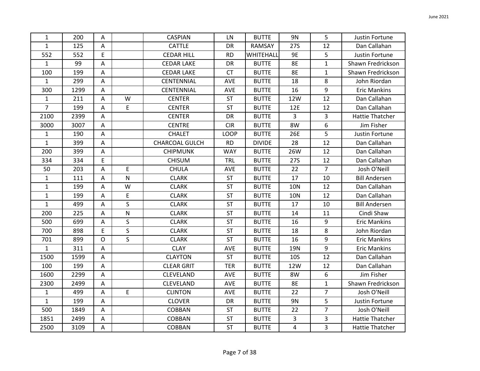| $\mathbf{1}$   | 200  | Α            |              | <b>CASPIAN</b>    | LN         | <b>BUTTE</b>  | <b>9N</b>  | 5              | Justin Fortune         |
|----------------|------|--------------|--------------|-------------------|------------|---------------|------------|----------------|------------------------|
| $\mathbf{1}$   | 125  | Α            |              | <b>CATTLE</b>     | DR         | RAMSAY        | 27S        | 12             | Dan Callahan           |
| 552            | 552  | E            |              | <b>CEDAR HILL</b> | <b>RD</b>  | WHITEHALL     | 9E         | 5              | Justin Fortune         |
| $\mathbf{1}$   | 99   | А            |              | <b>CEDAR LAKE</b> | DR         | <b>BUTTE</b>  | <b>8E</b>  | $\mathbf{1}$   | Shawn Fredrickson      |
| 100            | 199  | A            |              | <b>CEDAR LAKE</b> | <b>CT</b>  | <b>BUTTE</b>  | <b>8E</b>  | $\mathbf{1}$   | Shawn Fredrickson      |
| $\mathbf{1}$   | 299  | Α            |              | CENTENNIAL        | AVE        | <b>BUTTE</b>  | 18         | 8              | John Riordan           |
| 300            | 1299 | А            |              | CENTENNIAL        | AVE        | <b>BUTTE</b>  | 16         | 9              | <b>Eric Mankins</b>    |
| $\mathbf{1}$   | 211  | A            | W            | <b>CENTER</b>     | <b>ST</b>  | <b>BUTTE</b>  | 12W        | 12             | Dan Callahan           |
| $\overline{7}$ | 199  | Α            | E            | <b>CENTER</b>     | <b>ST</b>  | <b>BUTTE</b>  | 12E        | 12             | Dan Callahan           |
| 2100           | 2399 | Α            |              | <b>CENTER</b>     | DR         | <b>BUTTE</b>  | 3          | 3              | <b>Hattie Thatcher</b> |
| 3000           | 3007 | Α            |              | <b>CENTRE</b>     | <b>CIR</b> | <b>BUTTE</b>  | 8W         | 6              | Jim Fisher             |
| $\mathbf{1}$   | 190  | A            |              | <b>CHALET</b>     | LOOP       | <b>BUTTE</b>  | 26E        | 5              | Justin Fortune         |
| $\mathbf{1}$   | 399  | Α            |              | CHARCOAL GULCH    | <b>RD</b>  | <b>DIVIDE</b> | 28         | 12             | Dan Callahan           |
| 200            | 399  | Α            |              | <b>CHIPMUNK</b>   | <b>WAY</b> | <b>BUTTE</b>  | 26W        | 12             | Dan Callahan           |
| 334            | 334  | E            |              | <b>CHISUM</b>     | TRL        | <b>BUTTE</b>  | <b>27S</b> | 12             | Dan Callahan           |
| 50             | 203  | Α            | E            | <b>CHULA</b>      | AVE        | <b>BUTTE</b>  | 22         | $\overline{7}$ | Josh O'Neill           |
| $\mathbf{1}$   | 111  | А            | ${\sf N}$    | <b>CLARK</b>      | <b>ST</b>  | <b>BUTTE</b>  | 17         | 10             | <b>Bill Andersen</b>   |
| 1              | 199  | Α            | W            | <b>CLARK</b>      | <b>ST</b>  | <b>BUTTE</b>  | <b>10N</b> | 12             | Dan Callahan           |
| $\mathbf{1}$   | 199  | $\mathsf A$  | E            | <b>CLARK</b>      | <b>ST</b>  | <b>BUTTE</b>  | <b>10N</b> | 12             | Dan Callahan           |
| $\mathbf{1}$   | 499  | A            | $\mathsf{S}$ | <b>CLARK</b>      | <b>ST</b>  | <b>BUTTE</b>  | 17         | 10             | <b>Bill Andersen</b>   |
| 200            | 225  | Α            | $\mathsf{N}$ | <b>CLARK</b>      | <b>ST</b>  | <b>BUTTE</b>  | 14         | 11             | Cindi Shaw             |
| 500            | 699  | Α            | S            | <b>CLARK</b>      | <b>ST</b>  | <b>BUTTE</b>  | 16         | 9              | <b>Eric Mankins</b>    |
| 700            | 898  | E            | $\mathsf{S}$ | <b>CLARK</b>      | <b>ST</b>  | <b>BUTTE</b>  | 18         | 8              | John Riordan           |
| 701            | 899  | $\mathsf{O}$ | $\mathsf{S}$ | <b>CLARK</b>      | <b>ST</b>  | <b>BUTTE</b>  | 16         | 9              | <b>Eric Mankins</b>    |
| $\mathbf{1}$   | 311  | А            |              | <b>CLAY</b>       | <b>AVE</b> | <b>BUTTE</b>  | 19N        | 9              | <b>Eric Mankins</b>    |
| 1500           | 1599 | Α            |              | <b>CLAYTON</b>    | <b>ST</b>  | <b>BUTTE</b>  | <b>10S</b> | 12             | Dan Callahan           |
| 100            | 199  | A            |              | <b>CLEAR GRIT</b> | <b>TER</b> | <b>BUTTE</b>  | 12W        | 12             | Dan Callahan           |
| 1600           | 2299 | Α            |              | CLEVELAND         | AVE        | <b>BUTTE</b>  | 8W         | 6              | Jim Fisher             |
| 2300           | 2499 | А            |              | CLEVELAND         | AVE        | <b>BUTTE</b>  | <b>8E</b>  | $\mathbf{1}$   | Shawn Fredrickson      |
| $\mathbf{1}$   | 499  | Α            | E            | <b>CLINTON</b>    | <b>AVE</b> | <b>BUTTE</b>  | 22         | $\overline{7}$ | Josh O'Neill           |
| $\mathbf{1}$   | 199  | A            |              | <b>CLOVER</b>     | DR         | <b>BUTTE</b>  | <b>9N</b>  | 5              | Justin Fortune         |
| 500            | 1849 | Α            |              | <b>COBBAN</b>     | <b>ST</b>  | <b>BUTTE</b>  | 22         | $\overline{7}$ | Josh O'Neill           |
| 1851           | 2499 | А            |              | <b>COBBAN</b>     | ST         | <b>BUTTE</b>  | 3          | 3              | <b>Hattie Thatcher</b> |
| 2500           | 3109 | $\mathsf A$  |              | <b>COBBAN</b>     | <b>ST</b>  | <b>BUTTE</b>  | 4          | 3              | <b>Hattie Thatcher</b> |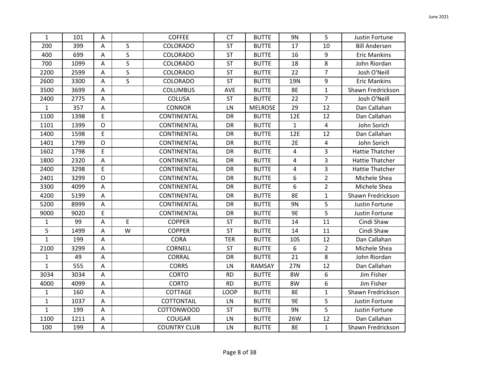| $\mathbf{1}$ | 101  | A                         |              | <b>COFFEE</b>       | <b>CT</b>   | <b>BUTTE</b>   | <b>9N</b>    | 5              | Justin Fortune         |
|--------------|------|---------------------------|--------------|---------------------|-------------|----------------|--------------|----------------|------------------------|
| 200          | 399  | A                         | S            | COLORADO            | ST          | <b>BUTTE</b>   | 17           | 10             | <b>Bill Andersen</b>   |
| 400          | 699  | A                         | $\mathsf{S}$ | COLORADO            | ST          | <b>BUTTE</b>   | 16           | 9              | <b>Eric Mankins</b>    |
| 700          | 1099 | $\mathsf A$               | $\mathsf{S}$ | COLORADO            | ST          | <b>BUTTE</b>   | 18           | $\,8\,$        | John Riordan           |
| 2200         | 2599 | A                         | $\mathsf{S}$ | <b>COLORADO</b>     | <b>ST</b>   | <b>BUTTE</b>   | 22           | $\overline{7}$ | Josh O'Neill           |
| 2600         | 3300 | Α                         | $\mathsf{S}$ | COLORADO            | ST          | <b>BUTTE</b>   | 19N          | 9              | <b>Eric Mankins</b>    |
| 3500         | 3699 | A                         |              | <b>COLUMBUS</b>     | AVE         | <b>BUTTE</b>   | <b>8E</b>    | $\mathbf{1}$   | Shawn Fredrickson      |
| 2400         | 2775 | $\mathsf A$               |              | COLUSA              | <b>ST</b>   | <b>BUTTE</b>   | 22           | $\overline{7}$ | Josh O'Neill           |
| $\mathbf{1}$ | 357  | $\boldsymbol{\mathsf{A}}$ |              | <b>CONNOR</b>       | LN          | <b>MELROSE</b> | 29           | 12             | Dan Callahan           |
| 1100         | 1398 | E                         |              | CONTINENTAL         | DR          | <b>BUTTE</b>   | 12E          | 12             | Dan Callahan           |
| 1101         | 1399 | $\circ$                   |              | CONTINENTAL         | DR          | <b>BUTTE</b>   | $\mathbf{1}$ | $\overline{4}$ | John Sorich            |
| 1400         | 1598 | E                         |              | CONTINENTAL         | <b>DR</b>   | <b>BUTTE</b>   | 12E          | 12             | Dan Callahan           |
| 1401         | 1799 | $\circ$                   |              | CONTINENTAL         | DR          | <b>BUTTE</b>   | 2E           | $\overline{4}$ | John Sorich            |
| 1602         | 1798 | E                         |              | CONTINENTAL         | DR          | <b>BUTTE</b>   | 4            | 3              | <b>Hattie Thatcher</b> |
| 1800         | 2320 | $\boldsymbol{\mathsf{A}}$ |              | CONTINENTAL         | DR          | <b>BUTTE</b>   | 4            | 3              | <b>Hattie Thatcher</b> |
| 2400         | 3298 | E                         |              | CONTINENTAL         | DR          | <b>BUTTE</b>   | 4            | 3              | <b>Hattie Thatcher</b> |
| 2401         | 3299 | $\mathsf{O}$              |              | CONTINENTAL         | DR          | <b>BUTTE</b>   | 6            | $\overline{2}$ | Michele Shea           |
| 3300         | 4099 | A                         |              | CONTINENTAL         | DR          | <b>BUTTE</b>   | 6            | $\overline{2}$ | Michele Shea           |
| 4200         | 5199 | $\mathsf A$               |              | CONTINENTAL         | DR          | <b>BUTTE</b>   | 8E           | $\mathbf{1}$   | Shawn Fredrickson      |
| 5200         | 8999 | $\mathsf A$               |              | CONTINENTAL         | DR          | <b>BUTTE</b>   | <b>9N</b>    | 5              | Justin Fortune         |
| 9000         | 9020 | E                         |              | CONTINENTAL         | DR          | <b>BUTTE</b>   | <b>9E</b>    | 5              | Justin Fortune         |
| $\mathbf{1}$ | 99   | Α                         | E            | <b>COPPER</b>       | <b>ST</b>   | <b>BUTTE</b>   | 14           | 11             | Cindi Shaw             |
| 5            | 1499 | A                         | W            | <b>COPPER</b>       | <b>ST</b>   | <b>BUTTE</b>   | 14           | 11             | Cindi Shaw             |
| $\mathbf{1}$ | 199  | A                         |              | <b>CORA</b>         | <b>TER</b>  | <b>BUTTE</b>   | <b>10S</b>   | 12             | Dan Callahan           |
| 2100         | 3299 | A                         |              | CORNELL             | <b>ST</b>   | <b>BUTTE</b>   | 6            | $\overline{2}$ | Michele Shea           |
| $\mathbf{1}$ | 49   | Α                         |              | <b>CORRAL</b>       | DR          | <b>BUTTE</b>   | 21           | 8              | John Riordan           |
| $\mathbf{1}$ | 555  | A                         |              | <b>CORRS</b>        | LN          | RAMSAY         | 27N          | 12             | Dan Callahan           |
| 3034         | 3034 | A                         |              | <b>CORTO</b>        | <b>RD</b>   | <b>BUTTE</b>   | 8W           | 6              | Jim Fisher             |
| 4000         | 4099 | A                         |              | <b>CORTO</b>        | <b>RD</b>   | <b>BUTTE</b>   | 8W           | 6              | Jim Fisher             |
| $\mathbf{1}$ | 160  | A                         |              | COTTAGE             | <b>LOOP</b> | <b>BUTTE</b>   | 8E           | $\mathbf{1}$   | Shawn Fredrickson      |
| $\mathbf{1}$ | 1037 | $\mathsf A$               |              | <b>COTTONTAIL</b>   | LN          | <b>BUTTE</b>   | 9E           | 5              | Justin Fortune         |
| $\mathbf{1}$ | 199  | A                         |              | <b>COTTONWOOD</b>   | <b>ST</b>   | <b>BUTTE</b>   | 9N           | 5              | Justin Fortune         |
| 1100         | 1211 | A                         |              | <b>COUGAR</b>       | LN          | <b>BUTTE</b>   | 26W          | 12             | Dan Callahan           |
| 100          | 199  | А                         |              | <b>COUNTRY CLUB</b> | LN          | <b>BUTTE</b>   | <b>8E</b>    | $\mathbf{1}$   | Shawn Fredrickson      |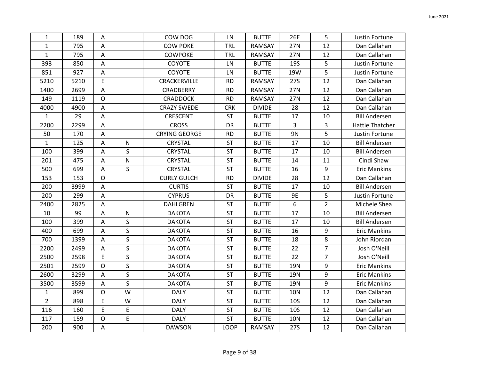| $\mathbf{1}$   | 189  | Α            |              | COW DOG              | LN          | <b>BUTTE</b>  | 26E        | 5              | Justin Fortune         |
|----------------|------|--------------|--------------|----------------------|-------------|---------------|------------|----------------|------------------------|
| $\mathbf{1}$   | 795  | Α            |              | <b>COW POKE</b>      | TRL         | RAMSAY        | 27N        | 12             | Dan Callahan           |
| $\mathbf{1}$   | 795  | A            |              | <b>COWPOKE</b>       | <b>TRL</b>  | RAMSAY        | 27N        | 12             | Dan Callahan           |
| 393            | 850  | Α            |              | COYOTE               | LN          | <b>BUTTE</b>  | <b>19S</b> | 5              | Justin Fortune         |
| 851            | 927  | Α            |              | <b>COYOTE</b>        | LN          | <b>BUTTE</b>  | 19W        | 5              | Justin Fortune         |
| 5210           | 5210 | E            |              | CRACKERVILLE         | <b>RD</b>   | RAMSAY        | <b>27S</b> | 12             | Dan Callahan           |
| 1400           | 2699 | A            |              | CRADBERRY            | <b>RD</b>   | RAMSAY        | 27N        | 12             | Dan Callahan           |
| 149            | 1119 | $\mathsf{O}$ |              | <b>CRADDOCK</b>      | <b>RD</b>   | RAMSAY        | 27N        | 12             | Dan Callahan           |
| 4000           | 4900 | Α            |              | <b>CRAZY SWEDE</b>   | <b>CRK</b>  | <b>DIVIDE</b> | 28         | 12             | Dan Callahan           |
| $\mathbf{1}$   | 29   | Α            |              | CRESCENT             | <b>ST</b>   | <b>BUTTE</b>  | 17         | 10             | <b>Bill Andersen</b>   |
| 2200           | 2299 | Α            |              | <b>CROSS</b>         | DR          | <b>BUTTE</b>  | 3          | $\overline{3}$ | <b>Hattie Thatcher</b> |
| 50             | 170  | A            |              | <b>CRYING GEORGE</b> | <b>RD</b>   | <b>BUTTE</b>  | <b>9N</b>  | 5              | Justin Fortune         |
| $\mathbf{1}$   | 125  | Α            | $\mathsf{N}$ | CRYSTAL              | <b>ST</b>   | <b>BUTTE</b>  | 17         | 10             | <b>Bill Andersen</b>   |
| 100            | 399  | Α            | S            | CRYSTAL              | ST          | <b>BUTTE</b>  | 17         | 10             | <b>Bill Andersen</b>   |
| 201            | 475  | Α            | ${\sf N}$    | CRYSTAL              | <b>ST</b>   | <b>BUTTE</b>  | 14         | 11             | Cindi Shaw             |
| 500            | 699  | Α            | S            | <b>CRYSTAL</b>       | <b>ST</b>   | <b>BUTTE</b>  | 16         | 9              | <b>Eric Mankins</b>    |
| 153            | 153  | $\mathsf O$  |              | <b>CURLY GULCH</b>   | <b>RD</b>   | <b>DIVIDE</b> | 28         | 12             | Dan Callahan           |
| 200            | 3999 | A            |              | <b>CURTIS</b>        | <b>ST</b>   | <b>BUTTE</b>  | 17         | 10             | <b>Bill Andersen</b>   |
| 200            | 299  | $\mathsf A$  |              | <b>CYPRUS</b>        | DR          | <b>BUTTE</b>  | 9E         | 5              | Justin Fortune         |
| 2400           | 2825 | A            |              | DAHLGREN             | <b>ST</b>   | <b>BUTTE</b>  | 6          | $\overline{2}$ | Michele Shea           |
| 10             | 99   | Α            | ${\sf N}$    | <b>DAKOTA</b>        | <b>ST</b>   | <b>BUTTE</b>  | 17         | 10             | <b>Bill Andersen</b>   |
| 100            | 399  | Α            | S            | <b>DAKOTA</b>        | <b>ST</b>   | <b>BUTTE</b>  | 17         | 10             | <b>Bill Andersen</b>   |
| 400            | 699  | Α            | S            | <b>DAKOTA</b>        | <b>ST</b>   | <b>BUTTE</b>  | 16         | 9              | <b>Eric Mankins</b>    |
| 700            | 1399 | Α            | $\mathsf S$  | <b>DAKOTA</b>        | <b>ST</b>   | <b>BUTTE</b>  | 18         | 8              | John Riordan           |
| 2200           | 2499 | Α            | S            | <b>DAKOTA</b>        | <b>ST</b>   | <b>BUTTE</b>  | 22         | $\overline{7}$ | Josh O'Neill           |
| 2500           | 2598 | E            | S            | <b>DAKOTA</b>        | <b>ST</b>   | <b>BUTTE</b>  | 22         | $\overline{7}$ | Josh O'Neill           |
| 2501           | 2599 | $\mathsf{O}$ | S            | <b>DAKOTA</b>        | <b>ST</b>   | <b>BUTTE</b>  | 19N        | 9              | <b>Eric Mankins</b>    |
| 2600           | 3299 | A            | S            | <b>DAKOTA</b>        | <b>ST</b>   | <b>BUTTE</b>  | 19N        | 9              | <b>Eric Mankins</b>    |
| 3500           | 3599 | A            | S            | <b>DAKOTA</b>        | <b>ST</b>   | <b>BUTTE</b>  | 19N        | 9              | <b>Eric Mankins</b>    |
| $\mathbf{1}$   | 899  | O            | W            | <b>DALY</b>          | <b>ST</b>   | <b>BUTTE</b>  | <b>10N</b> | 12             | Dan Callahan           |
| $\overline{2}$ | 898  | E            | W            | <b>DALY</b>          | <b>ST</b>   | <b>BUTTE</b>  | <b>10S</b> | 12             | Dan Callahan           |
| 116            | 160  | E            | E            | <b>DALY</b>          | <b>ST</b>   | <b>BUTTE</b>  | <b>10S</b> | 12             | Dan Callahan           |
| 117            | 159  | $\mathsf O$  | E            | <b>DALY</b>          | ST          | <b>BUTTE</b>  | <b>10N</b> | 12             | Dan Callahan           |
| 200            | 900  | $\mathsf A$  |              | <b>DAWSON</b>        | <b>LOOP</b> | RAMSAY        | <b>27S</b> | 12             | Dan Callahan           |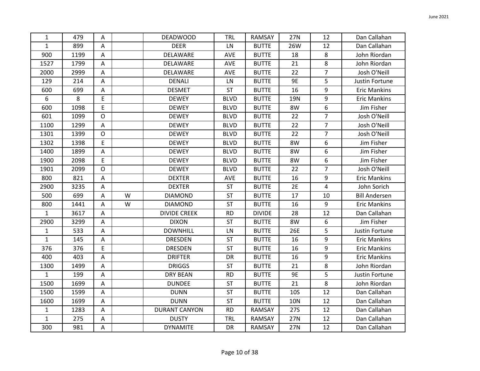| 1                | 479  | Α           |   | <b>DEADWOOD</b>      | <b>TRL</b>  | RAMSAY        | <b>27N</b> | 12             | Dan Callahan         |
|------------------|------|-------------|---|----------------------|-------------|---------------|------------|----------------|----------------------|
| $\mathbf{1}$     | 899  | Α           |   | <b>DEER</b>          | LN          | <b>BUTTE</b>  | 26W        | 12             | Dan Callahan         |
| 900              | 1199 | Α           |   | DELAWARE             | AVE         | <b>BUTTE</b>  | 18         | 8              | John Riordan         |
| 1527             | 1799 | Α           |   | DELAWARE             | <b>AVE</b>  | <b>BUTTE</b>  | 21         | 8              | John Riordan         |
| 2000             | 2999 | Α           |   | DELAWARE             | AVE         | <b>BUTTE</b>  | 22         | $\overline{7}$ | Josh O'Neill         |
| 129              | 214  | Α           |   | <b>DENALI</b>        | LN          | <b>BUTTE</b>  | <b>9E</b>  | 5              | Justin Fortune       |
| 600              | 699  | A           |   | <b>DESMET</b>        | <b>ST</b>   | <b>BUTTE</b>  | 16         | 9              | <b>Eric Mankins</b>  |
| $\boldsymbol{6}$ | 8    | E           |   | <b>DEWEY</b>         | <b>BLVD</b> | <b>BUTTE</b>  | 19N        | 9              | <b>Eric Mankins</b>  |
| 600              | 1098 | E           |   | <b>DEWEY</b>         | <b>BLVD</b> | <b>BUTTE</b>  | 8W         | 6              | Jim Fisher           |
| 601              | 1099 | $\circ$     |   | <b>DEWEY</b>         | <b>BLVD</b> | <b>BUTTE</b>  | 22         | $\overline{7}$ | Josh O'Neill         |
| 1100             | 1299 | A           |   | <b>DEWEY</b>         | <b>BLVD</b> | <b>BUTTE</b>  | 22         | $\overline{7}$ | Josh O'Neill         |
| 1301             | 1399 | $\mathsf O$ |   | <b>DEWEY</b>         | <b>BLVD</b> | <b>BUTTE</b>  | 22         | $\overline{7}$ | Josh O'Neill         |
| 1302             | 1398 | E           |   | <b>DEWEY</b>         | <b>BLVD</b> | <b>BUTTE</b>  | 8W         | 6              | Jim Fisher           |
| 1400             | 1899 | Α           |   | <b>DEWEY</b>         | <b>BLVD</b> | <b>BUTTE</b>  | 8W         | 6              | Jim Fisher           |
| 1900             | 2098 | E           |   | <b>DEWEY</b>         | <b>BLVD</b> | <b>BUTTE</b>  | 8W         | 6              | Jim Fisher           |
| 1901             | 2099 | $\circ$     |   | <b>DEWEY</b>         | <b>BLVD</b> | <b>BUTTE</b>  | 22         | $\overline{7}$ | Josh O'Neill         |
| 800              | 821  | А           |   | <b>DEXTER</b>        | AVE         | <b>BUTTE</b>  | 16         | 9              | <b>Eric Mankins</b>  |
| 2900             | 3235 | Α           |   | <b>DEXTER</b>        | <b>ST</b>   | <b>BUTTE</b>  | 2E         | 4              | John Sorich          |
| 500              | 699  | Α           | W | <b>DIAMOND</b>       | ST          | <b>BUTTE</b>  | 17         | 10             | <b>Bill Andersen</b> |
| 800              | 1441 | Α           | W | <b>DIAMOND</b>       | <b>ST</b>   | <b>BUTTE</b>  | 16         | 9              | <b>Eric Mankins</b>  |
| $\mathbf{1}$     | 3617 | Α           |   | <b>DIVIDE CREEK</b>  | <b>RD</b>   | <b>DIVIDE</b> | 28         | 12             | Dan Callahan         |
| 2900             | 3299 | Α           |   | <b>DIXON</b>         | <b>ST</b>   | <b>BUTTE</b>  | 8W         | 6              | Jim Fisher           |
| $\mathbf{1}$     | 533  | Α           |   | <b>DOWNHILL</b>      | LN          | <b>BUTTE</b>  | 26E        | 5              | Justin Fortune       |
| $\mathbf{1}$     | 145  | A           |   | <b>DRESDEN</b>       | ST          | <b>BUTTE</b>  | 16         | 9              | <b>Eric Mankins</b>  |
| 376              | 376  | E           |   | <b>DRESDEN</b>       | ST          | <b>BUTTE</b>  | 16         | 9              | <b>Eric Mankins</b>  |
| 400              | 403  | Α           |   | <b>DRIFTER</b>       | DR          | <b>BUTTE</b>  | 16         | 9              | <b>Eric Mankins</b>  |
| 1300             | 1499 | Α           |   | <b>DRIGGS</b>        | <b>ST</b>   | <b>BUTTE</b>  | 21         | 8              | John Riordan         |
| $\mathbf{1}$     | 199  | А           |   | <b>DRY BEAN</b>      | <b>RD</b>   | <b>BUTTE</b>  | <b>9E</b>  | 5              | Justin Fortune       |
| 1500             | 1699 | A           |   | <b>DUNDEE</b>        | ST          | <b>BUTTE</b>  | 21         | 8              | John Riordan         |
| 1500             | 1599 | A           |   | <b>DUNN</b>          | ST          | <b>BUTTE</b>  | <b>10S</b> | 12             | Dan Callahan         |
| 1600             | 1699 | Α           |   | <b>DUNN</b>          | <b>ST</b>   | <b>BUTTE</b>  | <b>10N</b> | 12             | Dan Callahan         |
| $\mathbf{1}$     | 1283 | Α           |   | <b>DURANT CANYON</b> | <b>RD</b>   | <b>RAMSAY</b> | <b>27S</b> | 12             | Dan Callahan         |
| $\mathbf{1}$     | 275  | A           |   | <b>DUSTY</b>         | <b>TRL</b>  | RAMSAY        | 27N        | 12             | Dan Callahan         |
| 300              | 981  | А           |   | <b>DYNAMITE</b>      | DR          | RAMSAY        | 27N        | 12             | Dan Callahan         |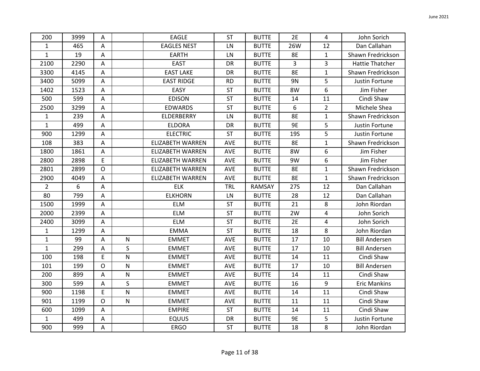| 200            | 3999 | A              |           | <b>EAGLE</b>            | <b>ST</b>  | <b>BUTTE</b> | 2E         | 4              | John Sorich            |
|----------------|------|----------------|-----------|-------------------------|------------|--------------|------------|----------------|------------------------|
| $\mathbf{1}$   | 465  | A              |           | <b>EAGLES NEST</b>      | LN         | <b>BUTTE</b> | 26W        | 12             | Dan Callahan           |
| $\mathbf{1}$   | 19   | $\overline{A}$ |           | <b>EARTH</b>            | LN         | <b>BUTTE</b> | 8E         | $\mathbf{1}$   | Shawn Fredrickson      |
| 2100           | 2290 | A              |           | <b>EAST</b>             | DR         | <b>BUTTE</b> | 3          | 3              | <b>Hattie Thatcher</b> |
| 3300           | 4145 | A              |           | <b>EAST LAKE</b>        | DR         | <b>BUTTE</b> | 8E         | 1              | Shawn Fredrickson      |
| 3400           | 5099 | Α              |           | <b>EAST RIDGE</b>       | <b>RD</b>  | <b>BUTTE</b> | 9N         | 5              | Justin Fortune         |
| 1402           | 1523 | A              |           | EASY                    | ST         | <b>BUTTE</b> | 8W         | 6              | Jim Fisher             |
| 500            | 599  | A              |           | <b>EDISON</b>           | <b>ST</b>  | <b>BUTTE</b> | 14         | 11             | Cindi Shaw             |
| 2500           | 3299 | A              |           | <b>EDWARDS</b>          | <b>ST</b>  | <b>BUTTE</b> | 6          | $\overline{2}$ | Michele Shea           |
| $\mathbf{1}$   | 239  | Α              |           | ELDERBERRY              | LN         | <b>BUTTE</b> | 8E         | 1              | Shawn Fredrickson      |
| $\mathbf{1}$   | 499  | A              |           | <b>ELDORA</b>           | DR         | <b>BUTTE</b> | 9E         | 5              | Justin Fortune         |
| 900            | 1299 | A              |           | <b>ELECTRIC</b>         | <b>ST</b>  | <b>BUTTE</b> | <b>19S</b> | 5              | Justin Fortune         |
| 108            | 383  | A              |           | ELIZABETH WARREN        | AVE        | <b>BUTTE</b> | 8E         | 1              | Shawn Fredrickson      |
| 1800           | 1861 | A              |           | <b>ELIZABETH WARREN</b> | AVE        | <b>BUTTE</b> | 8W         | 6              | Jim Fisher             |
| 2800           | 2898 | E              |           | <b>ELIZABETH WARREN</b> | AVE        | <b>BUTTE</b> | 9W         | 6              | Jim Fisher             |
| 2801           | 2899 | $\mathsf{O}$   |           | <b>ELIZABETH WARREN</b> | <b>AVE</b> | <b>BUTTE</b> | <b>8E</b>  | $\mathbf{1}$   | Shawn Fredrickson      |
| 2900           | 4049 | Α              |           | <b>ELIZABETH WARREN</b> | AVE        | <b>BUTTE</b> | <b>8E</b>  | $\mathbf{1}$   | Shawn Fredrickson      |
| $\overline{2}$ | 6    | A              |           | <b>ELK</b>              | <b>TRL</b> | RAMSAY       | <b>27S</b> | 12             | Dan Callahan           |
| 80             | 799  | A              |           | <b>ELKHORN</b>          | LN         | <b>BUTTE</b> | 28         | 12             | Dan Callahan           |
| 1500           | 1999 | A              |           | ELM                     | <b>ST</b>  | <b>BUTTE</b> | 21         | 8              | John Riordan           |
| 2000           | 2399 | A              |           | <b>ELM</b>              | <b>ST</b>  | <b>BUTTE</b> | 2W         | 4              | John Sorich            |
| 2400           | 3099 | A              |           | <b>ELM</b>              | <b>ST</b>  | <b>BUTTE</b> | 2E         | 4              | John Sorich            |
| $\mathbf{1}$   | 1299 | A              |           | <b>EMMA</b>             | <b>ST</b>  | <b>BUTTE</b> | 18         | 8              | John Riordan           |
| $\mathbf 1$    | 99   | A              | ${\sf N}$ | <b>EMMET</b>            | AVE        | <b>BUTTE</b> | 17         | 10             | <b>Bill Andersen</b>   |
| $\mathbf{1}$   | 299  | A              | $\sf S$   | <b>EMMET</b>            | AVE        | <b>BUTTE</b> | 17         | 10             | <b>Bill Andersen</b>   |
| 100            | 198  | E              | ${\sf N}$ | <b>EMMET</b>            | AVE        | <b>BUTTE</b> | 14         | 11             | Cindi Shaw             |
| 101            | 199  | $\mathsf O$    | ${\sf N}$ | <b>EMMET</b>            | AVE        | <b>BUTTE</b> | 17         | 10             | <b>Bill Andersen</b>   |
| 200            | 899  | A              | ${\sf N}$ | <b>EMMET</b>            | AVE        | <b>BUTTE</b> | 14         | 11             | Cindi Shaw             |
| 300            | 599  | A              | $\sf S$   | <b>EMMET</b>            | AVE        | <b>BUTTE</b> | 16         | 9              | <b>Eric Mankins</b>    |
| 900            | 1198 | E              | ${\sf N}$ | <b>EMMET</b>            | AVE        | <b>BUTTE</b> | 14         | 11             | Cindi Shaw             |
| 901            | 1199 | $\mathsf{O}$   | ${\sf N}$ | <b>EMMET</b>            | AVE        | <b>BUTTE</b> | 11         | 11             | Cindi Shaw             |
| 600            | 1099 | A              |           | <b>EMPIRE</b>           | <b>ST</b>  | <b>BUTTE</b> | 14         | 11             | Cindi Shaw             |
| $\mathbf{1}$   | 499  | A              |           | <b>EQUUS</b>            | DR         | <b>BUTTE</b> | 9E         | 5              | Justin Fortune         |
| 900            | 999  | $\mathsf A$    |           | <b>ERGO</b>             | ST         | <b>BUTTE</b> | 18         | 8              | John Riordan           |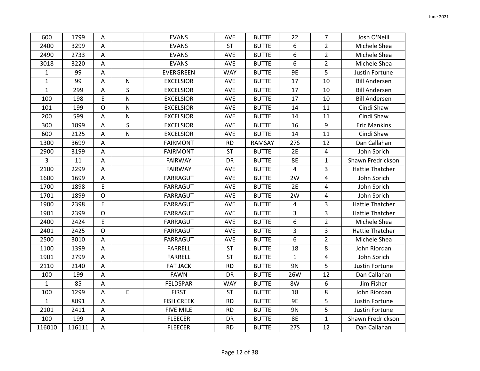|              | 1799   |                         |                         |                   |            |               |              | $\overline{7}$ |                        |
|--------------|--------|-------------------------|-------------------------|-------------------|------------|---------------|--------------|----------------|------------------------|
| 600          |        | Α                       |                         | <b>EVANS</b>      | <b>AVE</b> | <b>BUTTE</b>  | 22           |                | Josh O'Neill           |
| 2400         | 3299   | A                       |                         | <b>EVANS</b>      | <b>ST</b>  | <b>BUTTE</b>  | 6            | $\overline{2}$ | Michele Shea           |
| 2490         | 2733   | $\mathsf A$             |                         | <b>EVANS</b>      | AVE        | <b>BUTTE</b>  | 6            | $\overline{2}$ | Michele Shea           |
| 3018         | 3220   | A                       |                         | <b>EVANS</b>      | AVE        | <b>BUTTE</b>  | 6            | $\overline{2}$ | Michele Shea           |
| $\mathbf{1}$ | 99     | A                       |                         | EVERGREEN         | <b>WAY</b> | <b>BUTTE</b>  | 9E           | 5              | Justin Fortune         |
| $\mathbf 1$  | 99     | A                       | ${\sf N}$               | <b>EXCELSIOR</b>  | AVE        | <b>BUTTE</b>  | 17           | 10             | <b>Bill Andersen</b>   |
| $\mathbf{1}$ | 299    | A                       | S                       | <b>EXCELSIOR</b>  | AVE        | <b>BUTTE</b>  | 17           | 10             | <b>Bill Andersen</b>   |
| 100          | 198    | E                       | $\mathsf{N}$            | <b>EXCELSIOR</b>  | AVE        | <b>BUTTE</b>  | 17           | 10             | <b>Bill Andersen</b>   |
| 101          | 199    | $\mathsf{O}$            | ${\sf N}$               | <b>EXCELSIOR</b>  | AVE        | <b>BUTTE</b>  | 14           | 11             | Cindi Shaw             |
| 200          | 599    | $\mathsf A$             | ${\sf N}$               | <b>EXCELSIOR</b>  | AVE        | <b>BUTTE</b>  | 14           | 11             | Cindi Shaw             |
| 300          | 1099   | A                       | $\mathsf{S}$            | <b>EXCELSIOR</b>  | <b>AVE</b> | <b>BUTTE</b>  | 16           | 9              | <b>Eric Mankins</b>    |
| 600          | 2125   | A                       | $\overline{\mathsf{N}}$ | <b>EXCELSIOR</b>  | AVE        | <b>BUTTE</b>  | 14           | 11             | Cindi Shaw             |
| 1300         | 3699   | A                       |                         | <b>FAIRMONT</b>   | <b>RD</b>  | <b>RAMSAY</b> | <b>27S</b>   | 12             | Dan Callahan           |
| 2900         | 3199   | A                       |                         | <b>FAIRMONT</b>   | <b>ST</b>  | <b>BUTTE</b>  | 2E           | 4              | John Sorich            |
| 3            | 11     | A                       |                         | <b>FAIRWAY</b>    | DR         | <b>BUTTE</b>  | <b>8E</b>    | $\mathbf{1}$   | Shawn Fredrickson      |
| 2100         | 2299   | A                       |                         | <b>FAIRWAY</b>    | AVE        | <b>BUTTE</b>  | 4            | 3              | <b>Hattie Thatcher</b> |
| 1600         | 1699   | Α                       |                         | <b>FARRAGUT</b>   | <b>AVE</b> | <b>BUTTE</b>  | 2W           | 4              | John Sorich            |
| 1700         | 1898   | E                       |                         | FARRAGUT          | AVE        | <b>BUTTE</b>  | 2E           | 4              | John Sorich            |
| 1701         | 1899   | $\mathsf{O}$            |                         | <b>FARRAGUT</b>   | AVE        | <b>BUTTE</b>  | 2W           | 4              | John Sorich            |
| 1900         | 2398   | E                       |                         | FARRAGUT          | AVE        | <b>BUTTE</b>  | 4            | 3              | <b>Hattie Thatcher</b> |
| 1901         | 2399   | $\circ$                 |                         | FARRAGUT          | AVE        | <b>BUTTE</b>  | 3            | 3              | <b>Hattie Thatcher</b> |
| 2400         | 2424   | E                       |                         | <b>FARRAGUT</b>   | AVE        | <b>BUTTE</b>  | 6            | $\overline{2}$ | Michele Shea           |
| 2401         | 2425   | $\mathsf{O}$            |                         | FARRAGUT          | AVE        | <b>BUTTE</b>  | 3            | 3              | <b>Hattie Thatcher</b> |
| 2500         | 3010   | A                       |                         | FARRAGUT          | AVE        | <b>BUTTE</b>  | 6            | $\overline{2}$ | Michele Shea           |
| 1100         | 1399   | $\mathsf A$             |                         | <b>FARRELL</b>    | <b>ST</b>  | <b>BUTTE</b>  | 18           | 8              | John Riordan           |
| 1901         | 2799   | A                       |                         | <b>FARRELL</b>    | <b>ST</b>  | <b>BUTTE</b>  | $\mathbf{1}$ | 4              | John Sorich            |
| 2110         | 2140   | $\mathsf{A}$            |                         | <b>FAT JACK</b>   | <b>RD</b>  | <b>BUTTE</b>  | 9N           | 5              | Justin Fortune         |
| 100          | 199    | $\mathsf A$             |                         | <b>FAWN</b>       | <b>DR</b>  | <b>BUTTE</b>  | 26W          | 12             | Dan Callahan           |
| $\mathbf{1}$ | 85     | A                       |                         | <b>FELDSPAR</b>   | <b>WAY</b> | <b>BUTTE</b>  | 8W           | 6              | Jim Fisher             |
| 100          | 1299   | A                       | $\mathsf E$             | <b>FIRST</b>      | <b>ST</b>  | <b>BUTTE</b>  | 18           | 8              | John Riordan           |
| $\mathbf{1}$ | 8091   | $\mathsf A$             |                         | <b>FISH CREEK</b> | <b>RD</b>  | <b>BUTTE</b>  | 9E           | 5              | Justin Fortune         |
| 2101         | 2411   | $\overline{\mathsf{A}}$ |                         | <b>FIVE MILE</b>  | <b>RD</b>  | <b>BUTTE</b>  | 9N           | 5              | Justin Fortune         |
| 100          | 199    | A                       |                         | <b>FLEECER</b>    | DR         | <b>BUTTE</b>  | <b>8E</b>    | $\mathbf{1}$   | Shawn Fredrickson      |
| 116010       | 116111 | $\mathsf A$             |                         | <b>FLEECER</b>    | <b>RD</b>  | <b>BUTTE</b>  | <b>27S</b>   | 12             | Dan Callahan           |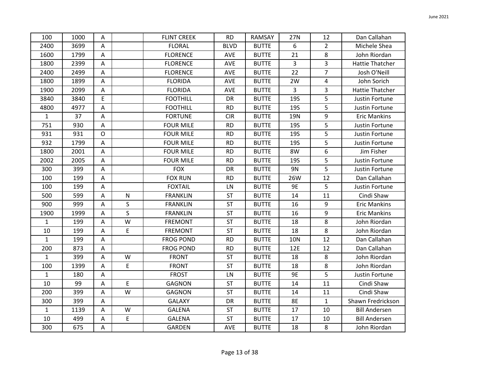| 100          | 1000 | $\overline{A}$            |              | <b>FLINT CREEK</b> | <b>RD</b>   | RAMSAY       | 27N            | 12             | Dan Callahan           |
|--------------|------|---------------------------|--------------|--------------------|-------------|--------------|----------------|----------------|------------------------|
| 2400         | 3699 | A                         |              | <b>FLORAL</b>      | <b>BLVD</b> | <b>BUTTE</b> | 6              | $\overline{2}$ | Michele Shea           |
| 1600         | 1799 | A                         |              | <b>FLORENCE</b>    | <b>AVE</b>  | <b>BUTTE</b> | 21             | 8              | John Riordan           |
| 1800         | 2399 | Α                         |              | <b>FLORENCE</b>    | AVE         | <b>BUTTE</b> | 3              | 3              | <b>Hattie Thatcher</b> |
| 2400         | 2499 | A                         |              | <b>FLORENCE</b>    | <b>AVE</b>  | <b>BUTTE</b> | 22             | $\overline{7}$ | Josh O'Neill           |
| 1800         | 1899 | A                         |              | <b>FLORIDA</b>     | AVE         | <b>BUTTE</b> | 2W             | $\overline{4}$ | John Sorich            |
| 1900         | 2099 | A                         |              | <b>FLORIDA</b>     | AVE         | <b>BUTTE</b> | $\overline{3}$ | 3              | <b>Hattie Thatcher</b> |
| 3840         | 3840 | E                         |              | <b>FOOTHILL</b>    | DR          | <b>BUTTE</b> | <b>19S</b>     | 5              | Justin Fortune         |
| 4800         | 4977 | $\boldsymbol{\mathsf{A}}$ |              | <b>FOOTHILL</b>    | <b>RD</b>   | <b>BUTTE</b> | <b>19S</b>     | 5              | Justin Fortune         |
| $\mathbf{1}$ | 37   | A                         |              | <b>FORTUNE</b>     | <b>CIR</b>  | <b>BUTTE</b> | 19N            | 9              | <b>Eric Mankins</b>    |
| 751          | 930  | A                         |              | <b>FOUR MILE</b>   | <b>RD</b>   | <b>BUTTE</b> | <b>19S</b>     | 5              | Justin Fortune         |
| 931          | 931  | $\mathsf O$               |              | <b>FOUR MILE</b>   | <b>RD</b>   | <b>BUTTE</b> | <b>19S</b>     | 5              | Justin Fortune         |
| 932          | 1799 | A                         |              | <b>FOUR MILE</b>   | <b>RD</b>   | <b>BUTTE</b> | <b>19S</b>     | 5              | Justin Fortune         |
| 1800         | 2001 | A                         |              | <b>FOUR MILE</b>   | <b>RD</b>   | <b>BUTTE</b> | 8W             | 6              | Jim Fisher             |
| 2002         | 2005 | A                         |              | <b>FOUR MILE</b>   | <b>RD</b>   | <b>BUTTE</b> | <b>19S</b>     | 5              | Justin Fortune         |
| 300          | 399  | A                         |              | <b>FOX</b>         | <b>DR</b>   | <b>BUTTE</b> | 9N             | 5              | Justin Fortune         |
| 100          | 199  | Α                         |              | <b>FOX RUN</b>     | <b>RD</b>   | <b>BUTTE</b> | 26W            | 12             | Dan Callahan           |
| 100          | 199  | A                         |              | <b>FOXTAIL</b>     | LN          | <b>BUTTE</b> | <b>9E</b>      | 5              | Justin Fortune         |
| 500          | 599  | A                         | ${\sf N}$    | <b>FRANKLIN</b>    | <b>ST</b>   | <b>BUTTE</b> | 14             | 11             | Cindi Shaw             |
| 900          | 999  | A                         | $\mathsf{S}$ | <b>FRANKLIN</b>    | <b>ST</b>   | <b>BUTTE</b> | 16             | 9              | <b>Eric Mankins</b>    |
| 1900         | 1999 | A                         | $\mathsf{S}$ | <b>FRANKLIN</b>    | ST          | <b>BUTTE</b> | 16             | 9              | <b>Eric Mankins</b>    |
| $\mathbf{1}$ | 199  | A                         | W            | <b>FREMONT</b>     | <b>ST</b>   | <b>BUTTE</b> | 18             | 8              | John Riordan           |
| 10           | 199  | Α                         | $\mathsf E$  | <b>FREMONT</b>     | <b>ST</b>   | <b>BUTTE</b> | 18             | 8              | John Riordan           |
| $\mathbf{1}$ | 199  | A                         |              | <b>FROG POND</b>   | <b>RD</b>   | <b>BUTTE</b> | <b>10N</b>     | 12             | Dan Callahan           |
| 200          | 873  | Α                         |              | <b>FROG POND</b>   | <b>RD</b>   | <b>BUTTE</b> | 12E            | 12             | Dan Callahan           |
| $\mathbf{1}$ | 399  | A                         | W            | <b>FRONT</b>       | <b>ST</b>   | <b>BUTTE</b> | 18             | 8              | John Riordan           |
| 100          | 1399 | A                         | E            | <b>FRONT</b>       | <b>ST</b>   | <b>BUTTE</b> | 18             | 8              | John Riordan           |
| $\mathbf{1}$ | 180  | A                         |              | <b>FROST</b>       | LN          | <b>BUTTE</b> | 9E             | 5              | Justin Fortune         |
| 10           | 99   | A                         | $\mathsf E$  | <b>GAGNON</b>      | <b>ST</b>   | <b>BUTTE</b> | 14             | 11             | Cindi Shaw             |
| 200          | 399  | A                         | W            | <b>GAGNON</b>      | <b>ST</b>   | <b>BUTTE</b> | 14             | 11             | Cindi Shaw             |
| 300          | 399  | A                         |              | <b>GALAXY</b>      | DR          | <b>BUTTE</b> | <b>8E</b>      | $\mathbf{1}$   | Shawn Fredrickson      |
| $\mathbf{1}$ | 1139 | A                         | W            | <b>GALENA</b>      | <b>ST</b>   | <b>BUTTE</b> | 17             | 10             | <b>Bill Andersen</b>   |
| 10           | 499  | Α                         | E            | <b>GALENA</b>      | <b>ST</b>   | <b>BUTTE</b> | 17             | 10             | <b>Bill Andersen</b>   |
| 300          | 675  | $\boldsymbol{\mathsf{A}}$ |              | <b>GARDEN</b>      | AVE         | <b>BUTTE</b> | 18             | 8              | John Riordan           |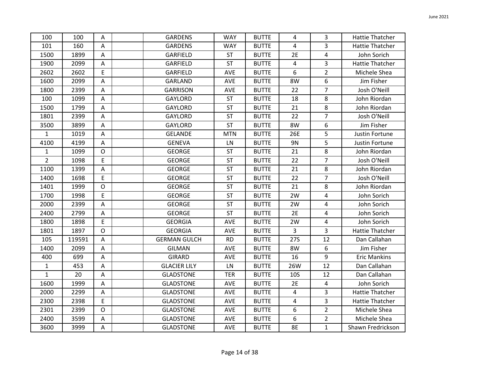| 100            | 100    | Α                       | <b>GARDENS</b>      | <b>WAY</b> | <b>BUTTE</b> | 4            | 3              | <b>Hattie Thatcher</b> |
|----------------|--------|-------------------------|---------------------|------------|--------------|--------------|----------------|------------------------|
| 101            | 160    | A                       | <b>GARDENS</b>      | <b>WAY</b> | <b>BUTTE</b> | 4            | 3              | <b>Hattie Thatcher</b> |
| 1500           | 1899   | A                       | GARFIELD            | ST         | <b>BUTTE</b> | 2E           | 4              | John Sorich            |
| 1900           | 2099   | Α                       | <b>GARFIELD</b>     | <b>ST</b>  | <b>BUTTE</b> | 4            | 3              | <b>Hattie Thatcher</b> |
| 2602           | 2602   | E                       | GARFIELD            | <b>AVE</b> | <b>BUTTE</b> | 6            | $\overline{2}$ | Michele Shea           |
| 1600           | 2099   | $\overline{A}$          | <b>GARLAND</b>      | <b>AVE</b> | <b>BUTTE</b> | 8W           | 6              | Jim Fisher             |
| 1800           | 2399   | A                       | <b>GARRISON</b>     | AVE        | <b>BUTTE</b> | 22           | $\overline{7}$ | Josh O'Neill           |
| 100            | 1099   | A                       | <b>GAYLORD</b>      | <b>ST</b>  | <b>BUTTE</b> | 18           | 8              | John Riordan           |
| 1500           | 1799   | A                       | <b>GAYLORD</b>      | <b>ST</b>  | <b>BUTTE</b> | 21           | 8              | John Riordan           |
| 1801           | 2399   | $\mathsf A$             | <b>GAYLORD</b>      | <b>ST</b>  | <b>BUTTE</b> | 22           | $\overline{7}$ | Josh O'Neill           |
| 3500           | 3899   | A                       | <b>GAYLORD</b>      | <b>ST</b>  | <b>BUTTE</b> | 8W           | 6              | Jim Fisher             |
| $\mathbf{1}$   | 1019   | A                       | <b>GELANDE</b>      | <b>MTN</b> | <b>BUTTE</b> | 26E          | 5              | Justin Fortune         |
| 4100           | 4199   | A                       | <b>GENEVA</b>       | LN         | <b>BUTTE</b> | 9N           | 5              | Justin Fortune         |
| $\mathbf{1}$   | 1099   | $\mathsf{O}$            | <b>GEORGE</b>       | <b>ST</b>  | <b>BUTTE</b> | 21           | 8              | John Riordan           |
| $\overline{2}$ | 1098   | E                       | <b>GEORGE</b>       | <b>ST</b>  | <b>BUTTE</b> | 22           | 7              | Josh O'Neill           |
| 1100           | 1399   | $\mathsf A$             | <b>GEORGE</b>       | <b>ST</b>  | <b>BUTTE</b> | 21           | 8              | John Riordan           |
| 1400           | 1698   | E                       | <b>GEORGE</b>       | <b>ST</b>  | <b>BUTTE</b> | 22           | $\overline{7}$ | Josh O'Neill           |
| 1401           | 1999   | $\mathsf{O}$            | <b>GEORGE</b>       | <b>ST</b>  | <b>BUTTE</b> | 21           | 8              | John Riordan           |
| 1700           | 1998   | E                       | <b>GEORGE</b>       | ST         | <b>BUTTE</b> | 2W           | 4              | John Sorich            |
| 2000           | 2399   | A                       | <b>GEORGE</b>       | <b>ST</b>  | <b>BUTTE</b> | 2W           | 4              | John Sorich            |
| 2400           | 2799   | $\mathsf{A}$            | <b>GEORGE</b>       | ST         | <b>BUTTE</b> | 2E           | 4              | John Sorich            |
| 1800           | 1898   | E                       | <b>GEORGIA</b>      | AVE        | <b>BUTTE</b> | 2W           | 4              | John Sorich            |
| 1801           | 1897   | $\mathsf{O}$            | <b>GEORGIA</b>      | <b>AVE</b> | <b>BUTTE</b> | $\mathbf{3}$ | 3              | <b>Hattie Thatcher</b> |
| 105            | 119591 | $\overline{A}$          | <b>GERMAN GULCH</b> | <b>RD</b>  | <b>BUTTE</b> | <b>27S</b>   | 12             | Dan Callahan           |
| 1400           | 2099   | $\mathsf A$             | <b>GILMAN</b>       | AVE        | <b>BUTTE</b> | 8W           | 6              | Jim Fisher             |
| 400            | 699    | $\mathsf A$             | <b>GIRARD</b>       | <b>AVE</b> | <b>BUTTE</b> | 16           | 9              | <b>Eric Mankins</b>    |
| $\mathbf{1}$   | 453    | A                       | <b>GLACIER LILY</b> | LN         | <b>BUTTE</b> | 26W          | 12             | Dan Callahan           |
| $\mathbf{1}$   | 20     | A                       | <b>GLADSTONE</b>    | <b>TER</b> | <b>BUTTE</b> | <b>10S</b>   | 12             | Dan Callahan           |
| 1600           | 1999   | $\overline{\mathsf{A}}$ | <b>GLADSTONE</b>    | <b>AVE</b> | <b>BUTTE</b> | 2E           | 4              | John Sorich            |
| 2000           | 2299   | A                       | <b>GLADSTONE</b>    | <b>AVE</b> | <b>BUTTE</b> | 4            | 3              | Hattie Thatcher        |
| 2300           | 2398   | E                       | <b>GLADSTONE</b>    | AVE        | <b>BUTTE</b> | 4            | 3              | <b>Hattie Thatcher</b> |
| 2301           | 2399   | $\mathsf{O}$            | <b>GLADSTONE</b>    | <b>AVE</b> | <b>BUTTE</b> | 6            | $\overline{2}$ | Michele Shea           |
| 2400           | 3599   | A                       | <b>GLADSTONE</b>    | AVE        | <b>BUTTE</b> | 6            | $\overline{2}$ | Michele Shea           |
| 3600           | 3999   | $\mathsf A$             | <b>GLADSTONE</b>    | AVE        | <b>BUTTE</b> | 8E           | $\mathbf 1$    | Shawn Fredrickson      |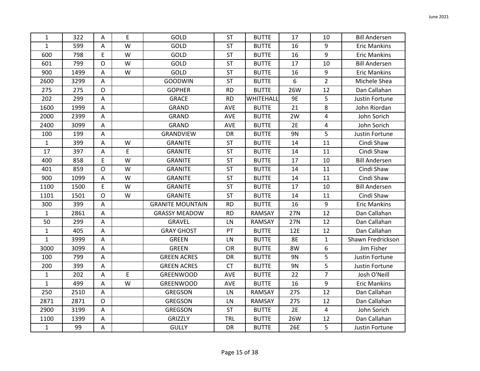| $\mathbf{1}$ | 322  | A                         | E           | GOLD                    | <b>ST</b>  | <b>BUTTE</b> | 17         | 10             | <b>Bill Andersen</b> |
|--------------|------|---------------------------|-------------|-------------------------|------------|--------------|------------|----------------|----------------------|
| $\mathbf{1}$ | 599  | A                         | W           | GOLD                    | <b>ST</b>  | <b>BUTTE</b> | 16         | 9              | <b>Eric Mankins</b>  |
| 600          | 798  | E                         | W           | GOLD                    | ST         | <b>BUTTE</b> | 16         | 9              | <b>Eric Mankins</b>  |
| 601          | 799  | $\circ$                   | W           | GOLD                    | <b>ST</b>  | <b>BUTTE</b> | 17         | 10             | <b>Bill Andersen</b> |
| 900          | 1499 | A                         | W           | GOLD                    | ST         | <b>BUTTE</b> | 16         | 9              | <b>Eric Mankins</b>  |
| 2600         | 3299 | Α                         |             | <b>GOODWIN</b>          | <b>ST</b>  | <b>BUTTE</b> | 6          | $\overline{2}$ | Michele Shea         |
| 275          | 275  | $\mathsf{O}$              |             | <b>GOPHER</b>           | <b>RD</b>  | <b>BUTTE</b> | 26W        | 12             | Dan Callahan         |
| 202          | 299  | $\boldsymbol{\mathsf{A}}$ |             | <b>GRACE</b>            | <b>RD</b>  | WHITEHALL    | 9E         | 5              | Justin Fortune       |
| 1600         | 1999 | $\boldsymbol{\mathsf{A}}$ |             | GRAND                   | AVE        | <b>BUTTE</b> | 21         | 8              | John Riordan         |
| 2000         | 2399 | A                         |             | <b>GRAND</b>            | AVE        | <b>BUTTE</b> | 2W         | 4              | John Sorich          |
| 2400         | 3099 | A                         |             | <b>GRAND</b>            | <b>AVE</b> | <b>BUTTE</b> | 2E         | 4              | John Sorich          |
| 100          | 199  | A                         |             | GRANDVIEW               | DR         | <b>BUTTE</b> | 9N         | 5              | Justin Fortune       |
| $\mathbf{1}$ | 399  | A                         | W           | <b>GRANITE</b>          | ST         | <b>BUTTE</b> | 14         | 11             | Cindi Shaw           |
| 17           | 397  | A                         | E           | <b>GRANITE</b>          | <b>ST</b>  | <b>BUTTE</b> | 14         | 11             | Cindi Shaw           |
| 400          | 858  | E                         | W           | <b>GRANITE</b>          | ST         | <b>BUTTE</b> | 17         | 10             | <b>Bill Andersen</b> |
| 401          | 859  | $\circ$                   | W           | <b>GRANITE</b>          | <b>ST</b>  | <b>BUTTE</b> | 14         | 11             | Cindi Shaw           |
| 900          | 1099 | $\mathsf A$               | W           | <b>GRANITE</b>          | ST         | <b>BUTTE</b> | 14         | 11             | Cindi Shaw           |
| 1100         | 1500 | E                         | W           | <b>GRANITE</b>          | <b>ST</b>  | <b>BUTTE</b> | 17         | 10             | <b>Bill Andersen</b> |
| 1101         | 1501 | $\mathsf{O}$              | W           | <b>GRANITE</b>          | <b>ST</b>  | <b>BUTTE</b> | 14         | 11             | Cindi Shaw           |
| 300          | 399  | $\mathsf A$               |             | <b>GRANITE MOUNTAIN</b> | <b>RD</b>  | <b>BUTTE</b> | 16         | 9              | <b>Eric Mankins</b>  |
| $\mathbf{1}$ | 2861 | A                         |             | <b>GRASSY MEADOW</b>    | <b>RD</b>  | RAMSAY       | 27N        | 12             | Dan Callahan         |
| 50           | 299  | A                         |             | GRAVEL                  | LN         | RAMSAY       | 27N        | 12             | Dan Callahan         |
| $\mathbf{1}$ | 405  | A                         |             | <b>GRAY GHOST</b>       | PT         | <b>BUTTE</b> | 12E        | 12             | Dan Callahan         |
| $\mathbf{1}$ | 3999 | A                         |             | <b>GREEN</b>            | LN         | <b>BUTTE</b> | <b>8E</b>  | $\mathbf{1}$   | Shawn Fredrickson    |
| 3000         | 3099 | Α                         |             | <b>GREEN</b>            | <b>CIR</b> | <b>BUTTE</b> | 8W         | 6              | Jim Fisher           |
| 100          | 799  | $\mathsf A$               |             | <b>GREEN ACRES</b>      | DR         | <b>BUTTE</b> | 9N         | 5              | Justin Fortune       |
| 200          | 399  | A                         |             | <b>GREEN ACRES</b>      | <b>CT</b>  | <b>BUTTE</b> | 9N         | 5              | Justin Fortune       |
| $\mathbf{1}$ | 202  | A                         | $\mathsf E$ | <b>GREENWOOD</b>        | AVE        | <b>BUTTE</b> | 22         | $\overline{7}$ | Josh O'Neill         |
| $\mathbf{1}$ | 499  | Α                         | W           | GREENWOOD               | AVE        | <b>BUTTE</b> | 16         | 9              | <b>Eric Mankins</b>  |
| 250          | 2510 | $\boldsymbol{\mathsf{A}}$ |             | <b>GREGSON</b>          | LN         | RAMSAY       | <b>27S</b> | 12             | Dan Callahan         |
| 2871         | 2871 | $\mathsf{O}$              |             | GREGSON                 | ${\sf LN}$ | RAMSAY       | 27S        | 12             | Dan Callahan         |
| 2900         | 3199 | A                         |             | <b>GREGSON</b>          | <b>ST</b>  | <b>BUTTE</b> | 2E         | 4              | John Sorich          |
| 1100         | 1399 | Α                         |             | <b>GRIZZLY</b>          | <b>TRL</b> | <b>BUTTE</b> | 26W        | 12             | Dan Callahan         |
| $\mathbf{1}$ | 99   | A                         |             | <b>GULLY</b>            | DR         | <b>BUTTE</b> | 26E        | $\overline{5}$ | Justin Fortune       |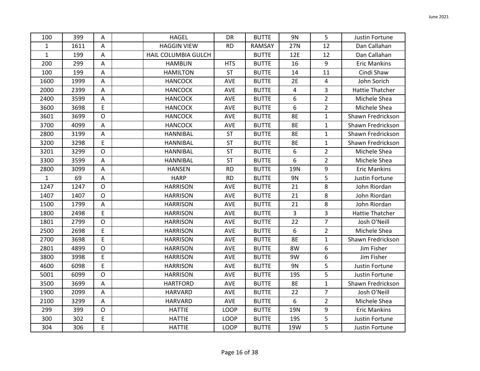| 100          | 399  | Α              | <b>HAGEL</b>        | <b>DR</b>   | <b>BUTTE</b>  | 9N         | 5              | Justin Fortune         |
|--------------|------|----------------|---------------------|-------------|---------------|------------|----------------|------------------------|
| $\mathbf{1}$ | 1611 | A              | <b>HAGGIN VIEW</b>  | <b>RD</b>   | <b>RAMSAY</b> | 27N        | 12             | Dan Callahan           |
| $\mathbf{1}$ | 199  | $\overline{A}$ | HAIL COLUMBIA GULCH |             | <b>BUTTE</b>  | 12E        | 12             | Dan Callahan           |
| 200          | 299  | A              | <b>HAMBLIN</b>      | <b>HTS</b>  | <b>BUTTE</b>  | 16         | 9              | <b>Eric Mankins</b>    |
| 100          | 199  | A              | <b>HAMILTON</b>     | <b>ST</b>   | <b>BUTTE</b>  | 14         | 11             | Cindi Shaw             |
| 1600         | 1999 | A              | <b>HANCOCK</b>      | <b>AVE</b>  | <b>BUTTE</b>  | 2E         | 4              | John Sorich            |
| 2000         | 2399 | $\mathsf{A}$   | <b>HANCOCK</b>      | AVE         | <b>BUTTE</b>  | 4          | $\overline{3}$ | <b>Hattie Thatcher</b> |
| 2400         | 3599 | $\overline{A}$ | <b>HANCOCK</b>      | AVE         | <b>BUTTE</b>  | 6          | $\overline{2}$ | Michele Shea           |
| 3600         | 3698 | E              | <b>HANCOCK</b>      | AVE         | <b>BUTTE</b>  | 6          | $\overline{2}$ | Michele Shea           |
| 3601         | 3699 | $\mathsf O$    | <b>HANCOCK</b>      | AVE         | <b>BUTTE</b>  | 8E         | $\mathbf{1}$   | Shawn Fredrickson      |
| 3700         | 4099 | A              | <b>HANCOCK</b>      | <b>AVE</b>  | <b>BUTTE</b>  | <b>8E</b>  | $\mathbf{1}$   | Shawn Fredrickson      |
| 2800         | 3199 | A              | <b>HANNIBAL</b>     | <b>ST</b>   | <b>BUTTE</b>  | 8E         | $\mathbf{1}$   | Shawn Fredrickson      |
| 3200         | 3298 | E              | <b>HANNIBAL</b>     | <b>ST</b>   | <b>BUTTE</b>  | 8E         | $\mathbf{1}$   | Shawn Fredrickson      |
| 3201         | 3299 | $\mathsf{O}$   | <b>HANNIBAL</b>     | <b>ST</b>   | <b>BUTTE</b>  | 6          | $\overline{2}$ | Michele Shea           |
| 3300         | 3599 | Α              | <b>HANNIBAL</b>     | <b>ST</b>   | <b>BUTTE</b>  | 6          | $\overline{2}$ | Michele Shea           |
| 2800         | 3099 | A              | <b>HANSEN</b>       | <b>RD</b>   | <b>BUTTE</b>  | <b>19N</b> | 9              | <b>Eric Mankins</b>    |
| $\mathbf 1$  | 69   | $\mathsf{A}$   | <b>HARP</b>         | <b>RD</b>   | <b>BUTTE</b>  | 9N         | 5              | Justin Fortune         |
| 1247         | 1247 | $\mathsf{O}$   | <b>HARRISON</b>     | AVE         | <b>BUTTE</b>  | 21         | 8              | John Riordan           |
| 1407         | 1407 | $\mathsf{O}$   | <b>HARRISON</b>     | <b>AVE</b>  | <b>BUTTE</b>  | 21         | 8              | John Riordan           |
| 1500         | 1799 | Α              | <b>HARRISON</b>     | AVE         | <b>BUTTE</b>  | 21         | 8              | John Riordan           |
| 1800         | 2498 | E              | <b>HARRISON</b>     | <b>AVE</b>  | <b>BUTTE</b>  | 3          | 3              | <b>Hattie Thatcher</b> |
| 1801         | 2799 | $\mathsf O$    | <b>HARRISON</b>     | <b>AVE</b>  | <b>BUTTE</b>  | 22         | $\overline{7}$ | Josh O'Neill           |
| 2500         | 2698 | E              | <b>HARRISON</b>     | AVE         | <b>BUTTE</b>  | 6          | $\overline{2}$ | Michele Shea           |
| 2700         | 3698 | E              | <b>HARRISON</b>     | AVE         | <b>BUTTE</b>  | <b>8E</b>  | $\mathbf{1}$   | Shawn Fredrickson      |
| 2801         | 4899 | $\mathsf{O}$   | <b>HARRISON</b>     | AVE         | <b>BUTTE</b>  | 8W         | 6              | Jim Fisher             |
| 3800         | 3998 | E              | <b>HARRISON</b>     | AVE         | <b>BUTTE</b>  | 9W         | 6              | Jim Fisher             |
| 4600         | 6098 | E              | <b>HARRISON</b>     | AVE         | <b>BUTTE</b>  | 9N         | 5              | Justin Fortune         |
| 5001         | 6099 | $\mathsf{O}$   | <b>HARRISON</b>     | AVE         | <b>BUTTE</b>  | <b>19S</b> | 5              | Justin Fortune         |
| 3500         | 3699 | A              | <b>HARTFORD</b>     | AVE         | <b>BUTTE</b>  | <b>8E</b>  | $\mathbf{1}$   | Shawn Fredrickson      |
| 1900         | 2099 | A              | <b>HARVARD</b>      | AVE         | <b>BUTTE</b>  | 22         | $\overline{7}$ | Josh O'Neill           |
| 2100         | 3299 | $\mathsf A$    | <b>HARVARD</b>      | AVE         | <b>BUTTE</b>  | 6          | $\overline{2}$ | Michele Shea           |
| 299          | 399  | $\mathsf O$    | <b>HATTIE</b>       | <b>LOOP</b> | <b>BUTTE</b>  | <b>19N</b> | 9              | <b>Eric Mankins</b>    |
| 300          | 302  | E              | <b>HATTIE</b>       | <b>LOOP</b> | <b>BUTTE</b>  | <b>19S</b> | 5              | Justin Fortune         |
| 304          | 306  | E              | <b>HATTIE</b>       | <b>LOOP</b> | <b>BUTTE</b>  | 19W        | 5              | Justin Fortune         |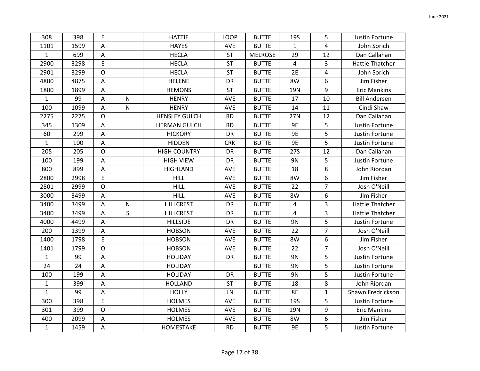| 308          | 398  | Ε                         |              | <b>HATTIE</b>        | <b>LOOP</b> | <b>BUTTE</b>   | <b>19S</b>   | 5              | Justin Fortune         |
|--------------|------|---------------------------|--------------|----------------------|-------------|----------------|--------------|----------------|------------------------|
| 1101         | 1599 | A                         |              | <b>HAYES</b>         | AVE         | <b>BUTTE</b>   | $\mathbf{1}$ | 4              | John Sorich            |
| $\mathbf{1}$ | 699  | A                         |              | <b>HECLA</b>         | <b>ST</b>   | <b>MELROSE</b> | 29           | 12             | Dan Callahan           |
| 2900         | 3298 | E                         |              | <b>HECLA</b>         | <b>ST</b>   | <b>BUTTE</b>   | 4            | 3              | <b>Hattie Thatcher</b> |
| 2901         | 3299 | $\circ$                   |              | <b>HECLA</b>         | <b>ST</b>   | <b>BUTTE</b>   | 2E           | 4              | John Sorich            |
| 4800         | 4875 | $\mathsf{A}$              |              | <b>HELENE</b>        | <b>DR</b>   | <b>BUTTE</b>   | 8W           | 6              | Jim Fisher             |
| 1800         | 1899 | A                         |              | <b>HEMONS</b>        | <b>ST</b>   | <b>BUTTE</b>   | 19N          | 9              | <b>Eric Mankins</b>    |
| $\mathbf{1}$ | 99   | A                         | $\mathsf{N}$ | <b>HENRY</b>         | AVE         | <b>BUTTE</b>   | 17           | 10             | <b>Bill Andersen</b>   |
| 100          | 1099 | A                         | ${\sf N}$    | <b>HENRY</b>         | AVE         | <b>BUTTE</b>   | 14           | 11             | Cindi Shaw             |
| 2275         | 2275 | $\mathsf O$               |              | <b>HENSLEY GULCH</b> | <b>RD</b>   | <b>BUTTE</b>   | 27N          | 12             | Dan Callahan           |
| 345          | 1309 | A                         |              | <b>HERMAN GULCH</b>  | <b>RD</b>   | <b>BUTTE</b>   | 9E           | 5              | Justin Fortune         |
| 60           | 299  | A                         |              | <b>HICKORY</b>       | DR          | <b>BUTTE</b>   | <b>9E</b>    | 5              | Justin Fortune         |
| $\mathbf{1}$ | 100  | A                         |              | <b>HIDDEN</b>        | <b>CRK</b>  | <b>BUTTE</b>   | 9E           | 5              | Justin Fortune         |
| 205          | 205  | $\mathsf{O}$              |              | <b>HIGH COUNTRY</b>  | DR          | <b>BUTTE</b>   | <b>27S</b>   | 12             | Dan Callahan           |
| 100          | 199  | A                         |              | <b>HIGH VIEW</b>     | DR          | <b>BUTTE</b>   | 9N           | 5              | Justin Fortune         |
| 800          | 899  | Α                         |              | <b>HIGHLAND</b>      | AVE         | <b>BUTTE</b>   | 18           | 8              | John Riordan           |
| 2800         | 2998 | E                         |              | <b>HILL</b>          | AVE         | <b>BUTTE</b>   | 8W           | 6              | Jim Fisher             |
| 2801         | 2999 | $\mathsf{O}$              |              | <b>HILL</b>          | AVE         | <b>BUTTE</b>   | 22           | $\overline{7}$ | Josh O'Neill           |
| 3000         | 3499 | $\overline{A}$            |              | <b>HILL</b>          | AVE         | <b>BUTTE</b>   | 8W           | 6              | Jim Fisher             |
| 3400         | 3499 | Α                         | $\mathsf{N}$ | <b>HILLCREST</b>     | <b>DR</b>   | <b>BUTTE</b>   | 4            | 3              | <b>Hattie Thatcher</b> |
| 3400         | 3499 | A                         | S            | <b>HILLCREST</b>     | DR          | <b>BUTTE</b>   | 4            | 3              | <b>Hattie Thatcher</b> |
| 4000         | 4499 | A                         |              | <b>HILLSIDE</b>      | DR          | <b>BUTTE</b>   | 9N           | 5              | Justin Fortune         |
| 200          | 1399 | A                         |              | <b>HOBSON</b>        | AVE         | <b>BUTTE</b>   | 22           | $\overline{7}$ | Josh O'Neill           |
| 1400         | 1798 | E                         |              | <b>HOBSON</b>        | <b>AVE</b>  | <b>BUTTE</b>   | 8W           | 6              | Jim Fisher             |
| 1401         | 1799 | $\mathsf{O}$              |              | <b>HOBSON</b>        | AVE         | <b>BUTTE</b>   | 22           | $\overline{7}$ | Josh O'Neill           |
| $\mathbf 1$  | 99   | $\mathsf{A}$              |              | <b>HOLIDAY</b>       | <b>DR</b>   | <b>BUTTE</b>   | 9N           | 5              | Justin Fortune         |
| 24           | 24   | A                         |              | <b>HOLIDAY</b>       |             | <b>BUTTE</b>   | 9N           | 5              | Justin Fortune         |
| 100          | 199  | A                         |              | <b>HOLIDAY</b>       | DR          | <b>BUTTE</b>   | 9N           | 5              | Justin Fortune         |
| $\mathbf{1}$ | 399  | Α                         |              | <b>HOLLAND</b>       | <b>ST</b>   | <b>BUTTE</b>   | 18           | 8              | John Riordan           |
| $\mathbf 1$  | 99   | Α                         |              | <b>HOLLY</b>         | LN          | <b>BUTTE</b>   | <b>8E</b>    | $\mathbf{1}$   | Shawn Fredrickson      |
| 300          | 398  | E                         |              | <b>HOLMES</b>        | AVE         | <b>BUTTE</b>   | <b>19S</b>   | 5              | Justin Fortune         |
| 301          | 399  | $\mathsf{O}$              |              | <b>HOLMES</b>        | <b>AVE</b>  | <b>BUTTE</b>   | <b>19N</b>   | 9              | <b>Eric Mankins</b>    |
| 400          | 2099 | A                         |              | <b>HOLMES</b>        | AVE         | <b>BUTTE</b>   | 8W           | 6              | Jim Fisher             |
| $\mathbf 1$  | 1459 | $\boldsymbol{\mathsf{A}}$ |              | HOMESTAKE            | <b>RD</b>   | <b>BUTTE</b>   | 9E           | 5              | Justin Fortune         |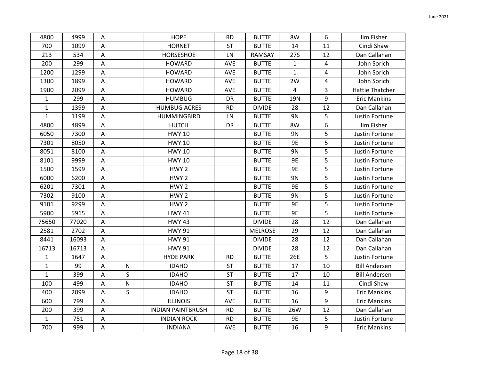| 4800         | 4999  | Α              |              | <b>HOPE</b>              | <b>RD</b>  | <b>BUTTE</b>   | 8W           | 6  | Jim Fisher             |
|--------------|-------|----------------|--------------|--------------------------|------------|----------------|--------------|----|------------------------|
| 700          | 1099  | A              |              | <b>HORNET</b>            | <b>ST</b>  | <b>BUTTE</b>   | 14           | 11 | Cindi Shaw             |
| 213          | 534   | $\mathsf{A}$   |              | HORSESHOE                | LN         | RAMSAY         | <b>27S</b>   | 12 | Dan Callahan           |
| 200          | 299   | Α              |              | <b>HOWARD</b>            | <b>AVE</b> | <b>BUTTE</b>   | 1            | 4  | John Sorich            |
| 1200         | 1299  | A              |              | <b>HOWARD</b>            | AVE        | <b>BUTTE</b>   | $\mathbf{1}$ | 4  | John Sorich            |
| 1300         | 1899  | $\mathsf{A}$   |              | <b>HOWARD</b>            | AVE        | <b>BUTTE</b>   | 2W           | 4  | John Sorich            |
| 1900         | 2099  | A              |              | <b>HOWARD</b>            | AVE        | <b>BUTTE</b>   | 4            | 3  | <b>Hattie Thatcher</b> |
| $\mathbf{1}$ | 299   | A              |              | <b>HUMBUG</b>            | DR         | <b>BUTTE</b>   | 19N          | 9  | <b>Eric Mankins</b>    |
| $\mathbf 1$  | 1399  | $\overline{A}$ |              | <b>HUMBUG ACRES</b>      | <b>RD</b>  | <b>DIVIDE</b>  | 28           | 12 | Dan Callahan           |
| $\mathbf{1}$ | 1199  | $\overline{A}$ |              | <b>HUMMINGBIRD</b>       | LN         | <b>BUTTE</b>   | 9N           | 5  | Justin Fortune         |
| 4800         | 4899  | A              |              | <b>HUTCH</b>             | DR         | <b>BUTTE</b>   | 8W           | 6  | Jim Fisher             |
| 6050         | 7300  | $\mathsf{A}$   |              | <b>HWY 10</b>            |            | <b>BUTTE</b>   | 9N           | 5  | Justin Fortune         |
| 7301         | 8050  | A              |              | <b>HWY 10</b>            |            | <b>BUTTE</b>   | 9E           | 5  | Justin Fortune         |
| 8051         | 8100  | $\mathsf{A}$   |              | <b>HWY 10</b>            |            | <b>BUTTE</b>   | 9N           | 5  | Justin Fortune         |
| 8101         | 9999  | $\mathsf{A}$   |              | <b>HWY 10</b>            |            | <b>BUTTE</b>   | <b>9E</b>    | 5  | Justin Fortune         |
| 1500         | 1599  | A              |              | HWY <sub>2</sub>         |            | <b>BUTTE</b>   | <b>9E</b>    | 5  | Justin Fortune         |
| 6000         | 6200  | A              |              | HWY <sub>2</sub>         |            | <b>BUTTE</b>   | 9N           | 5  | Justin Fortune         |
| 6201         | 7301  | $\mathsf{A}$   |              | HWY <sub>2</sub>         |            | <b>BUTTE</b>   | 9E           | 5  | Justin Fortune         |
| 7302         | 9100  | $\overline{A}$ |              | HWY <sub>2</sub>         |            | <b>BUTTE</b>   | <b>9N</b>    | 5  | Justin Fortune         |
| 9101         | 9299  | A              |              | HWY <sub>2</sub>         |            | <b>BUTTE</b>   | <b>9E</b>    | 5  | Justin Fortune         |
| 5900         | 5915  | A              |              | <b>HWY 41</b>            |            | <b>BUTTE</b>   | 9E           | 5  | Justin Fortune         |
| 75650        | 77020 | A              |              | <b>HWY 43</b>            |            | <b>DIVIDE</b>  | 28           | 12 | Dan Callahan           |
| 2581         | 2702  | A              |              | <b>HWY 91</b>            |            | <b>MELROSE</b> | 29           | 12 | Dan Callahan           |
| 8441         | 16093 | $\mathsf{A}$   |              | <b>HWY 91</b>            |            | <b>DIVIDE</b>  | 28           | 12 | Dan Callahan           |
| 16713        | 16713 | A              |              | <b>HWY 91</b>            |            | <b>DIVIDE</b>  | 28           | 12 | Dan Callahan           |
| $\mathbf 1$  | 1647  | A              |              | <b>HYDE PARK</b>         | <b>RD</b>  | <b>BUTTE</b>   | 26E          | 5  | Justin Fortune         |
| $\mathbf 1$  | 99    | A              | ${\sf N}$    | <b>IDAHO</b>             | ST         | <b>BUTTE</b>   | 17           | 10 | <b>Bill Andersen</b>   |
| $\mathbf{1}$ | 399   | $\mathsf{A}$   | S            | <b>IDAHO</b>             | <b>ST</b>  | <b>BUTTE</b>   | 17           | 10 | <b>Bill Andersen</b>   |
| 100          | 499   | A              | ${\sf N}$    | <b>IDAHO</b>             | <b>ST</b>  | <b>BUTTE</b>   | 14           | 11 | Cindi Shaw             |
| 400          | 2099  | A              | $\mathsf{S}$ | <b>IDAHO</b>             | <b>ST</b>  | <b>BUTTE</b>   | 16           | 9  | <b>Eric Mankins</b>    |
| 600          | 799   | $\mathsf A$    |              | <b>ILLINOIS</b>          | AVE        | <b>BUTTE</b>   | 16           | 9  | <b>Eric Mankins</b>    |
| 200          | 399   | A              |              | <b>INDIAN PAINTBRUSH</b> | <b>RD</b>  | <b>BUTTE</b>   | 26W          | 12 | Dan Callahan           |
| $\mathbf{1}$ | 751   | $\mathsf{A}$   |              | <b>INDIAN ROCK</b>       | <b>RD</b>  | <b>BUTTE</b>   | 9E           | 5  | Justin Fortune         |
| 700          | 999   | A              |              | <b>INDIANA</b>           | AVE        | <b>BUTTE</b>   | 16           | 9  | <b>Eric Mankins</b>    |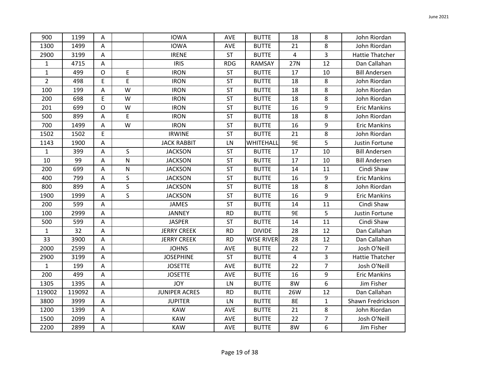| 900            | 1199   | A                         |                         | <b>IOWA</b>          | <b>AVE</b> | <b>BUTTE</b>      | 18             | 8              | John Riordan           |
|----------------|--------|---------------------------|-------------------------|----------------------|------------|-------------------|----------------|----------------|------------------------|
| 1300           | 1499   | A                         |                         | <b>IOWA</b>          | AVE        | <b>BUTTE</b>      | 21             | 8              | John Riordan           |
| 2900           | 3199   | A                         |                         | <b>IRENE</b>         | <b>ST</b>  | <b>BUTTE</b>      | $\overline{4}$ | 3              | Hattie Thatcher        |
| $\mathbf{1}$   | 4715   | Α                         |                         | <b>IRIS</b>          | <b>RDG</b> | <b>RAMSAY</b>     | 27N            | 12             | Dan Callahan           |
| $\mathbf{1}$   | 499    | $\circ$                   | E                       | <b>IRON</b>          | <b>ST</b>  | <b>BUTTE</b>      | 17             | 10             | <b>Bill Andersen</b>   |
| $\overline{2}$ | 498    | E                         | E                       | <b>IRON</b>          | ST         | <b>BUTTE</b>      | 18             | 8              | John Riordan           |
| 100            | 199    | A                         | W                       | <b>IRON</b>          | <b>ST</b>  | <b>BUTTE</b>      | 18             | 8              | John Riordan           |
| 200            | 698    | E                         | W                       | <b>IRON</b>          | <b>ST</b>  | <b>BUTTE</b>      | 18             | 8              | John Riordan           |
| 201            | 699    | $\mathsf{O}$              | W                       | <b>IRON</b>          | ST         | <b>BUTTE</b>      | 16             | 9              | <b>Eric Mankins</b>    |
| 500            | 899    | $\mathsf A$               | $\mathsf E$             | <b>IRON</b>          | <b>ST</b>  | <b>BUTTE</b>      | 18             | 8              | John Riordan           |
| 700            | 1499   | A                         | W                       | <b>IRON</b>          | <b>ST</b>  | <b>BUTTE</b>      | 16             | 9              | <b>Eric Mankins</b>    |
| 1502           | 1502   | E                         |                         | <b>IRWINE</b>        | <b>ST</b>  | <b>BUTTE</b>      | 21             | 8              | John Riordan           |
| 1143           | 1900   | A                         |                         | <b>JACK RABBIT</b>   | LN         | WHITEHALL         | 9E             | 5              | Justin Fortune         |
| $\mathbf{1}$   | 399    | A                         | $\mathsf S$             | <b>JACKSON</b>       | <b>ST</b>  | <b>BUTTE</b>      | 17             | 10             | <b>Bill Andersen</b>   |
| $10\,$         | 99     | A                         | $\overline{\mathsf{N}}$ | <b>JACKSON</b>       | ST         | <b>BUTTE</b>      | 17             | 10             | <b>Bill Andersen</b>   |
| 200            | 699    | A                         | ${\sf N}$               | <b>JACKSON</b>       | <b>ST</b>  | <b>BUTTE</b>      | 14             | 11             | Cindi Shaw             |
| 400            | 799    | Α                         | $\sf S$                 | <b>JACKSON</b>       | <b>ST</b>  | <b>BUTTE</b>      | 16             | 9              | <b>Eric Mankins</b>    |
| 800            | 899    | A                         | $\mathsf{S}$            | <b>JACKSON</b>       | <b>ST</b>  | <b>BUTTE</b>      | 18             | 8              | John Riordan           |
| 1900           | 1999   | $\overline{A}$            | $\mathsf{S}$            | <b>JACKSON</b>       | <b>ST</b>  | <b>BUTTE</b>      | 16             | 9              | <b>Eric Mankins</b>    |
| 200            | 599    | $\boldsymbol{\mathsf{A}}$ |                         | <b>JAMES</b>         | <b>ST</b>  | <b>BUTTE</b>      | 14             | 11             | Cindi Shaw             |
| 100            | 2999   | Α                         |                         | <b>JANNEY</b>        | <b>RD</b>  | <b>BUTTE</b>      | 9E             | 5              | Justin Fortune         |
| 500            | 599    | A                         |                         | <b>JASPER</b>        | <b>ST</b>  | <b>BUTTE</b>      | 14             | 11             | Cindi Shaw             |
| $\mathbf{1}$   | 32     | A                         |                         | <b>JERRY CREEK</b>   | <b>RD</b>  | <b>DIVIDE</b>     | 28             | 12             | Dan Callahan           |
| 33             | 3900   | A                         |                         | <b>JERRY CREEK</b>   | <b>RD</b>  | <b>WISE RIVER</b> | 28             | 12             | Dan Callahan           |
| 2000           | 2599   | A                         |                         | <b>JOHNS</b>         | AVE        | <b>BUTTE</b>      | 22             | $\overline{7}$ | Josh O'Neill           |
| 2900           | 3199   | A                         |                         | <b>JOSEPHINE</b>     | <b>ST</b>  | <b>BUTTE</b>      | 4              | 3              | <b>Hattie Thatcher</b> |
| $\mathbf{1}$   | 199    | A                         |                         | <b>JOSETTE</b>       | AVE        | <b>BUTTE</b>      | 22             | $\overline{7}$ | Josh O'Neill           |
| 200            | 499    | A                         |                         | <b>JOSETTE</b>       | AVE        | <b>BUTTE</b>      | 16             | 9              | <b>Eric Mankins</b>    |
| 1305           | 1395   | A                         |                         | <b>JOY</b>           | LN         | <b>BUTTE</b>      | 8W             | 6              | Jim Fisher             |
| 119002         | 119092 | A                         |                         | <b>JUNIPER ACRES</b> | <b>RD</b>  | <b>BUTTE</b>      | 26W            | 12             | Dan Callahan           |
| 3800           | 3999   | $\mathsf A$               |                         | <b>JUPITER</b>       | ${\sf LN}$ | <b>BUTTE</b>      | <b>8E</b>      | $\mathbf{1}$   | Shawn Fredrickson      |
| 1200           | 1399   | $\overline{\mathsf{A}}$   |                         | <b>KAW</b>           | <b>AVE</b> | <b>BUTTE</b>      | 21             | 8              | John Riordan           |
| 1500           | 2099   | A                         |                         | <b>KAW</b>           | AVE        | <b>BUTTE</b>      | 22             | 7              | Josh O'Neill           |
| 2200           | 2899   | $\mathsf A$               |                         | <b>KAW</b>           | AVE        | <b>BUTTE</b>      | 8W             | 6              | Jim Fisher             |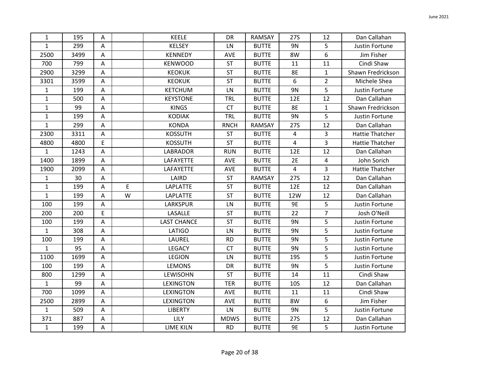| $\mathbf{1}$ | 195  | Α           |   | <b>KEELE</b>       | DR          | RAMSAY        | <b>27S</b> | 12             | Dan Callahan           |
|--------------|------|-------------|---|--------------------|-------------|---------------|------------|----------------|------------------------|
| $\mathbf{1}$ | 299  | Α           |   | <b>KELSEY</b>      | LN          | <b>BUTTE</b>  | 9N         | 5              | Justin Fortune         |
| 2500         | 3499 | Α           |   | <b>KENNEDY</b>     | AVE         | <b>BUTTE</b>  | 8W         | 6              | Jim Fisher             |
| 700          | 799  | Α           |   | <b>KENWOOD</b>     | <b>ST</b>   | <b>BUTTE</b>  | 11         | 11             | Cindi Shaw             |
| 2900         | 3299 | Α           |   | <b>KEOKUK</b>      | <b>ST</b>   | <b>BUTTE</b>  | 8E         | $\mathbf{1}$   | Shawn Fredrickson      |
| 3301         | 3599 | Α           |   | <b>KEOKUK</b>      | ST          | <b>BUTTE</b>  | 6          | $\overline{2}$ | Michele Shea           |
| $\mathbf{1}$ | 199  | Α           |   | <b>KETCHUM</b>     | LN          | <b>BUTTE</b>  | <b>9N</b>  | 5              | Justin Fortune         |
| $\mathbf{1}$ | 500  | А           |   | <b>KEYSTONE</b>    | TRL         | <b>BUTTE</b>  | 12E        | 12             | Dan Callahan           |
| $\mathbf{1}$ | 99   | Α           |   | <b>KINGS</b>       | <b>CT</b>   | <b>BUTTE</b>  | <b>8E</b>  | $\mathbf{1}$   | Shawn Fredrickson      |
| $\mathbf{1}$ | 199  | A           |   | <b>KODIAK</b>      | TRL         | <b>BUTTE</b>  | <b>9N</b>  | 5              | Justin Fortune         |
| $\mathbf{1}$ | 299  | Α           |   | <b>KONDA</b>       | <b>RNCH</b> | RAMSAY        | 27S        | 12             | Dan Callahan           |
| 2300         | 3311 | Α           |   | <b>KOSSUTH</b>     | <b>ST</b>   | <b>BUTTE</b>  | 4          | $\overline{3}$ | <b>Hattie Thatcher</b> |
| 4800         | 4800 | E           |   | <b>KOSSUTH</b>     | <b>ST</b>   | <b>BUTTE</b>  | 4          | 3              | <b>Hattie Thatcher</b> |
| $\mathbf{1}$ | 1243 | А           |   | <b>LABRADOR</b>    | <b>RUN</b>  | <b>BUTTE</b>  | 12E        | 12             | Dan Callahan           |
| 1400         | 1899 | Α           |   | LAFAYETTE          | AVE         | <b>BUTTE</b>  | 2E         | 4              | John Sorich            |
| 1900         | 2099 | Α           |   | LAFAYETTE          | AVE         | <b>BUTTE</b>  | 4          | 3              | <b>Hattie Thatcher</b> |
| $\mathbf{1}$ | 30   | Α           |   | LAIRD              | <b>ST</b>   | <b>RAMSAY</b> | 27S        | 12             | Dan Callahan           |
| $\mathbf{1}$ | 199  | Α           | E | <b>LAPLATTE</b>    | <b>ST</b>   | <b>BUTTE</b>  | 12E        | 12             | Dan Callahan           |
| $\mathbf{1}$ | 199  | Α           | W | <b>LAPLATTE</b>    | <b>ST</b>   | <b>BUTTE</b>  | 12W        | 12             | Dan Callahan           |
| 100          | 199  | А           |   | LARKSPUR           | LN          | <b>BUTTE</b>  | <b>9E</b>  | 5              | Justin Fortune         |
| 200          | 200  | E           |   | LASALLE            | <b>ST</b>   | <b>BUTTE</b>  | 22         | 7              | Josh O'Neill           |
| 100          | 199  | A           |   | <b>LAST CHANCE</b> | <b>ST</b>   | <b>BUTTE</b>  | 9N         | 5              | Justin Fortune         |
| $\mathbf{1}$ | 308  | Α           |   | <b>LATIGO</b>      | LN          | <b>BUTTE</b>  | 9N         | 5              | Justin Fortune         |
| 100          | 199  | Α           |   | LAUREL             | <b>RD</b>   | <b>BUTTE</b>  | 9N         | 5              | Justin Fortune         |
| $\mathbf{1}$ | 95   | Α           |   | <b>LEGACY</b>      | <b>CT</b>   | <b>BUTTE</b>  | 9N         | 5              | Justin Fortune         |
| 1100         | 1699 | Α           |   | <b>LEGION</b>      | LN          | <b>BUTTE</b>  | <b>19S</b> | 5              | Justin Fortune         |
| 100          | 199  | Α           |   | <b>LEMONS</b>      | DR          | <b>BUTTE</b>  | 9N         | 5              | Justin Fortune         |
| 800          | 1299 | Α           |   | LEWISOHN           | ST          | <b>BUTTE</b>  | 14         | 11             | Cindi Shaw             |
| $\mathbf{1}$ | 99   | Α           |   | <b>LEXINGTON</b>   | <b>TER</b>  | <b>BUTTE</b>  | <b>10S</b> | 12             | Dan Callahan           |
| 700          | 1099 | А           |   | <b>LEXINGTON</b>   | AVE         | <b>BUTTE</b>  | 11         | 11             | Cindi Shaw             |
| 2500         | 2899 | A           |   | <b>LEXINGTON</b>   | AVE         | <b>BUTTE</b>  | 8W         | 6              | Jim Fisher             |
| $\mathbf{1}$ | 509  | Α           |   | <b>LIBERTY</b>     | LN          | <b>BUTTE</b>  | 9N         | 5              | Justin Fortune         |
| 371          | 887  | Α           |   | LILY               | <b>MDWS</b> | <b>BUTTE</b>  | 27S        | 12             | Dan Callahan           |
| $\mathbf{1}$ | 199  | $\mathsf A$ |   | <b>LIME KILN</b>   | <b>RD</b>   | <b>BUTTE</b>  | 9E         | 5              | Justin Fortune         |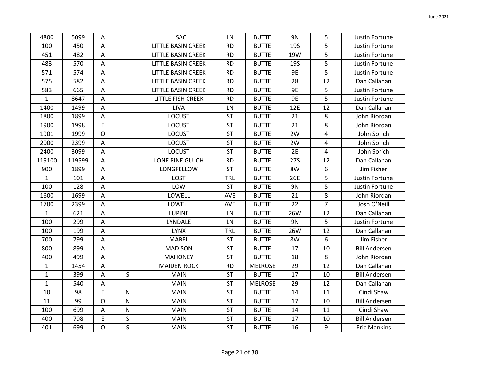| 4800         | 5099   | Α              |              | <b>LISAC</b>              | LN         | <b>BUTTE</b>   | 9N         | 5              | Justin Fortune       |
|--------------|--------|----------------|--------------|---------------------------|------------|----------------|------------|----------------|----------------------|
| 100          | 450    | A              |              | <b>LITTLE BASIN CREEK</b> | <b>RD</b>  | <b>BUTTE</b>   | <b>19S</b> | 5              | Justin Fortune       |
| 451          | 482    | $\overline{A}$ |              | LITTLE BASIN CREEK        | <b>RD</b>  | <b>BUTTE</b>   | 19W        | 5              | Justin Fortune       |
| 483          | 570    | Α              |              | <b>LITTLE BASIN CREEK</b> | <b>RD</b>  | <b>BUTTE</b>   | <b>19S</b> | 5              | Justin Fortune       |
| 571          | 574    | A              |              | <b>LITTLE BASIN CREEK</b> | <b>RD</b>  | <b>BUTTE</b>   | 9E         | 5              | Justin Fortune       |
| 575          | 582    | $\mathsf{A}$   |              | LITTLE BASIN CREEK        | <b>RD</b>  | <b>BUTTE</b>   | 28         | 12             | Dan Callahan         |
| 583          | 665    | A              |              | <b>LITTLE BASIN CREEK</b> | <b>RD</b>  | <b>BUTTE</b>   | 9E         | 5              | Justin Fortune       |
| $\mathbf{1}$ | 8647   | A              |              | LITTLE FISH CREEK         | <b>RD</b>  | <b>BUTTE</b>   | 9E         | 5              | Justin Fortune       |
| 1400         | 1499   | Α              |              | <b>LIVA</b>               | LN         | <b>BUTTE</b>   | 12E        | 12             | Dan Callahan         |
| 1800         | 1899   | $\mathsf A$    |              | <b>LOCUST</b>             | ST         | <b>BUTTE</b>   | 21         | 8              | John Riordan         |
| 1900         | 1998   | E              |              | <b>LOCUST</b>             | <b>ST</b>  | <b>BUTTE</b>   | 21         | 8              | John Riordan         |
| 1901         | 1999   | $\mathsf O$    |              | <b>LOCUST</b>             | <b>ST</b>  | <b>BUTTE</b>   | 2W         | 4              | John Sorich          |
| 2000         | 2399   | A              |              | <b>LOCUST</b>             | ST         | <b>BUTTE</b>   | 2W         | 4              | John Sorich          |
| 2400         | 3099   | A              |              | <b>LOCUST</b>             | ST         | <b>BUTTE</b>   | 2E         | 4              | John Sorich          |
| 119100       | 119599 | A              |              | LONE PINE GULCH           | <b>RD</b>  | <b>BUTTE</b>   | 27S        | 12             | Dan Callahan         |
| 900          | 1899   | A              |              | LONGFELLOW                | <b>ST</b>  | <b>BUTTE</b>   | 8W         | 6              | Jim Fisher           |
| $\mathbf{1}$ | 101    | A              |              | <b>LOST</b>               | <b>TRL</b> | <b>BUTTE</b>   | 26E        | 5              | Justin Fortune       |
| 100          | 128    | A              |              | LOW                       | <b>ST</b>  | <b>BUTTE</b>   | 9N         | 5              | Justin Fortune       |
| 1600         | 1699   | $\overline{A}$ |              | LOWELL                    | AVE        | <b>BUTTE</b>   | 21         | 8              | John Riordan         |
| 1700         | 2399   | A              |              | LOWELL                    | AVE        | <b>BUTTE</b>   | 22         | $\overline{7}$ | Josh O'Neill         |
| $\mathbf{1}$ | 621    | A              |              | <b>LUPINE</b>             | LN         | <b>BUTTE</b>   | 26W        | 12             | Dan Callahan         |
| 100          | 299    | A              |              | LYNDALE                   | LN         | <b>BUTTE</b>   | 9N         | 5              | Justin Fortune       |
| 100          | 199    | A              |              | <b>LYNX</b>               | <b>TRL</b> | <b>BUTTE</b>   | 26W        | 12             | Dan Callahan         |
| 700          | 799    | A              |              | <b>MABEL</b>              | <b>ST</b>  | <b>BUTTE</b>   | 8W         | 6              | Jim Fisher           |
| 800          | 899    | A              |              | <b>MADISON</b>            | ST         | <b>BUTTE</b>   | 17         | 10             | <b>Bill Andersen</b> |
| 400          | 499    | $\mathsf{A}$   |              | <b>MAHONEY</b>            | <b>ST</b>  | <b>BUTTE</b>   | 18         | 8              | John Riordan         |
| $\mathbf{1}$ | 1454   | A              |              | <b>MAIDEN ROCK</b>        | <b>RD</b>  | <b>MELROSE</b> | 29         | 12             | Dan Callahan         |
| $\mathbf{1}$ | 399    | Α              | $\mathsf{S}$ | <b>MAIN</b>               | ST         | <b>BUTTE</b>   | 17         | 10             | <b>Bill Andersen</b> |
| $\mathbf{1}$ | 540    | A              |              | <b>MAIN</b>               | <b>ST</b>  | <b>MELROSE</b> | 29         | 12             | Dan Callahan         |
| 10           | 98     | E              | ${\sf N}$    | <b>MAIN</b>               | <b>ST</b>  | <b>BUTTE</b>   | 14         | 11             | Cindi Shaw           |
| 11           | 99     | $\mathsf{O}$   | ${\sf N}$    | <b>MAIN</b>               | <b>ST</b>  | <b>BUTTE</b>   | 17         | 10             | <b>Bill Andersen</b> |
| 100          | 699    | A              | ${\sf N}$    | <b>MAIN</b>               | <b>ST</b>  | <b>BUTTE</b>   | 14         | 11             | Cindi Shaw           |
| 400          | 798    | E              | $\sf S$      | <b>MAIN</b>               | ST         | <b>BUTTE</b>   | 17         | 10             | <b>Bill Andersen</b> |
| 401          | 699    | $\mathsf{O}$   | S            | <b>MAIN</b>               | <b>ST</b>  | <b>BUTTE</b>   | 16         | 9              | <b>Eric Mankins</b>  |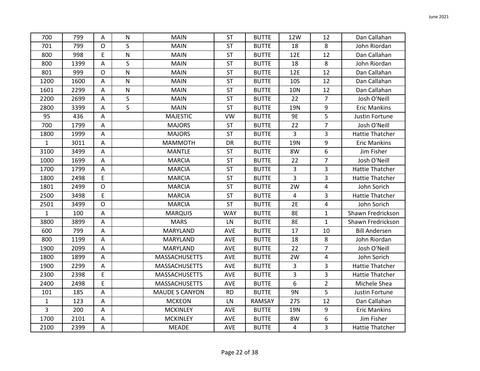| 700          | 799  | A                         | $\mathsf{N}$            | <b>MAIN</b>           | <b>ST</b>  | <b>BUTTE</b> | 12W            | 12             | Dan Callahan           |
|--------------|------|---------------------------|-------------------------|-----------------------|------------|--------------|----------------|----------------|------------------------|
| 701          | 799  | $\mathsf{O}$              | $\mathsf{S}$            | <b>MAIN</b>           | <b>ST</b>  | <b>BUTTE</b> | 18             | 8              | John Riordan           |
| 800          | 998  | E                         | ${\sf N}$               | <b>MAIN</b>           | ST         | <b>BUTTE</b> | 12E            | 12             | Dan Callahan           |
| 800          | 1399 | $\mathsf A$               | $\mathsf{S}$            | <b>MAIN</b>           | <b>ST</b>  | <b>BUTTE</b> | 18             | 8              | John Riordan           |
| 801          | 999  | $\mathsf{O}$              | $\mathsf{N}$            | <b>MAIN</b>           | <b>ST</b>  | <b>BUTTE</b> | 12E            | 12             | Dan Callahan           |
| 1200         | 1600 | A                         | ${\sf N}$               | <b>MAIN</b>           | <b>ST</b>  | <b>BUTTE</b> | <b>10S</b>     | 12             | Dan Callahan           |
| 1601         | 2299 | A                         | $\overline{\mathsf{N}}$ | <b>MAIN</b>           | <b>ST</b>  | <b>BUTTE</b> | <b>10N</b>     | 12             | Dan Callahan           |
| 2200         | 2699 | $\boldsymbol{\mathsf{A}}$ | $\sf S$                 | <b>MAIN</b>           | ST         | <b>BUTTE</b> | 22             | $\overline{7}$ | Josh O'Neill           |
| 2800         | 3399 | A                         | $\mathsf{S}$            | <b>MAIN</b>           | <b>ST</b>  | <b>BUTTE</b> | <b>19N</b>     | 9              | <b>Eric Mankins</b>    |
| 95           | 436  | Α                         |                         | <b>MAJESTIC</b>       | <b>VW</b>  | <b>BUTTE</b> | <b>9E</b>      | 5              | Justin Fortune         |
| 700          | 1799 | A                         |                         | <b>MAJORS</b>         | ST         | <b>BUTTE</b> | 22             | $\overline{7}$ | Josh O'Neill           |
| 1800         | 1999 | $\mathsf A$               |                         | <b>MAJORS</b>         | ST         | <b>BUTTE</b> | 3              | 3              | <b>Hattie Thatcher</b> |
| $\mathbf{1}$ | 3011 | $\boldsymbol{\mathsf{A}}$ |                         | <b>MAMMOTH</b>        | <b>DR</b>  | <b>BUTTE</b> | 19N            | 9              | <b>Eric Mankins</b>    |
| 3100         | 3499 | A                         |                         | <b>MANTLE</b>         | <b>ST</b>  | <b>BUTTE</b> | 8W             | 6              | Jim Fisher             |
| 1000         | 1699 | $\mathsf A$               |                         | <b>MARCIA</b>         | <b>ST</b>  | <b>BUTTE</b> | 22             | $\overline{7}$ | Josh O'Neill           |
| 1700         | 1799 | A                         |                         | <b>MARCIA</b>         | <b>ST</b>  | <b>BUTTE</b> | 3              | 3              | <b>Hattie Thatcher</b> |
| 1800         | 2498 | E                         |                         | <b>MARCIA</b>         | <b>ST</b>  | <b>BUTTE</b> | 3              | 3              | <b>Hattie Thatcher</b> |
| 1801         | 2499 | $\mathsf{O}$              |                         | <b>MARCIA</b>         | <b>ST</b>  | <b>BUTTE</b> | 2W             | 4              | John Sorich            |
| 2500         | 3498 | E                         |                         | <b>MARCIA</b>         | <b>ST</b>  | <b>BUTTE</b> | $\overline{4}$ | 3              | <b>Hattie Thatcher</b> |
| 2501         | 3499 | $\mathsf{O}$              |                         | <b>MARCIA</b>         | <b>ST</b>  | <b>BUTTE</b> | 2E             | 4              | John Sorich            |
| $\mathbf{1}$ | 100  | A                         |                         | <b>MARQUIS</b>        | <b>WAY</b> | <b>BUTTE</b> | <b>8E</b>      | $\mathbf{1}$   | Shawn Fredrickson      |
| 3800         | 3899 | Α                         |                         | <b>MARS</b>           | LN         | <b>BUTTE</b> | 8E             | $\mathbf{1}$   | Shawn Fredrickson      |
| 600          | 799  | $\boldsymbol{\mathsf{A}}$ |                         | MARYLAND              | AVE        | <b>BUTTE</b> | 17             | 10             | <b>Bill Andersen</b>   |
| 800          | 1199 | $\overline{A}$            |                         | MARYLAND              | <b>AVE</b> | <b>BUTTE</b> | 18             | 8              | John Riordan           |
| 1900         | 2099 | A                         |                         | MARYLAND              | AVE        | <b>BUTTE</b> | 22             | $\overline{7}$ | Josh O'Neill           |
| 1800         | 1899 | A                         |                         | <b>MASSACHUSETTS</b>  | AVE        | <b>BUTTE</b> | 2W             | 4              | John Sorich            |
| 1900         | 2299 | $\mathsf A$               |                         | <b>MASSACHUSETTS</b>  | AVE        | <b>BUTTE</b> | 3              | 3              | <b>Hattie Thatcher</b> |
| 2300         | 2398 | E                         |                         | <b>MASSACHUSETTS</b>  | AVE        | <b>BUTTE</b> | 3              | 3              | <b>Hattie Thatcher</b> |
| 2400         | 2498 | E                         |                         | <b>MASSACHUSETTS</b>  | AVE        | <b>BUTTE</b> | 6              | $\overline{2}$ | Michele Shea           |
| 101          | 185  | A                         |                         | <b>MAUDE S CANYON</b> | <b>RD</b>  | <b>BUTTE</b> | 9N             | 5              | Justin Fortune         |
| $\mathbf{1}$ | 123  | $\mathsf A$               |                         | <b>MCKEON</b>         | LN         | RAMSAY       | <b>27S</b>     | 12             | Dan Callahan           |
| 3            | 200  | $\overline{\mathsf{A}}$   |                         | <b>MCKINLEY</b>       | <b>AVE</b> | <b>BUTTE</b> | 19N            | 9              | <b>Eric Mankins</b>    |
| 1700         | 2101 | A                         |                         | <b>MCKINLEY</b>       | AVE        | <b>BUTTE</b> | 8W             | 6              | Jim Fisher             |
| 2100         | 2399 | $\mathsf A$               |                         | <b>MEADE</b>          | AVE        | <b>BUTTE</b> | 4              | 3              | <b>Hattie Thatcher</b> |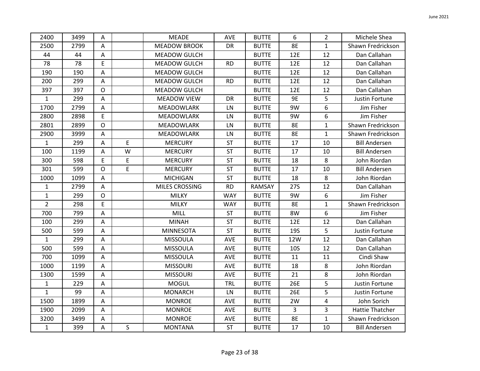| 2400           | 3499 | Α              |             | <b>MEADE</b>        | <b>AVE</b> | <b>BUTTE</b> | 6              | $\overline{2}$ | Michele Shea           |
|----------------|------|----------------|-------------|---------------------|------------|--------------|----------------|----------------|------------------------|
| 2500           | 2799 | A              |             | <b>MEADOW BROOK</b> | DR         | <b>BUTTE</b> | <b>8E</b>      | $\mathbf{1}$   | Shawn Fredrickson      |
| 44             | 44   | $\overline{A}$ |             | <b>MEADOW GULCH</b> |            | <b>BUTTE</b> | 12E            | 12             | Dan Callahan           |
| 78             | 78   | E              |             | <b>MEADOW GULCH</b> | <b>RD</b>  | <b>BUTTE</b> | 12E            | 12             | Dan Callahan           |
| 190            | 190  | A              |             | <b>MEADOW GULCH</b> |            | <b>BUTTE</b> | 12E            | 12             | Dan Callahan           |
| 200            | 299  | A              |             | MEADOW GULCH        | <b>RD</b>  | <b>BUTTE</b> | 12E            | 12             | Dan Callahan           |
| 397            | 397  | $\mathsf{O}$   |             | <b>MEADOW GULCH</b> |            | <b>BUTTE</b> | 12E            | 12             | Dan Callahan           |
| $\mathbf{1}$   | 299  | A              |             | <b>MEADOW VIEW</b>  | <b>DR</b>  | <b>BUTTE</b> | 9E             | 5              | Justin Fortune         |
| 1700           | 2799 | A              |             | MEADOWLARK          | LN         | <b>BUTTE</b> | 9W             | 6              | Jim Fisher             |
| 2800           | 2898 | E              |             | <b>MEADOWLARK</b>   | LN         | <b>BUTTE</b> | 9W             | 6              | Jim Fisher             |
| 2801           | 2899 | $\mathsf O$    |             | <b>MEADOWLARK</b>   | LN         | <b>BUTTE</b> | <b>8E</b>      | 1              | Shawn Fredrickson      |
| 2900           | 3999 | A              |             | <b>MEADOWLARK</b>   | LN         | <b>BUTTE</b> | <b>8E</b>      | $\mathbf{1}$   | Shawn Fredrickson      |
| $\mathbf{1}$   | 299  | A              | $\mathsf E$ | <b>MERCURY</b>      | <b>ST</b>  | <b>BUTTE</b> | 17             | 10             | <b>Bill Andersen</b>   |
| 100            | 1199 | A              | W           | <b>MERCURY</b>      | <b>ST</b>  | <b>BUTTE</b> | 17             | 10             | <b>Bill Andersen</b>   |
| 300            | 598  | E              | $\mathsf E$ | <b>MERCURY</b>      | <b>ST</b>  | <b>BUTTE</b> | 18             | 8              | John Riordan           |
| 301            | 599  | $\mathsf{O}$   | $\mathsf E$ | <b>MERCURY</b>      | <b>ST</b>  | <b>BUTTE</b> | 17             | 10             | <b>Bill Andersen</b>   |
| 1000           | 1099 | A              |             | <b>MICHIGAN</b>     | <b>ST</b>  | <b>BUTTE</b> | 18             | 8              | John Riordan           |
| $\mathbf{1}$   | 2799 | $\mathsf{A}$   |             | MILES CROSSING      | <b>RD</b>  | RAMSAY       | <b>27S</b>     | 12             | Dan Callahan           |
| $\mathbf{1}$   | 299  | $\mathsf{O}$   |             | <b>MILKY</b>        | <b>WAY</b> | <b>BUTTE</b> | 9W             | 6              | Jim Fisher             |
| $\overline{2}$ | 298  | E              |             | <b>MILKY</b>        | <b>WAY</b> | <b>BUTTE</b> | <b>8E</b>      | $\mathbf{1}$   | Shawn Fredrickson      |
| 700            | 799  | A              |             | MILL                | <b>ST</b>  | <b>BUTTE</b> | 8W             | 6              | Jim Fisher             |
| 100            | 299  | A              |             | <b>MINAH</b>        | <b>ST</b>  | <b>BUTTE</b> | 12E            | 12             | Dan Callahan           |
| 500            | 599  | A              |             | <b>MINNESOTA</b>    | <b>ST</b>  | <b>BUTTE</b> | <b>19S</b>     | 5              | Justin Fortune         |
| $\mathbf{1}$   | 299  | A              |             | <b>MISSOULA</b>     | <b>AVE</b> | <b>BUTTE</b> | 12W            | 12             | Dan Callahan           |
| 500            | 599  | A              |             | <b>MISSOULA</b>     | AVE        | <b>BUTTE</b> | <b>10S</b>     | 12             | Dan Callahan           |
| 700            | 1099 | $\mathsf{A}$   |             | <b>MISSOULA</b>     | AVE        | <b>BUTTE</b> | 11             | 11             | Cindi Shaw             |
| 1000           | 1199 | A              |             | <b>MISSOURI</b>     | <b>AVE</b> | <b>BUTTE</b> | 18             | 8              | John Riordan           |
| 1300           | 1599 | Α              |             | <b>MISSOURI</b>     | <b>AVE</b> | <b>BUTTE</b> | 21             | 8              | John Riordan           |
| $\mathbf{1}$   | 229  | A              |             | <b>MOGUL</b>        | <b>TRL</b> | <b>BUTTE</b> | 26E            | 5              | Justin Fortune         |
| $\mathbf{1}$   | 99   | A              |             | <b>MONARCH</b>      | LN         | <b>BUTTE</b> | 26E            | 5              | Justin Fortune         |
| 1500           | 1899 | $\mathsf A$    |             | <b>MONROE</b>       | AVE        | <b>BUTTE</b> | 2W             | 4              | John Sorich            |
| 1900           | 2099 | A              |             | <b>MONROE</b>       | <b>AVE</b> | <b>BUTTE</b> | $\overline{3}$ | 3              | <b>Hattie Thatcher</b> |
| 3200           | 3499 | Α              |             | <b>MONROE</b>       | AVE        | <b>BUTTE</b> | <b>8E</b>      | 1              | Shawn Fredrickson      |
| $\mathbf{1}$   | 399  | $\mathsf A$    | S           | <b>MONTANA</b>      | ST         | <b>BUTTE</b> | 17             | 10             | <b>Bill Andersen</b>   |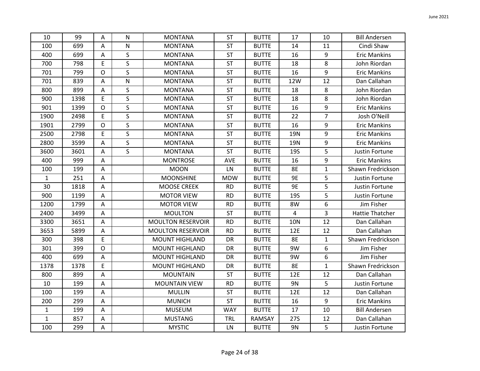| 10           | 99   | A                         | $\mathsf{N}$ | <b>MONTANA</b>           | <b>ST</b>  | <b>BUTTE</b> | 17         | 10             | <b>Bill Andersen</b> |
|--------------|------|---------------------------|--------------|--------------------------|------------|--------------|------------|----------------|----------------------|
| 100          | 699  | Α                         | N            | <b>MONTANA</b>           | ST         | <b>BUTTE</b> | 14         | 11             | Cindi Shaw           |
| 400          | 699  | A                         | S            | <b>MONTANA</b>           | ST         | <b>BUTTE</b> | 16         | 9              | <b>Eric Mankins</b>  |
| 700          | 798  | E                         | $\mathsf{S}$ | <b>MONTANA</b>           | ST         | <b>BUTTE</b> | 18         | 8              | John Riordan         |
| 701          | 799  | $\mathsf{O}$              | $\mathsf{S}$ | <b>MONTANA</b>           | <b>ST</b>  | <b>BUTTE</b> | 16         | 9              | <b>Eric Mankins</b>  |
| 701          | 839  | Α                         | ${\sf N}$    | <b>MONTANA</b>           | ST         | <b>BUTTE</b> | 12W        | 12             | Dan Callahan         |
| 800          | 899  | A                         | $\mathsf{S}$ | <b>MONTANA</b>           | ST         | <b>BUTTE</b> | 18         | 8              | John Riordan         |
| 900          | 1398 | E                         | $\mathsf{S}$ | <b>MONTANA</b>           | <b>ST</b>  | <b>BUTTE</b> | 18         | 8              | John Riordan         |
| 901          | 1399 | $\mathsf{O}$              | $\mathsf{S}$ | <b>MONTANA</b>           | <b>ST</b>  | <b>BUTTE</b> | 16         | 9              | <b>Eric Mankins</b>  |
| 1900         | 2498 | E                         | S            | <b>MONTANA</b>           | ST         | <b>BUTTE</b> | 22         | $\overline{7}$ | Josh O'Neill         |
| 1901         | 2799 | $\mathsf O$               | $\mathsf{S}$ | <b>MONTANA</b>           | ST         | <b>BUTTE</b> | 16         | 9              | <b>Eric Mankins</b>  |
| 2500         | 2798 | E                         | S            | <b>MONTANA</b>           | ST         | <b>BUTTE</b> | 19N        | 9              | <b>Eric Mankins</b>  |
| 2800         | 3599 | A                         | $\mathsf{S}$ | <b>MONTANA</b>           | ST         | <b>BUTTE</b> | <b>19N</b> | 9              | <b>Eric Mankins</b>  |
| 3600         | 3601 | A                         | $\mathsf{S}$ | <b>MONTANA</b>           | ST         | <b>BUTTE</b> | <b>19S</b> | 5              | Justin Fortune       |
| 400          | 999  | $\mathsf A$               |              | <b>MONTROSE</b>          | AVE        | <b>BUTTE</b> | 16         | 9              | <b>Eric Mankins</b>  |
| 100          | 199  | Α                         |              | <b>MOON</b>              | LN         | <b>BUTTE</b> | <b>8E</b>  | 1              | Shawn Fredrickson    |
| $\mathbf{1}$ | 251  | Α                         |              | <b>MOONSHINE</b>         | <b>MDW</b> | <b>BUTTE</b> | 9E         | 5              | Justin Fortune       |
| 30           | 1818 | A                         |              | <b>MOOSE CREEK</b>       | <b>RD</b>  | <b>BUTTE</b> | <b>9E</b>  | 5              | Justin Fortune       |
| 900          | 1199 | A                         |              | <b>MOTOR VIEW</b>        | <b>RD</b>  | <b>BUTTE</b> | <b>19S</b> | 5              | Justin Fortune       |
| 1200         | 1799 | A                         |              | <b>MOTOR VIEW</b>        | <b>RD</b>  | <b>BUTTE</b> | 8W         | 6              | Jim Fisher           |
| 2400         | 3499 | A                         |              | <b>MOULTON</b>           | ST         | <b>BUTTE</b> | 4          | 3              | Hattie Thatcher      |
| 3300         | 3651 | A                         |              | <b>MOULTON RESERVOIR</b> | <b>RD</b>  | <b>BUTTE</b> | <b>10N</b> | 12             | Dan Callahan         |
| 3653         | 5899 | A                         |              | <b>MOULTON RESERVOIR</b> | <b>RD</b>  | <b>BUTTE</b> | 12E        | 12             | Dan Callahan         |
| 300          | 398  | E                         |              | <b>MOUNT HIGHLAND</b>    | DR         | <b>BUTTE</b> | <b>8E</b>  | $\mathbf{1}$   | Shawn Fredrickson    |
| 301          | 399  | O                         |              | <b>MOUNT HIGHLAND</b>    | DR         | <b>BUTTE</b> | 9W         | 6              | Jim Fisher           |
| 400          | 699  | $\mathsf A$               |              | <b>MOUNT HIGHLAND</b>    | DR         | <b>BUTTE</b> | 9W         | 6              | Jim Fisher           |
| 1378         | 1378 | E                         |              | <b>MOUNT HIGHLAND</b>    | DR         | <b>BUTTE</b> | <b>8E</b>  | $\mathbf{1}$   | Shawn Fredrickson    |
| 800          | 899  | A                         |              | <b>MOUNTAIN</b>          | ST         | <b>BUTTE</b> | 12E        | 12             | Dan Callahan         |
| 10           | 199  | A                         |              | <b>MOUNTAIN VIEW</b>     | <b>RD</b>  | <b>BUTTE</b> | 9N         | 5              | Justin Fortune       |
| 100          | 199  | $\boldsymbol{\mathsf{A}}$ |              | <b>MULLIN</b>            | ST         | <b>BUTTE</b> | 12E        | 12             | Dan Callahan         |
| 200          | 299  | $\boldsymbol{\mathsf{A}}$ |              | <b>MUNICH</b>            | <b>ST</b>  | <b>BUTTE</b> | 16         | 9              | <b>Eric Mankins</b>  |
| $\mathbf{1}$ | 199  | A                         |              | <b>MUSEUM</b>            | <b>WAY</b> | <b>BUTTE</b> | 17         | 10             | <b>Bill Andersen</b> |
| $\mathbf{1}$ | 857  | Α                         |              | <b>MUSTANG</b>           | TRL        | RAMSAY       | <b>27S</b> | 12             | Dan Callahan         |
| 100          | 299  | $\mathsf A$               |              | <b>MYSTIC</b>            | LN         | <b>BUTTE</b> | 9N         | 5              | Justin Fortune       |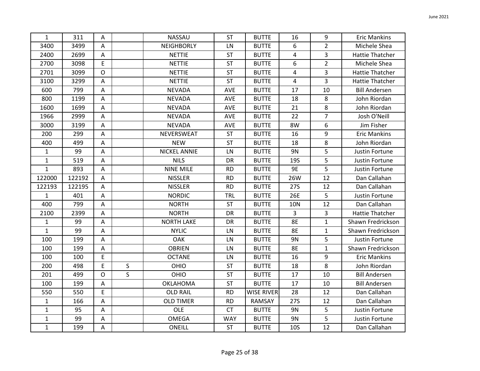| $\mathbf{1}$ | 311    | Α           |   | <b>NASSAU</b>       | <b>ST</b>  | <b>BUTTE</b>      | 16         | 9              | <b>Eric Mankins</b>    |
|--------------|--------|-------------|---|---------------------|------------|-------------------|------------|----------------|------------------------|
| 3400         | 3499   | А           |   | NEIGHBORLY          | LN         | <b>BUTTE</b>      | 6          | $\overline{2}$ | Michele Shea           |
| 2400         | 2699   | Α           |   | <b>NETTIE</b>       | <b>ST</b>  | <b>BUTTE</b>      | 4          | 3              | <b>Hattie Thatcher</b> |
| 2700         | 3098   | E           |   | <b>NETTIE</b>       | <b>ST</b>  | <b>BUTTE</b>      | 6          | $\overline{2}$ | Michele Shea           |
| 2701         | 3099   | $\mathsf O$ |   | <b>NETTIE</b>       | <b>ST</b>  | <b>BUTTE</b>      | 4          | 3              | <b>Hattie Thatcher</b> |
| 3100         | 3299   | Α           |   | <b>NETTIE</b>       | <b>ST</b>  | <b>BUTTE</b>      | 4          | 3              | Hattie Thatcher        |
| 600          | 799    | Α           |   | <b>NEVADA</b>       | AVE        | <b>BUTTE</b>      | 17         | 10             | <b>Bill Andersen</b>   |
| 800          | 1199   | Α           |   | <b>NEVADA</b>       | <b>AVE</b> | <b>BUTTE</b>      | 18         | 8              | John Riordan           |
| 1600         | 1699   | A           |   | <b>NEVADA</b>       | AVE        | <b>BUTTE</b>      | 21         | 8              | John Riordan           |
| 1966         | 2999   | A           |   | <b>NEVADA</b>       | AVE        | <b>BUTTE</b>      | 22         | $\overline{7}$ | Josh O'Neill           |
| 3000         | 3199   | Α           |   | <b>NEVADA</b>       | AVE        | <b>BUTTE</b>      | 8W         | 6              | Jim Fisher             |
| 200          | 299    | Α           |   | NEVERSWEAT          | <b>ST</b>  | <b>BUTTE</b>      | 16         | 9              | <b>Eric Mankins</b>    |
| 400          | 499    | Α           |   | <b>NEW</b>          | <b>ST</b>  | <b>BUTTE</b>      | 18         | 8              | John Riordan           |
| $\mathbf{1}$ | 99     | Α           |   | <b>NICKEL ANNIE</b> | LN         | <b>BUTTE</b>      | 9N         | 5              | Justin Fortune         |
| $\mathbf{1}$ | 519    | А           |   | <b>NILS</b>         | DR         | <b>BUTTE</b>      | <b>19S</b> | 5              | Justin Fortune         |
| $\mathbf{1}$ | 893    | Α           |   | <b>NINE MILE</b>    | <b>RD</b>  | <b>BUTTE</b>      | 9E         | 5              | Justin Fortune         |
| 122000       | 122192 | Α           |   | <b>NISSLER</b>      | <b>RD</b>  | <b>BUTTE</b>      | 26W        | 12             | Dan Callahan           |
| 122193       | 122195 | Α           |   | <b>NISSLER</b>      | <b>RD</b>  | <b>BUTTE</b>      | 27S        | 12             | Dan Callahan           |
| $\mathbf{1}$ | 401    | $\mathsf A$ |   | <b>NORDIC</b>       | <b>TRL</b> | <b>BUTTE</b>      | 26E        | 5              | Justin Fortune         |
| 400          | 799    | Α           |   | <b>NORTH</b>        | <b>ST</b>  | <b>BUTTE</b>      | <b>10N</b> | 12             | Dan Callahan           |
| 2100         | 2399   | Α           |   | <b>NORTH</b>        | DR         | <b>BUTTE</b>      | 3          | 3              | <b>Hattie Thatcher</b> |
| 1            | 99     | Α           |   | <b>NORTH LAKE</b>   | DR         | <b>BUTTE</b>      | <b>8E</b>  | 1              | Shawn Fredrickson      |
| $\mathbf{1}$ | 99     | Α           |   | <b>NYLIC</b>        | LN         | <b>BUTTE</b>      | <b>8E</b>  | 1              | Shawn Fredrickson      |
| 100          | 199    | Α           |   | OAK                 | LN         | <b>BUTTE</b>      | 9N         | 5              | Justin Fortune         |
| 100          | 199    | А           |   | <b>OBRIEN</b>       | LN         | <b>BUTTE</b>      | <b>8E</b>  | $\mathbf{1}$   | Shawn Fredrickson      |
| 100          | 100    | E           |   | <b>OCTANE</b>       | LN         | <b>BUTTE</b>      | 16         | 9              | <b>Eric Mankins</b>    |
| 200          | 498    | E           | S | OHIO                | <b>ST</b>  | <b>BUTTE</b>      | 18         | 8              | John Riordan           |
| 201          | 499    | $\mathsf O$ | S | OHIO                | <b>ST</b>  | <b>BUTTE</b>      | 17         | 10             | <b>Bill Andersen</b>   |
| 100          | 199    | A           |   | <b>OKLAHOMA</b>     | <b>ST</b>  | <b>BUTTE</b>      | 17         | 10             | <b>Bill Andersen</b>   |
| 550          | 550    | E           |   | <b>OLD RAIL</b>     | <b>RD</b>  | <b>WISE RIVER</b> | 28         | 12             | Dan Callahan           |
| $\mathbf{1}$ | 166    | $\mathsf A$ |   | <b>OLD TIMER</b>    | <b>RD</b>  | RAMSAY            | <b>27S</b> | 12             | Dan Callahan           |
| $\mathbf{1}$ | 95     | Α           |   | OLE                 | <b>CT</b>  | <b>BUTTE</b>      | 9N         | 5              | Justin Fortune         |
| $\mathbf{1}$ | 99     | Α           |   | OMEGA               | <b>WAY</b> | <b>BUTTE</b>      | 9N         | 5              | Justin Fortune         |
| $\mathbf{1}$ | 199    | $\mathsf A$ |   | ONEILL              | <b>ST</b>  | <b>BUTTE</b>      | <b>10S</b> | 12             | Dan Callahan           |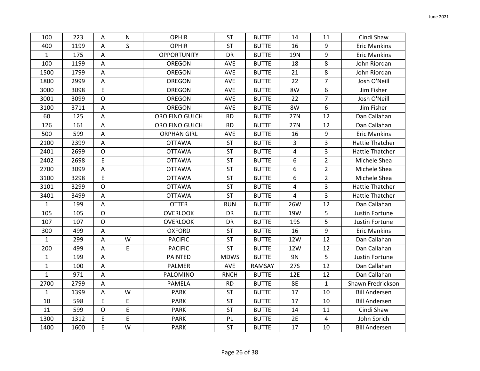| 100          | 223  | Α                         | N            | <b>OPHIR</b>       | <b>ST</b>   | <b>BUTTE</b>  | 14         | 11             | Cindi Shaw             |
|--------------|------|---------------------------|--------------|--------------------|-------------|---------------|------------|----------------|------------------------|
| 400          | 1199 | A                         | $\mathsf{S}$ | <b>OPHIR</b>       | <b>ST</b>   | <b>BUTTE</b>  | 16         | 9              | <b>Eric Mankins</b>    |
| $\mathbf{1}$ | 175  | A                         |              | <b>OPPORTUNITY</b> | DR          | <b>BUTTE</b>  | 19N        | 9              | <b>Eric Mankins</b>    |
| 100          | 1199 | $\boldsymbol{\mathsf{A}}$ |              | <b>OREGON</b>      | AVE         | <b>BUTTE</b>  | 18         | 8              | John Riordan           |
| 1500         | 1799 | Α                         |              | OREGON             | <b>AVE</b>  | <b>BUTTE</b>  | 21         | 8              | John Riordan           |
| 1800         | 2999 | A                         |              | <b>OREGON</b>      | AVE         | <b>BUTTE</b>  | 22         | $\overline{7}$ | Josh O'Neill           |
| 3000         | 3098 | E                         |              | <b>OREGON</b>      | AVE         | <b>BUTTE</b>  | 8W         | 6              | Jim Fisher             |
| 3001         | 3099 | $\mathsf{O}$              |              | OREGON             | <b>AVE</b>  | <b>BUTTE</b>  | 22         | $\overline{7}$ | Josh O'Neill           |
| 3100         | 3711 | $\boldsymbol{\mathsf{A}}$ |              | <b>OREGON</b>      | AVE         | <b>BUTTE</b>  | 8W         | 6              | Jim Fisher             |
| 60           | 125  | Α                         |              | ORO FINO GULCH     | <b>RD</b>   | <b>BUTTE</b>  | 27N        | 12             | Dan Callahan           |
| 126          | 161  | Α                         |              | ORO FINO GULCH     | <b>RD</b>   | <b>BUTTE</b>  | 27N        | 12             | Dan Callahan           |
| 500          | 599  | $\boldsymbol{\mathsf{A}}$ |              | <b>ORPHAN GIRL</b> | AVE         | <b>BUTTE</b>  | 16         | 9              | <b>Eric Mankins</b>    |
| 2100         | 2399 | A                         |              | <b>OTTAWA</b>      | <b>ST</b>   | <b>BUTTE</b>  | 3          | 3              | <b>Hattie Thatcher</b> |
| 2401         | 2699 | O                         |              | <b>OTTAWA</b>      | <b>ST</b>   | <b>BUTTE</b>  | 4          | 3              | Hattie Thatcher        |
| 2402         | 2698 | E                         |              | <b>OTTAWA</b>      | <b>ST</b>   | <b>BUTTE</b>  | 6          | $\overline{2}$ | Michele Shea           |
| 2700         | 3099 | $\overline{\mathsf{A}}$   |              | <b>OTTAWA</b>      | <b>ST</b>   | <b>BUTTE</b>  | 6          | $\overline{2}$ | Michele Shea           |
| 3100         | 3298 | E                         |              | <b>OTTAWA</b>      | <b>ST</b>   | <b>BUTTE</b>  | 6          | $\overline{2}$ | Michele Shea           |
| 3101         | 3299 | $\mathsf{O}$              |              | <b>OTTAWA</b>      | <b>ST</b>   | <b>BUTTE</b>  | 4          | 3              | <b>Hattie Thatcher</b> |
| 3401         | 3499 | $\boldsymbol{\mathsf{A}}$ |              | <b>OTTAWA</b>      | <b>ST</b>   | <b>BUTTE</b>  | 4          | 3              | Hattie Thatcher        |
| $\mathbf{1}$ | 199  | $\mathsf A$               |              | <b>OTTER</b>       | <b>RUN</b>  | <b>BUTTE</b>  | 26W        | 12             | Dan Callahan           |
| 105          | 105  | $\mathsf{O}$              |              | <b>OVERLOOK</b>    | <b>DR</b>   | <b>BUTTE</b>  | 19W        | 5              | Justin Fortune         |
| 107          | 107  | $\mathsf{O}$              |              | <b>OVERLOOK</b>    | DR          | <b>BUTTE</b>  | <b>19S</b> | 5              | Justin Fortune         |
| 300          | 499  | $\mathsf A$               |              | <b>OXFORD</b>      | ST          | <b>BUTTE</b>  | 16         | 9              | <b>Eric Mankins</b>    |
| $\mathbf{1}$ | 299  | $\boldsymbol{\mathsf{A}}$ | W            | <b>PACIFIC</b>     | <b>ST</b>   | <b>BUTTE</b>  | 12W        | 12             | Dan Callahan           |
| 200          | 499  | A                         | E            | <b>PACIFIC</b>     | ST          | <b>BUTTE</b>  | 12W        | 12             | Dan Callahan           |
| $\mathbf{1}$ | 199  | Α                         |              | PAINTED            | <b>MDWS</b> | <b>BUTTE</b>  | 9N         | 5              | Justin Fortune         |
| $\mathbf{1}$ | 100  | A                         |              | PALMER             | AVE         | <b>RAMSAY</b> | <b>27S</b> | 12             | Dan Callahan           |
| $\mathbf{1}$ | 971  | A                         |              | PALOMINO           | <b>RNCH</b> | <b>BUTTE</b>  | 12E        | 12             | Dan Callahan           |
| 2700         | 2799 | $\boldsymbol{\mathsf{A}}$ |              | PAMELA             | <b>RD</b>   | <b>BUTTE</b>  | <b>8E</b>  | $\mathbf{1}$   | Shawn Fredrickson      |
| $\mathbf{1}$ | 1399 | $\mathsf A$               | W            | <b>PARK</b>        | <b>ST</b>   | <b>BUTTE</b>  | 17         | 10             | <b>Bill Andersen</b>   |
| 10           | 598  | E                         | E            | <b>PARK</b>        | <b>ST</b>   | <b>BUTTE</b>  | 17         | 10             | <b>Bill Andersen</b>   |
| 11           | 599  | $\mathsf{O}$              | E            | <b>PARK</b>        | <b>ST</b>   | <b>BUTTE</b>  | 14         | 11             | Cindi Shaw             |
| 1300         | 1312 | E                         | E            | <b>PARK</b>        | PL          | <b>BUTTE</b>  | 2E         | 4              | John Sorich            |
| 1400         | 1600 | E                         | W            | <b>PARK</b>        | <b>ST</b>   | <b>BUTTE</b>  | 17         | 10             | <b>Bill Andersen</b>   |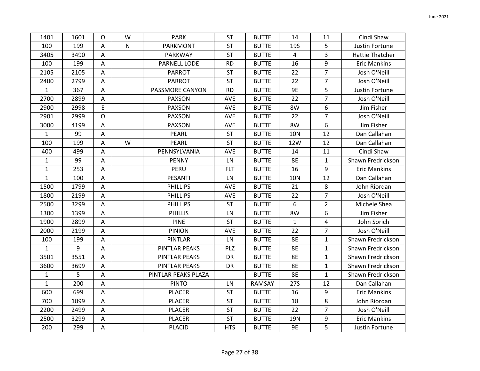| 1401         | 1601 | $\Omega$                  | W            | <b>PARK</b>          | <b>ST</b>  | <b>BUTTE</b> | 14           | 11             | Cindi Shaw          |
|--------------|------|---------------------------|--------------|----------------------|------------|--------------|--------------|----------------|---------------------|
| 100          | 199  | A                         | $\mathsf{N}$ | <b>PARKMONT</b>      | <b>ST</b>  | <b>BUTTE</b> | <b>19S</b>   | 5              | Justin Fortune      |
| 3405         | 3490 | A                         |              | PARKWAY              | <b>ST</b>  | <b>BUTTE</b> | 4            | 3              | Hattie Thatcher     |
| 100          | 199  | A                         |              | PARNELL LODE         | <b>RD</b>  | <b>BUTTE</b> | 16           | 9              | <b>Eric Mankins</b> |
| 2105         | 2105 | A                         |              | <b>PARROT</b>        | <b>ST</b>  | <b>BUTTE</b> | 22           | $\overline{7}$ | Josh O'Neill        |
| 2400         | 2799 | $\mathsf{A}$              |              | <b>PARROT</b>        | <b>ST</b>  | <b>BUTTE</b> | 22           | $\overline{7}$ | Josh O'Neill        |
| $\mathbf{1}$ | 367  | $\mathsf{A}$              |              | PASSMORE CANYON      | <b>RD</b>  | <b>BUTTE</b> | 9E           | 5              | Justin Fortune      |
| 2700         | 2899 | $\overline{A}$            |              | <b>PAXSON</b>        | AVE        | <b>BUTTE</b> | 22           | $\overline{7}$ | Josh O'Neill        |
| 2900         | 2998 | E                         |              | <b>PAXSON</b>        | AVE        | <b>BUTTE</b> | 8W           | 6              | Jim Fisher          |
| 2901         | 2999 | $\mathsf{O}$              |              | <b>PAXSON</b>        | AVE        | <b>BUTTE</b> | 22           | $\overline{7}$ | Josh O'Neill        |
| 3000         | 4199 | A                         |              | <b>PAXSON</b>        | <b>AVE</b> | <b>BUTTE</b> | 8W           | 6              | Jim Fisher          |
| $\mathbf{1}$ | 99   | A                         |              | <b>PEARL</b>         | <b>ST</b>  | <b>BUTTE</b> | <b>10N</b>   | 12             | Dan Callahan        |
| 100          | 199  | A                         | W            | PEARL                | <b>ST</b>  | <b>BUTTE</b> | 12W          | 12             | Dan Callahan        |
| 400          | 499  | A                         |              | PENNSYLVANIA         | AVE        | <b>BUTTE</b> | 14           | 11             | Cindi Shaw          |
| $\mathbf{1}$ | 99   | A                         |              | <b>PENNY</b>         | LN         | <b>BUTTE</b> | 8E           | $\mathbf{1}$   | Shawn Fredrickson   |
| $\mathbf 1$  | 253  | A                         |              | PERU                 | <b>FLT</b> | <b>BUTTE</b> | 16           | 9              | <b>Eric Mankins</b> |
| $\mathbf{1}$ | 100  | A                         |              | PESANTI              | LN         | <b>BUTTE</b> | <b>10N</b>   | 12             | Dan Callahan        |
| 1500         | 1799 | $\overline{A}$            |              | <b>PHILLIPS</b>      | AVE        | <b>BUTTE</b> | 21           | 8              | John Riordan        |
| 1800         | 2199 | A                         |              | <b>PHILLIPS</b>      | <b>AVE</b> | <b>BUTTE</b> | 22           | $\overline{7}$ | Josh O'Neill        |
| 2500         | 3299 | A                         |              | <b>PHILLIPS</b>      | <b>ST</b>  | <b>BUTTE</b> | 6            | $\overline{2}$ | Michele Shea        |
| 1300         | 1399 | A                         |              | <b>PHILLIS</b>       | LN         | <b>BUTTE</b> | 8W           | 6              | Jim Fisher          |
| 1900         | 2899 | A                         |              | <b>PINE</b>          | <b>ST</b>  | <b>BUTTE</b> | $\mathbf{1}$ | 4              | John Sorich         |
| 2000         | 2199 | A                         |              | <b>PINION</b>        | AVE        | <b>BUTTE</b> | 22           | $\overline{7}$ | Josh O'Neill        |
| 100          | 199  | A                         |              | <b>PINTLAR</b>       | LN         | <b>BUTTE</b> | <b>8E</b>    | 1              | Shawn Fredrickson   |
| $\mathbf{1}$ | 9    | A                         |              | <b>PINTLAR PEAKS</b> | PLZ        | <b>BUTTE</b> | <b>8E</b>    | $\mathbf 1$    | Shawn Fredrickson   |
| 3501         | 3551 | A                         |              | <b>PINTLAR PEAKS</b> | DR         | <b>BUTTE</b> | <b>8E</b>    | $\mathbf{1}$   | Shawn Fredrickson   |
| 3600         | 3699 | A                         |              | <b>PINTLAR PEAKS</b> | DR         | <b>BUTTE</b> | <b>8E</b>    | $\mathbf{1}$   | Shawn Fredrickson   |
| $\mathbf{1}$ | 5    | Α                         |              | PINTLAR PEAKS PLAZA  |            | <b>BUTTE</b> | <b>8E</b>    | $\mathbf{1}$   | Shawn Fredrickson   |
| $\mathbf{1}$ | 200  | A                         |              | <b>PINTO</b>         | LN         | RAMSAY       | <b>27S</b>   | 12             | Dan Callahan        |
| 600          | 699  | A                         |              | <b>PLACER</b>        | <b>ST</b>  | <b>BUTTE</b> | 16           | 9              | <b>Eric Mankins</b> |
| 700          | 1099 | A                         |              | <b>PLACER</b>        | <b>ST</b>  | <b>BUTTE</b> | 18           | 8              | John Riordan        |
| 2200         | 2499 | A                         |              | <b>PLACER</b>        | <b>ST</b>  | <b>BUTTE</b> | 22           | 7              | Josh O'Neill        |
| 2500         | 3299 | A                         |              | <b>PLACER</b>        | ST         | <b>BUTTE</b> | 19N          | 9              | <b>Eric Mankins</b> |
| 200          | 299  | $\boldsymbol{\mathsf{A}}$ |              | <b>PLACID</b>        | <b>HTS</b> | <b>BUTTE</b> | 9E           | 5              | Justin Fortune      |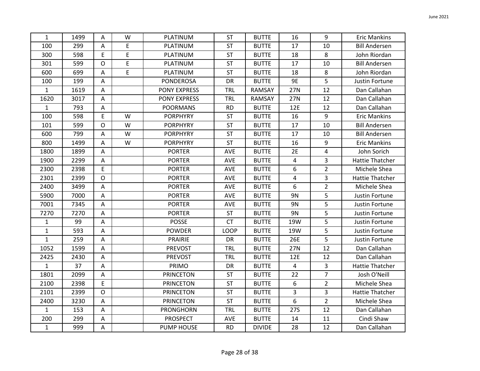| $\mathbf{1}$ | 1499 | Α           | W | PLATINUM            | <b>ST</b>   | <b>BUTTE</b>  | 16        | 9              | <b>Eric Mankins</b>    |
|--------------|------|-------------|---|---------------------|-------------|---------------|-----------|----------------|------------------------|
| 100          | 299  | Α           | E | PLATINUM            | <b>ST</b>   | <b>BUTTE</b>  | 17        | 10             | <b>Bill Andersen</b>   |
| 300          | 598  | E           | E | PLATINUM            | ST          | <b>BUTTE</b>  | 18        | 8              | John Riordan           |
| 301          | 599  | $\mathsf O$ | E | PLATINUM            | ST          | <b>BUTTE</b>  | 17        | 10             | <b>Bill Andersen</b>   |
| 600          | 699  | Α           | E | PLATINUM            | <b>ST</b>   | <b>BUTTE</b>  | 18        | 8              | John Riordan           |
| 100          | 199  | Α           |   | <b>PONDEROSA</b>    | DR          | <b>BUTTE</b>  | <b>9E</b> | 5              | Justin Fortune         |
| $\mathbf{1}$ | 1619 | А           |   | PONY EXPRESS        | TRL         | RAMSAY        | 27N       | 12             | Dan Callahan           |
| 1620         | 3017 | $\mathsf A$ |   | <b>PONY EXPRESS</b> | <b>TRL</b>  | RAMSAY        | 27N       | 12             | Dan Callahan           |
| $\mathbf{1}$ | 793  | A           |   | <b>POORMANS</b>     | <b>RD</b>   | <b>BUTTE</b>  | 12E       | 12             | Dan Callahan           |
| 100          | 598  | E           | W | <b>PORPHYRY</b>     | <b>ST</b>   | <b>BUTTE</b>  | 16        | 9              | <b>Eric Mankins</b>    |
| 101          | 599  | $\mathsf O$ | W | <b>PORPHYRY</b>     | <b>ST</b>   | <b>BUTTE</b>  | 17        | 10             | <b>Bill Andersen</b>   |
| 600          | 799  | А           | W | <b>PORPHYRY</b>     | ST          | <b>BUTTE</b>  | 17        | 10             | <b>Bill Andersen</b>   |
| 800          | 1499 | Α           | W | <b>PORPHYRY</b>     | <b>ST</b>   | <b>BUTTE</b>  | 16        | 9              | <b>Eric Mankins</b>    |
| 1800         | 1899 | Α           |   | <b>PORTER</b>       | <b>AVE</b>  | <b>BUTTE</b>  | 2E        | 4              | John Sorich            |
| 1900         | 2299 | Α           |   | <b>PORTER</b>       | AVE         | <b>BUTTE</b>  | 4         | 3              | <b>Hattie Thatcher</b> |
| 2300         | 2398 | E           |   | <b>PORTER</b>       | AVE         | <b>BUTTE</b>  | 6         | $\overline{2}$ | Michele Shea           |
| 2301         | 2399 | $\mathsf O$ |   | <b>PORTER</b>       | AVE         | <b>BUTTE</b>  | 4         | 3              | <b>Hattie Thatcher</b> |
| 2400         | 3499 | А           |   | <b>PORTER</b>       | AVE         | <b>BUTTE</b>  | 6         | $\overline{2}$ | Michele Shea           |
| 5900         | 7000 | $\mathsf A$ |   | <b>PORTER</b>       | AVE         | <b>BUTTE</b>  | <b>9N</b> | 5              | Justin Fortune         |
| 7001         | 7345 | A           |   | <b>PORTER</b>       | AVE         | <b>BUTTE</b>  | 9N        | 5              | Justin Fortune         |
| 7270         | 7270 | Α           |   | <b>PORTER</b>       | <b>ST</b>   | <b>BUTTE</b>  | 9N        | 5              | Justin Fortune         |
| 1            | 99   | Α           |   | <b>POSSE</b>        | <b>CT</b>   | <b>BUTTE</b>  | 19W       | 5              | Justin Fortune         |
| $\mathbf{1}$ | 593  | Α           |   | <b>POWDER</b>       | <b>LOOP</b> | <b>BUTTE</b>  | 19W       | 5              | Justin Fortune         |
| $\mathbf{1}$ | 259  | Α           |   | PRAIRIE             | DR          | <b>BUTTE</b>  | 26E       | 5              | Justin Fortune         |
| 1052         | 1599 | А           |   | <b>PREVOST</b>      | TRL         | <b>BUTTE</b>  | 27N       | 12             | Dan Callahan           |
| 2425         | 2430 | Α           |   | <b>PREVOST</b>      | TRL         | <b>BUTTE</b>  | 12E       | 12             | Dan Callahan           |
| $\mathbf{1}$ | 37   | A           |   | PRIMO               | DR          | <b>BUTTE</b>  | 4         | 3              | <b>Hattie Thatcher</b> |
| 1801         | 2099 | A           |   | <b>PRINCETON</b>    | <b>ST</b>   | <b>BUTTE</b>  | 22        | $\overline{7}$ | Josh O'Neill           |
| 2100         | 2398 | E           |   | <b>PRINCETON</b>    | <b>ST</b>   | <b>BUTTE</b>  | 6         | $\overline{2}$ | Michele Shea           |
| 2101         | 2399 | $\mathsf O$ |   | <b>PRINCETON</b>    | ST          | <b>BUTTE</b>  | 3         | 3              | Hattie Thatcher        |
| 2400         | 3230 | $\mathsf A$ |   | <b>PRINCETON</b>    | <b>ST</b>   | <b>BUTTE</b>  | 6         | $\overline{2}$ | Michele Shea           |
| $\mathbf{1}$ | 153  | Α           |   | <b>PRONGHORN</b>    | <b>TRL</b>  | <b>BUTTE</b>  | 27S       | 12             | Dan Callahan           |
| 200          | 299  | Α           |   | <b>PROSPECT</b>     | AVE         | <b>BUTTE</b>  | 14        | 11             | Cindi Shaw             |
| $\mathbf{1}$ | 999  | $\mathsf A$ |   | <b>PUMP HOUSE</b>   | <b>RD</b>   | <b>DIVIDE</b> | 28        | 12             | Dan Callahan           |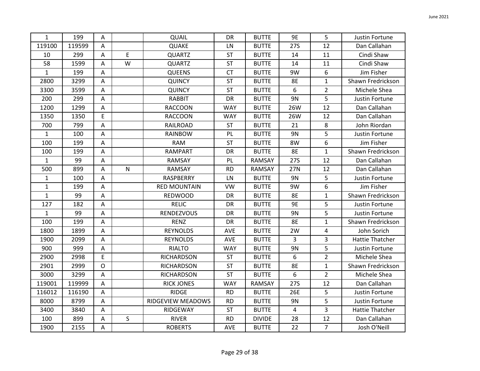| $\mathbf{1}$ | 199    | A                         |              | QUAIL               | DR         | <b>BUTTE</b>  | 9E             | 5              | Justin Fortune         |
|--------------|--------|---------------------------|--------------|---------------------|------------|---------------|----------------|----------------|------------------------|
| 119100       | 119599 | A                         |              | QUAKE               | LN         | <b>BUTTE</b>  | <b>27S</b>     | 12             | Dan Callahan           |
| 10           | 299    | A                         | E            | <b>QUARTZ</b>       | <b>ST</b>  | <b>BUTTE</b>  | 14             | 11             | Cindi Shaw             |
| 58           | 1599   | A                         | W            | <b>QUARTZ</b>       | <b>ST</b>  | <b>BUTTE</b>  | 14             | 11             | Cindi Shaw             |
| $\mathbf{1}$ | 199    | Α                         |              | <b>QUEENS</b>       | <b>CT</b>  | <b>BUTTE</b>  | 9W             | 6              | Jim Fisher             |
| 2800         | 3299   | A                         |              | <b>QUINCY</b>       | ST         | <b>BUTTE</b>  | <b>8E</b>      | $\mathbf{1}$   | Shawn Fredrickson      |
| 3300         | 3599   | A                         |              | <b>QUINCY</b>       | <b>ST</b>  | <b>BUTTE</b>  | 6              | $\overline{2}$ | Michele Shea           |
| 200          | 299    | $\boldsymbol{\mathsf{A}}$ |              | <b>RABBIT</b>       | <b>DR</b>  | <b>BUTTE</b>  | 9N             | 5              | Justin Fortune         |
| 1200         | 1299   | A                         |              | <b>RACCOON</b>      | <b>WAY</b> | <b>BUTTE</b>  | 26W            | 12             | Dan Callahan           |
| 1350         | 1350   | E                         |              | <b>RACCOON</b>      | <b>WAY</b> | <b>BUTTE</b>  | 26W            | 12             | Dan Callahan           |
| 700          | 799    | A                         |              | <b>RAILROAD</b>     | <b>ST</b>  | <b>BUTTE</b>  | 21             | 8              | John Riordan           |
| $\mathbf{1}$ | 100    | A                         |              | RAINBOW             | PL         | <b>BUTTE</b>  | 9N             | 5              | Justin Fortune         |
| 100          | 199    | A                         |              | <b>RAM</b>          | <b>ST</b>  | <b>BUTTE</b>  | 8W             | 6              | Jim Fisher             |
| 100          | 199    | A                         |              | <b>RAMPART</b>      | DR         | <b>BUTTE</b>  | <b>8E</b>      | $\mathbf{1}$   | Shawn Fredrickson      |
| $\mathbf{1}$ | 99     | A                         |              | RAMSAY              | PL         | RAMSAY        | 27S            | 12             | Dan Callahan           |
| 500          | 899    | A                         | N            | RAMSAY              | <b>RD</b>  | <b>RAMSAY</b> | 27N            | 12             | Dan Callahan           |
| $\mathbf{1}$ | 100    | Α                         |              | RASPBERRY           | LN         | <b>BUTTE</b>  | 9N             | 5              | Justin Fortune         |
| $\mathbf{1}$ | 199    | $\boldsymbol{\mathsf{A}}$ |              | <b>RED MOUNTAIN</b> | <b>VW</b>  | <b>BUTTE</b>  | 9W             | 6              | Jim Fisher             |
| $\mathbf{1}$ | 99     | A                         |              | <b>REDWOOD</b>      | <b>DR</b>  | <b>BUTTE</b>  | 8E             | $\mathbf{1}$   | Shawn Fredrickson      |
| 127          | 182    | A                         |              | <b>RELIC</b>        | DR         | <b>BUTTE</b>  | 9E             | 5              | Justin Fortune         |
| $\mathbf{1}$ | 99     | Α                         |              | <b>RENDEZVOUS</b>   | DR         | <b>BUTTE</b>  | 9N             | 5              | Justin Fortune         |
| 100          | 199    | A                         |              | <b>RENZ</b>         | DR         | <b>BUTTE</b>  | <b>8E</b>      | $\mathbf{1}$   | Shawn Fredrickson      |
| 1800         | 1899   | A                         |              | <b>REYNOLDS</b>     | AVE        | <b>BUTTE</b>  | 2W             | 4              | John Sorich            |
| 1900         | 2099   | A                         |              | <b>REYNOLDS</b>     | AVE        | <b>BUTTE</b>  | 3              | 3              | <b>Hattie Thatcher</b> |
| 900          | 999    | A                         |              | <b>RIALTO</b>       | <b>WAY</b> | <b>BUTTE</b>  | 9N             | 5              | Justin Fortune         |
| 2900         | 2998   | E                         |              | <b>RICHARDSON</b>   | <b>ST</b>  | <b>BUTTE</b>  | 6              | $\overline{2}$ | Michele Shea           |
| 2901         | 2999   | $\mathsf{O}$              |              | <b>RICHARDSON</b>   | <b>ST</b>  | <b>BUTTE</b>  | <b>8E</b>      | $\mathbf{1}$   | Shawn Fredrickson      |
| 3000         | 3299   | A                         |              | <b>RICHARDSON</b>   | ST         | <b>BUTTE</b>  | 6              | $\overline{2}$ | Michele Shea           |
| 119001       | 119999 | $\boldsymbol{\mathsf{A}}$ |              | <b>RICK JONES</b>   | <b>WAY</b> | RAMSAY        | <b>27S</b>     | 12             | Dan Callahan           |
| 116012       | 116190 | A                         |              | <b>RIDGE</b>        | <b>RD</b>  | <b>BUTTE</b>  | 26E            | 5              | Justin Fortune         |
| 8000         | 8799   | $\mathsf A$               |              | RIDGEVIEW MEADOWS   | <b>RD</b>  | <b>BUTTE</b>  | 9N             | 5              | Justin Fortune         |
| 3400         | 3840   | $\overline{\mathsf{A}}$   |              | RIDGEWAY            | <b>ST</b>  | <b>BUTTE</b>  | $\overline{4}$ | 3              | <b>Hattie Thatcher</b> |
| 100          | 899    | A                         | $\mathsf{S}$ | <b>RIVER</b>        | <b>RD</b>  | <b>DIVIDE</b> | 28             | 12             | Dan Callahan           |
| 1900         | 2155   | А                         |              | <b>ROBERTS</b>      | AVE        | <b>BUTTE</b>  | 22             | $\overline{7}$ | Josh O'Neill           |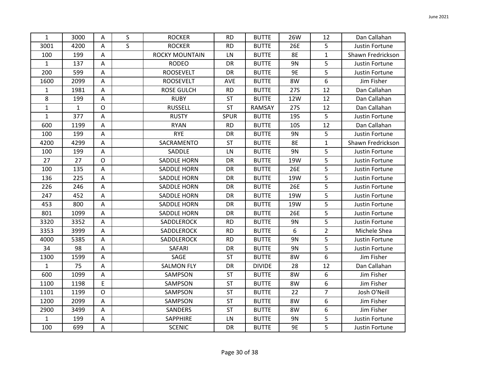| $\mathbf{1}$ | 3000         | $\overline{A}$            | S | <b>ROCKER</b>         | <b>RD</b> | <b>BUTTE</b>  | 26W        | 12             | Dan Callahan      |
|--------------|--------------|---------------------------|---|-----------------------|-----------|---------------|------------|----------------|-------------------|
| 3001         | 4200         | A                         | S | <b>ROCKER</b>         | <b>RD</b> | <b>BUTTE</b>  | 26E        | 5              | Justin Fortune    |
| 100          | 199          | Α                         |   | <b>ROCKY MOUNTAIN</b> | LN        | <b>BUTTE</b>  | <b>8E</b>  | $\mathbf{1}$   | Shawn Fredrickson |
| $\mathbf 1$  | 137          | Α                         |   | <b>RODEO</b>          | DR        | <b>BUTTE</b>  | 9N         | 5              | Justin Fortune    |
| 200          | 599          | A                         |   | <b>ROOSEVELT</b>      | DR        | <b>BUTTE</b>  | 9E         | 5              | Justin Fortune    |
| 1600         | 2099         | A                         |   | <b>ROOSEVELT</b>      | AVE       | <b>BUTTE</b>  | 8W         | 6              | Jim Fisher        |
| $\mathbf 1$  | 1981         | Α                         |   | <b>ROSE GULCH</b>     | <b>RD</b> | <b>BUTTE</b>  | <b>27S</b> | 12             | Dan Callahan      |
| 8            | 199          | $\overline{A}$            |   | <b>RUBY</b>           | ST        | <b>BUTTE</b>  | 12W        | 12             | Dan Callahan      |
| $\mathbf 1$  | $\mathbf{1}$ | $\mathsf{O}$              |   | <b>RUSSELL</b>        | <b>ST</b> | RAMSAY        | <b>27S</b> | 12             | Dan Callahan      |
| $\mathbf{1}$ | 377          | A                         |   | <b>RUSTY</b>          | SPUR      | <b>BUTTE</b>  | <b>19S</b> | 5              | Justin Fortune    |
| 600          | 1199         | A                         |   | <b>RYAN</b>           | <b>RD</b> | <b>BUTTE</b>  | <b>10S</b> | 12             | Dan Callahan      |
| 100          | 199          | A                         |   | <b>RYE</b>            | DR        | <b>BUTTE</b>  | 9N         | 5              | Justin Fortune    |
| 4200         | 4299         | A                         |   | SACRAMENTO            | <b>ST</b> | <b>BUTTE</b>  | <b>8E</b>  | $\mathbf{1}$   | Shawn Fredrickson |
| 100          | 199          | Α                         |   | SADDLE                | LN        | <b>BUTTE</b>  | 9N         | 5              | Justin Fortune    |
| 27           | 27           | $\circ$                   |   | <b>SADDLE HORN</b>    | DR        | <b>BUTTE</b>  | 19W        | 5              | Justin Fortune    |
| 100          | 135          | A                         |   | <b>SADDLE HORN</b>    | DR        | <b>BUTTE</b>  | 26E        | 5              | Justin Fortune    |
| 136          | 225          | A                         |   | <b>SADDLE HORN</b>    | DR        | <b>BUTTE</b>  | 19W        | 5              | Justin Fortune    |
| 226          | 246          | A                         |   | <b>SADDLE HORN</b>    | DR        | <b>BUTTE</b>  | 26E        | 5              | Justin Fortune    |
| 247          | 452          | A                         |   | <b>SADDLE HORN</b>    | DR        | <b>BUTTE</b>  | 19W        | 5              | Justin Fortune    |
| 453          | 800          | A                         |   | <b>SADDLE HORN</b>    | DR        | <b>BUTTE</b>  | 19W        | 5              | Justin Fortune    |
| 801          | 1099         | A                         |   | <b>SADDLE HORN</b>    | DR        | <b>BUTTE</b>  | 26E        | 5              | Justin Fortune    |
| 3320         | 3352         | A                         |   | SADDLEROCK            | <b>RD</b> | <b>BUTTE</b>  | 9N         | 5              | Justin Fortune    |
| 3353         | 3999         | $\mathsf{A}$              |   | SADDLEROCK            | <b>RD</b> | <b>BUTTE</b>  | 6          | $\overline{2}$ | Michele Shea      |
| 4000         | 5385         | A                         |   | SADDLEROCK            | <b>RD</b> | <b>BUTTE</b>  | 9N         | 5              | Justin Fortune    |
| 34           | 98           | A                         |   | SAFARI                | DR        | <b>BUTTE</b>  | 9N         | 5              | Justin Fortune    |
| 1300         | 1599         | A                         |   | SAGE                  | <b>ST</b> | <b>BUTTE</b>  | 8W         | 6              | Jim Fisher        |
| $\mathbf 1$  | 75           | A                         |   | <b>SALMON FLY</b>     | DR        | <b>DIVIDE</b> | 28         | 12             | Dan Callahan      |
| 600          | 1099         | A                         |   | SAMPSON               | <b>ST</b> | <b>BUTTE</b>  | 8W         | 6              | Jim Fisher        |
| 1100         | 1198         | E                         |   | SAMPSON               | <b>ST</b> | <b>BUTTE</b>  | 8W         | 6              | Jim Fisher        |
| 1101         | 1199         | $\mathsf{O}$              |   | SAMPSON               | <b>ST</b> | <b>BUTTE</b>  | 22         | $\overline{7}$ | Josh O'Neill      |
| 1200         | 2099         | $\boldsymbol{\mathsf{A}}$ |   | SAMPSON               | <b>ST</b> | <b>BUTTE</b>  | 8W         | 6              | Jim Fisher        |
| 2900         | 3499         | A                         |   | SANDERS               | ST        | <b>BUTTE</b>  | 8W         | 6              | Jim Fisher        |
| $\mathbf{1}$ | 199          | A                         |   | <b>SAPPHIRE</b>       | LN        | <b>BUTTE</b>  | 9N         | 5              | Justin Fortune    |
| 100          | 699          | $\mathsf A$               |   | <b>SCENIC</b>         | DR        | <b>BUTTE</b>  | 9E         | 5              | Justin Fortune    |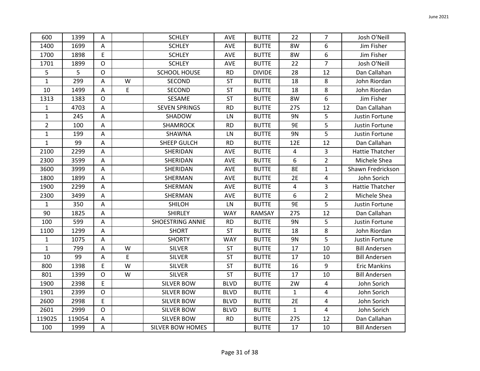| 600            | 1399   | Α              |             | <b>SCHLEY</b>           | <b>AVE</b>  | <b>BUTTE</b>  | 22           | $\overline{7}$ | Josh O'Neill           |
|----------------|--------|----------------|-------------|-------------------------|-------------|---------------|--------------|----------------|------------------------|
| 1400           | 1699   | A              |             | <b>SCHLEY</b>           | AVE         | <b>BUTTE</b>  | 8W           | 6              | Jim Fisher             |
| 1700           | 1898   | E              |             | <b>SCHLEY</b>           | AVE         | <b>BUTTE</b>  | 8W           | 6              | Jim Fisher             |
| 1701           | 1899   | $\mathsf{O}$   |             | <b>SCHLEY</b>           | AVE         | <b>BUTTE</b>  | 22           | $\overline{7}$ | Josh O'Neill           |
| 5              | 5      | $\mathsf O$    |             | <b>SCHOOL HOUSE</b>     | <b>RD</b>   | <b>DIVIDE</b> | 28           | 12             | Dan Callahan           |
| $\mathbf 1$    | 299    | $\mathsf{A}$   | W           | SECOND                  | ST          | <b>BUTTE</b>  | 18           | 8              | John Riordan           |
| 10             | 1499   | A              | E           | SECOND                  | <b>ST</b>   | <b>BUTTE</b>  | 18           | 8              | John Riordan           |
| 1313           | 1383   | $\mathsf{O}$   |             | SESAME                  | <b>ST</b>   | <b>BUTTE</b>  | 8W           | 6              | Jim Fisher             |
| $\mathbf{1}$   | 4703   | $\mathsf A$    |             | <b>SEVEN SPRINGS</b>    | <b>RD</b>   | <b>BUTTE</b>  | 27S          | 12             | Dan Callahan           |
| $\mathbf{1}$   | 245    | $\mathsf A$    |             | SHADOW                  | LN          | <b>BUTTE</b>  | 9N           | 5              | Justin Fortune         |
| $\overline{2}$ | 100    | A              |             | <b>SHAMROCK</b>         | <b>RD</b>   | <b>BUTTE</b>  | 9E           | 5              | Justin Fortune         |
| $\mathbf{1}$   | 199    | A              |             | SHAWNA                  | LN          | <b>BUTTE</b>  | 9N           | 5              | Justin Fortune         |
| $\mathbf{1}$   | 99     | A              |             | SHEEP GULCH             | <b>RD</b>   | <b>BUTTE</b>  | 12E          | 12             | Dan Callahan           |
| 2100           | 2299   | A              |             | SHERIDAN                | <b>AVE</b>  | <b>BUTTE</b>  | 4            | 3              | <b>Hattie Thatcher</b> |
| 2300           | 3599   | A              |             | SHERIDAN                | <b>AVE</b>  | <b>BUTTE</b>  | 6            | $\overline{2}$ | Michele Shea           |
| 3600           | 3999   | A              |             | SHERIDAN                | AVE         | <b>BUTTE</b>  | 8E           | $\mathbf{1}$   | Shawn Fredrickson      |
| 1800           | 1899   | Α              |             | SHERMAN                 | AVE         | <b>BUTTE</b>  | 2E           | 4              | John Sorich            |
| 1900           | 2299   | $\mathsf A$    |             | SHERMAN                 | AVE         | <b>BUTTE</b>  | 4            | 3              | <b>Hattie Thatcher</b> |
| 2300           | 3499   | $\overline{A}$ |             | SHERMAN                 | AVE         | <b>BUTTE</b>  | 6            | $\overline{2}$ | Michele Shea           |
| $\mathbf{1}$   | 350    | A              |             | <b>SHILOH</b>           | ${\sf LN}$  | <b>BUTTE</b>  | 9E           | 5              | Justin Fortune         |
| 90             | 1825   | A              |             | <b>SHIRLEY</b>          | <b>WAY</b>  | RAMSAY        | <b>27S</b>   | 12             | Dan Callahan           |
| 100            | 599    | $\mathsf A$    |             | <b>SHOESTRING ANNIE</b> | <b>RD</b>   | <b>BUTTE</b>  | 9N           | 5              | Justin Fortune         |
| 1100           | 1299   | A              |             | <b>SHORT</b>            | <b>ST</b>   | <b>BUTTE</b>  | 18           | 8              | John Riordan           |
| $\mathbf{1}$   | 1075   | A              |             | <b>SHORTY</b>           | <b>WAY</b>  | <b>BUTTE</b>  | 9N           | 5              | Justin Fortune         |
| $\mathbf{1}$   | 799    | A              | W           | <b>SILVER</b>           | <b>ST</b>   | <b>BUTTE</b>  | 17           | 10             | <b>Bill Andersen</b>   |
| 10             | 99     | A              | $\mathsf E$ | <b>SILVER</b>           | <b>ST</b>   | <b>BUTTE</b>  | 17           | 10             | <b>Bill Andersen</b>   |
| 800            | 1398   | E              | W           | <b>SILVER</b>           | ST          | <b>BUTTE</b>  | 16           | 9              | <b>Eric Mankins</b>    |
| 801            | 1399   | $\mathsf{O}$   | W           | <b>SILVER</b>           | <b>ST</b>   | <b>BUTTE</b>  | 17           | 10             | <b>Bill Andersen</b>   |
| 1900           | 2398   | E              |             | <b>SILVER BOW</b>       | <b>BLVD</b> | <b>BUTTE</b>  | 2W           | 4              | John Sorich            |
| 1901           | 2399   | $\mathsf{O}$   |             | <b>SILVER BOW</b>       | <b>BLVD</b> | <b>BUTTE</b>  | $\mathbf{1}$ | 4              | John Sorich            |
| 2600           | 2998   | E              |             | <b>SILVER BOW</b>       | <b>BLVD</b> | <b>BUTTE</b>  | 2E           | 4              | John Sorich            |
| 2601           | 2999   | $\mathsf{O}$   |             | <b>SILVER BOW</b>       | <b>BLVD</b> | <b>BUTTE</b>  | $\mathbf{1}$ | 4              | John Sorich            |
| 119025         | 119054 | A              |             | <b>SILVER BOW</b>       | <b>RD</b>   | <b>BUTTE</b>  | 27S          | 12             | Dan Callahan           |
| 100            | 1999   | $\mathsf A$    |             | <b>SILVER BOW HOMES</b> |             | <b>BUTTE</b>  | 17           | 10             | <b>Bill Andersen</b>   |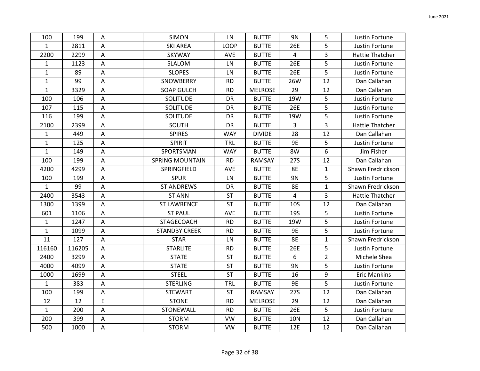| 100          | 199    | Α              | <b>SIMON</b>           | LN          | <b>BUTTE</b>   | 9N             | 5              | Justin Fortune         |
|--------------|--------|----------------|------------------------|-------------|----------------|----------------|----------------|------------------------|
| $\mathbf{1}$ | 2811   | A              | <b>SKI AREA</b>        | <b>LOOP</b> | <b>BUTTE</b>   | 26E            | 5              | Justin Fortune         |
| 2200         | 2299   | $\overline{A}$ | <b>SKYWAY</b>          | <b>AVE</b>  | <b>BUTTE</b>   | $\overline{4}$ | 3              | <b>Hattie Thatcher</b> |
| $\mathbf{1}$ | 1123   | Α              | SLALOM                 | LN          | <b>BUTTE</b>   | 26E            | 5              | Justin Fortune         |
| $\mathbf{1}$ | 89     | Α              | <b>SLOPES</b>          | LN          | <b>BUTTE</b>   | 26E            | 5              | Justin Fortune         |
| $\mathbf 1$  | 99     | $\mathsf{A}$   | SNOWBERRY              | <b>RD</b>   | <b>BUTTE</b>   | 26W            | 12             | Dan Callahan           |
| $\mathbf{1}$ | 3329   | A              | <b>SOAP GULCH</b>      | <b>RD</b>   | <b>MELROSE</b> | 29             | 12             | Dan Callahan           |
| 100          | 106    | A              | <b>SOLITUDE</b>        | DR          | <b>BUTTE</b>   | 19W            | 5              | Justin Fortune         |
| 107          | 115    | A              | <b>SOLITUDE</b>        | DR          | <b>BUTTE</b>   | 26E            | 5              | Justin Fortune         |
| 116          | 199    | A              | <b>SOLITUDE</b>        | DR          | <b>BUTTE</b>   | 19W            | 5              | Justin Fortune         |
| 2100         | 2399   | A              | SOUTH                  | DR          | <b>BUTTE</b>   | 3              | 3              | <b>Hattie Thatcher</b> |
| $\mathbf{1}$ | 449    | A              | <b>SPIRES</b>          | <b>WAY</b>  | <b>DIVIDE</b>  | 28             | 12             | Dan Callahan           |
| $\mathbf{1}$ | 125    | A              | <b>SPIRIT</b>          | TRL         | <b>BUTTE</b>   | <b>9E</b>      | 5              | Justin Fortune         |
| $\mathbf{1}$ | 149    | A              | SPORTSMAN              | <b>WAY</b>  | <b>BUTTE</b>   | 8W             | 6              | Jim Fisher             |
| 100          | 199    | A              | <b>SPRING MOUNTAIN</b> | <b>RD</b>   | RAMSAY         | 27S            | 12             | Dan Callahan           |
| 4200         | 4299   | $\mathsf{A}$   | SPRINGFIELD            | <b>AVE</b>  | <b>BUTTE</b>   | 8E             | $\mathbf{1}$   | Shawn Fredrickson      |
| 100          | 199    | Α              | <b>SPUR</b>            | LN          | <b>BUTTE</b>   | 9N             | 5              | Justin Fortune         |
| $\mathbf{1}$ | 99     | A              | <b>ST ANDREWS</b>      | DR          | <b>BUTTE</b>   | 8E             | $\mathbf{1}$   | Shawn Fredrickson      |
| 2400         | 3543   | $\overline{A}$ | <b>ST ANN</b>          | <b>ST</b>   | <b>BUTTE</b>   | 4              | 3              | Hattie Thatcher        |
| 1300         | 1399   | A              | <b>ST LAWRENCE</b>     | <b>ST</b>   | <b>BUTTE</b>   | <b>10S</b>     | 12             | Dan Callahan           |
| 601          | 1106   | A              | <b>ST PAUL</b>         | AVE         | <b>BUTTE</b>   | <b>19S</b>     | 5              | Justin Fortune         |
| $\mathbf{1}$ | 1247   | A              | <b>STAGECOACH</b>      | <b>RD</b>   | <b>BUTTE</b>   | 19W            | 5              | Justin Fortune         |
| $\mathbf{1}$ | 1099   | A              | <b>STANDBY CREEK</b>   | <b>RD</b>   | <b>BUTTE</b>   | <b>9E</b>      | 5              | Justin Fortune         |
| 11           | 127    | A              | <b>STAR</b>            | LN          | <b>BUTTE</b>   | <b>8E</b>      | $\mathbf{1}$   | Shawn Fredrickson      |
| 116160       | 116205 | A              | <b>STARLITE</b>        | <b>RD</b>   | <b>BUTTE</b>   | 26E            | 5              | Justin Fortune         |
| 2400         | 3299   | $\mathsf{A}$   | <b>STATE</b>           | <b>ST</b>   | <b>BUTTE</b>   | 6              | $\overline{2}$ | Michele Shea           |
| 4000         | 4099   | A              | <b>STATE</b>           | <b>ST</b>   | <b>BUTTE</b>   | 9N             | 5              | Justin Fortune         |
| 1000         | 1699   | A              | <b>STEEL</b>           | <b>ST</b>   | <b>BUTTE</b>   | 16             | 9              | <b>Eric Mankins</b>    |
| $\mathbf{1}$ | 383    | A              | <b>STERLING</b>        | TRL         | <b>BUTTE</b>   | <b>9E</b>      | 5              | Justin Fortune         |
| 100          | 199    | A              | <b>STEWART</b>         | <b>ST</b>   | RAMSAY         | 27S            | 12             | Dan Callahan           |
| 12           | 12     | E              | <b>STONE</b>           | <b>RD</b>   | <b>MELROSE</b> | 29             | 12             | Dan Callahan           |
| $\mathbf{1}$ | 200    | Α              | STONEWALL              | <b>RD</b>   | <b>BUTTE</b>   | 26E            | 5              | Justin Fortune         |
| 200          | 399    | Α              | <b>STORM</b>           | <b>VW</b>   | <b>BUTTE</b>   | <b>10N</b>     | 12             | Dan Callahan           |
| 500          | 1000   | $\mathsf A$    | <b>STORM</b>           | <b>VW</b>   | <b>BUTTE</b>   | 12E            | 12             | Dan Callahan           |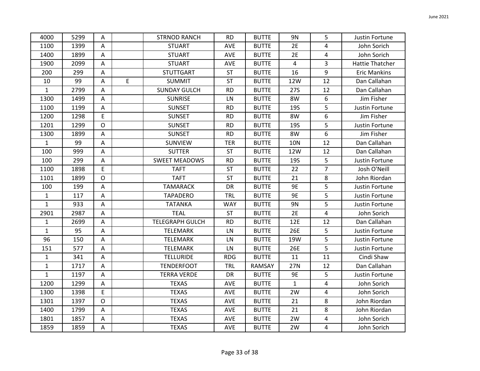| 4000         | 5299 | A              |   | <b>STRNOD RANCH</b>    | <b>RD</b>  | <b>BUTTE</b> | 9N           | 5              | Justin Fortune         |
|--------------|------|----------------|---|------------------------|------------|--------------|--------------|----------------|------------------------|
| 1100         | 1399 | A              |   | <b>STUART</b>          | AVE        | <b>BUTTE</b> | 2E           | 4              | John Sorich            |
| 1400         | 1899 | $\overline{A}$ |   | <b>STUART</b>          | <b>AVE</b> | <b>BUTTE</b> | 2E           | 4              | John Sorich            |
| 1900         | 2099 | A              |   | <b>STUART</b>          | AVE        | <b>BUTTE</b> | 4            | 3              | <b>Hattie Thatcher</b> |
| 200          | 299  | A              |   | <b>STUTTGART</b>       | <b>ST</b>  | <b>BUTTE</b> | 16           | 9              | <b>Eric Mankins</b>    |
| 10           | 99   | A              | E | <b>SUMMIT</b>          | ST         | <b>BUTTE</b> | 12W          | 12             | Dan Callahan           |
| $\mathbf 1$  | 2799 | $\mathsf{A}$   |   | <b>SUNDAY GULCH</b>    | <b>RD</b>  | <b>BUTTE</b> | <b>27S</b>   | 12             | Dan Callahan           |
| 1300         | 1499 | A              |   | <b>SUNRISE</b>         | LN         | <b>BUTTE</b> | 8W           | 6              | Jim Fisher             |
| 1100         | 1199 | A              |   | <b>SUNSET</b>          | <b>RD</b>  | <b>BUTTE</b> | <b>19S</b>   | 5              | Justin Fortune         |
| 1200         | 1298 | E              |   | <b>SUNSET</b>          | <b>RD</b>  | <b>BUTTE</b> | 8W           | 6              | Jim Fisher             |
| 1201         | 1299 | $\mathsf{O}$   |   | <b>SUNSET</b>          | <b>RD</b>  | <b>BUTTE</b> | <b>19S</b>   | 5              | Justin Fortune         |
| 1300         | 1899 | A              |   | <b>SUNSET</b>          | <b>RD</b>  | <b>BUTTE</b> | 8W           | 6              | Jim Fisher             |
| $\mathbf{1}$ | 99   | A              |   | SUNVIEW                | <b>TER</b> | <b>BUTTE</b> | <b>10N</b>   | 12             | Dan Callahan           |
| 100          | 999  | A              |   | <b>SUTTER</b>          | <b>ST</b>  | <b>BUTTE</b> | 12W          | 12             | Dan Callahan           |
| 100          | 299  | A              |   | <b>SWEET MEADOWS</b>   | <b>RD</b>  | <b>BUTTE</b> | <b>19S</b>   | 5              | Justin Fortune         |
| 1100         | 1898 | E              |   | <b>TAFT</b>            | <b>ST</b>  | <b>BUTTE</b> | 22           | $\overline{7}$ | Josh O'Neill           |
| 1101         | 1899 | $\mathsf{O}$   |   | <b>TAFT</b>            | <b>ST</b>  | <b>BUTTE</b> | 21           | 8              | John Riordan           |
| 100          | 199  | $\overline{A}$ |   | <b>TAMARACK</b>        | DR         | <b>BUTTE</b> | 9E           | 5              | Justin Fortune         |
| $\mathbf{1}$ | 117  | A              |   | <b>TAPADERO</b>        | <b>TRL</b> | <b>BUTTE</b> | <b>9E</b>    | 5              | Justin Fortune         |
| $\mathbf{1}$ | 933  | A              |   | <b>TATANKA</b>         | <b>WAY</b> | <b>BUTTE</b> | <b>9N</b>    | 5              | Justin Fortune         |
| 2901         | 2987 | A              |   | <b>TEAL</b>            | <b>ST</b>  | <b>BUTTE</b> | 2E           | 4              | John Sorich            |
| $\mathbf{1}$ | 2699 | A              |   | <b>TELEGRAPH GULCH</b> | <b>RD</b>  | <b>BUTTE</b> | 12E          | 12             | Dan Callahan           |
| $\mathbf{1}$ | 95   | A              |   | <b>TELEMARK</b>        | LN         | <b>BUTTE</b> | 26E          | 5              | Justin Fortune         |
| 96           | 150  | $\mathsf{A}$   |   | <b>TELEMARK</b>        | LN         | <b>BUTTE</b> | 19W          | 5              | Justin Fortune         |
| 151          | 577  | A              |   | TELEMARK               | LN         | <b>BUTTE</b> | 26E          | 5              | Justin Fortune         |
| $\mathbf 1$  | 341  | A              |   | <b>TELLURIDE</b>       | <b>RDG</b> | <b>BUTTE</b> | 11           | 11             | Cindi Shaw             |
| $\mathbf 1$  | 1717 | A              |   | <b>TENDERFOOT</b>      | <b>TRL</b> | RAMSAY       | 27N          | 12             | Dan Callahan           |
| $\mathbf{1}$ | 1197 | A              |   | <b>TERRA VERDE</b>     | DR         | <b>BUTTE</b> | <b>9E</b>    | 5              | Justin Fortune         |
| 1200         | 1299 | A              |   | <b>TEXAS</b>           | <b>AVE</b> | <b>BUTTE</b> | $\mathbf{1}$ | 4              | John Sorich            |
| 1300         | 1398 | E              |   | <b>TEXAS</b>           | AVE        | <b>BUTTE</b> | 2W           | 4              | John Sorich            |
| 1301         | 1397 | $\mathsf{O}$   |   | <b>TEXAS</b>           | AVE        | <b>BUTTE</b> | 21           | 8              | John Riordan           |
| 1400         | 1799 | A              |   | <b>TEXAS</b>           | <b>AVE</b> | <b>BUTTE</b> | 21           | 8              | John Riordan           |
| 1801         | 1857 | A              |   | <b>TEXAS</b>           | AVE        | <b>BUTTE</b> | 2W           | 4              | John Sorich            |
| 1859         | 1859 | A              |   | <b>TEXAS</b>           | AVE        | <b>BUTTE</b> | 2W           | 4              | John Sorich            |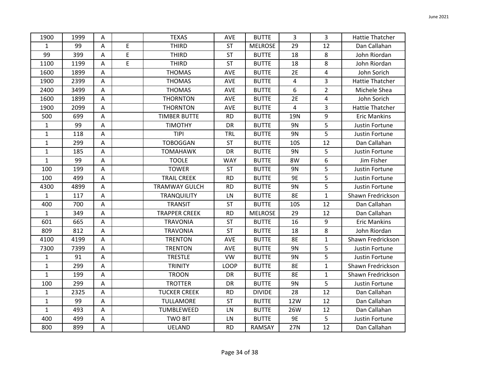| 1900         | 1999 | Α                         |             | <b>TEXAS</b>         | <b>AVE</b> | <b>BUTTE</b>   | 3              | 3              | <b>Hattie Thatcher</b> |
|--------------|------|---------------------------|-------------|----------------------|------------|----------------|----------------|----------------|------------------------|
| $\mathbf{1}$ | 99   | A                         | E           | <b>THIRD</b>         | <b>ST</b>  | <b>MELROSE</b> | 29             | 12             | Dan Callahan           |
| 99           | 399  | Α                         | $\mathsf E$ | <b>THIRD</b>         | ST         | <b>BUTTE</b>   | 18             | 8              | John Riordan           |
| 1100         | 1199 | Α                         | E           | <b>THIRD</b>         | <b>ST</b>  | <b>BUTTE</b>   | 18             | 8              | John Riordan           |
| 1600         | 1899 | Α                         |             | <b>THOMAS</b>        | AVE        | <b>BUTTE</b>   | 2E             | 4              | John Sorich            |
| 1900         | 2399 | Α                         |             | <b>THOMAS</b>        | <b>AVE</b> | <b>BUTTE</b>   | 4              | 3              | <b>Hattie Thatcher</b> |
| 2400         | 3499 | $\mathsf A$               |             | <b>THOMAS</b>        | AVE        | <b>BUTTE</b>   | 6              | $\overline{2}$ | Michele Shea           |
| 1600         | 1899 | $\boldsymbol{\mathsf{A}}$ |             | <b>THORNTON</b>      | AVE        | <b>BUTTE</b>   | 2E             | 4              | John Sorich            |
| 1900         | 2099 | А                         |             | <b>THORNTON</b>      | AVE        | <b>BUTTE</b>   | $\overline{4}$ | 3              | Hattie Thatcher        |
| 500          | 699  | $\mathsf A$               |             | <b>TIMBER BUTTE</b>  | <b>RD</b>  | <b>BUTTE</b>   | <b>19N</b>     | 9              | <b>Eric Mankins</b>    |
| $\mathbf{1}$ | 99   | Α                         |             | <b>TIMOTHY</b>       | DR         | <b>BUTTE</b>   | 9N             | 5              | Justin Fortune         |
| 1            | 118  | Α                         |             | <b>TIPI</b>          | <b>TRL</b> | <b>BUTTE</b>   | <b>9N</b>      | 5              | Justin Fortune         |
| 1            | 299  | Α                         |             | <b>TOBOGGAN</b>      | <b>ST</b>  | <b>BUTTE</b>   | <b>10S</b>     | 12             | Dan Callahan           |
| $\mathbf{1}$ | 185  | Α                         |             | <b>TOMAHAWK</b>      | DR         | <b>BUTTE</b>   | <b>9N</b>      | 5              | Justin Fortune         |
| $\mathbf{1}$ | 99   | А                         |             | <b>TOOLE</b>         | <b>WAY</b> | <b>BUTTE</b>   | 8W             | 6              | Jim Fisher             |
| 100          | 199  | Α                         |             | <b>TOWER</b>         | <b>ST</b>  | <b>BUTTE</b>   | 9N             | 5              | Justin Fortune         |
| 100          | 499  | Α                         |             | <b>TRAIL CREEK</b>   | <b>RD</b>  | <b>BUTTE</b>   | <b>9E</b>      | 5              | Justin Fortune         |
| 4300         | 4899 | A                         |             | <b>TRAMWAY GULCH</b> | <b>RD</b>  | <b>BUTTE</b>   | <b>9N</b>      | 5              | Justin Fortune         |
| $\mathbf{1}$ | 117  | A                         |             | <b>TRANQUILITY</b>   | LN         | <b>BUTTE</b>   | <b>8E</b>      | $\mathbf{1}$   | Shawn Fredrickson      |
| 400          | 700  | Α                         |             | <b>TRANSIT</b>       | <b>ST</b>  | <b>BUTTE</b>   | <b>10S</b>     | 12             | Dan Callahan           |
| $\mathbf{1}$ | 349  | Α                         |             | <b>TRAPPER CREEK</b> | <b>RD</b>  | <b>MELROSE</b> | 29             | 12             | Dan Callahan           |
| 601          | 665  | Α                         |             | <b>TRAVONIA</b>      | <b>ST</b>  | <b>BUTTE</b>   | 16             | 9              | <b>Eric Mankins</b>    |
| 809          | 812  | А                         |             | <b>TRAVONIA</b>      | <b>ST</b>  | <b>BUTTE</b>   | 18             | 8              | John Riordan           |
| 4100         | 4199 | $\mathsf A$               |             | <b>TRENTON</b>       | AVE        | <b>BUTTE</b>   | <b>8E</b>      | $\mathbf{1}$   | Shawn Fredrickson      |
| 7300         | 7399 | Α                         |             | <b>TRENTON</b>       | AVE        | <b>BUTTE</b>   | 9N             | 5              | Justin Fortune         |
| $\mathbf{1}$ | 91   | Α                         |             | <b>TRESTLE</b>       | <b>VW</b>  | <b>BUTTE</b>   | 9N             | 5              | Justin Fortune         |
| $\mathbf{1}$ | 299  | Α                         |             | <b>TRINITY</b>       | LOOP       | <b>BUTTE</b>   | <b>8E</b>      | $\mathbf{1}$   | Shawn Fredrickson      |
| $\mathbf{1}$ | 199  | Α                         |             | <b>TROON</b>         | <b>DR</b>  | <b>BUTTE</b>   | <b>8E</b>      | $\mathbf{1}$   | Shawn Fredrickson      |
| 100          | 299  | A                         |             | <b>TROTTER</b>       | <b>DR</b>  | <b>BUTTE</b>   | 9N             | 5              | Justin Fortune         |
| 1            | 2325 | А                         |             | <b>TUCKER CREEK</b>  | <b>RD</b>  | <b>DIVIDE</b>  | 28             | 12             | Dan Callahan           |
| $\mathbf{1}$ | 99   | Α                         |             | TULLAMORE            | <b>ST</b>  | <b>BUTTE</b>   | 12W            | 12             | Dan Callahan           |
| $\mathbf{1}$ | 493  | Α                         |             | TUMBLEWEED           | LN         | <b>BUTTE</b>   | 26W            | 12             | Dan Callahan           |
| 400          | 499  | А                         |             | <b>TWO BIT</b>       | LN         | <b>BUTTE</b>   | <b>9E</b>      | 5              | Justin Fortune         |
| 800          | 899  | A                         |             | <b>UELAND</b>        | <b>RD</b>  | RAMSAY         | 27N            | 12             | Dan Callahan           |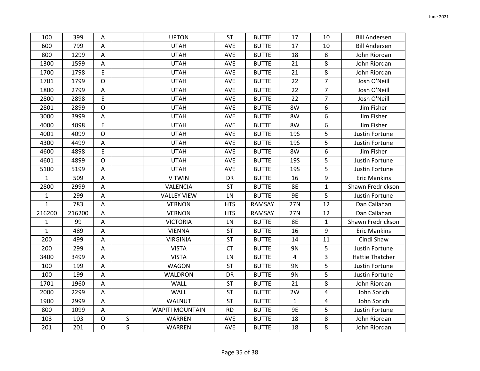| 100          | 399    | Α              |              | <b>UPTON</b>           | <b>ST</b>  | <b>BUTTE</b> | 17           | 10             | <b>Bill Andersen</b>   |
|--------------|--------|----------------|--------------|------------------------|------------|--------------|--------------|----------------|------------------------|
| 600          | 799    | A              |              | <b>UTAH</b>            | <b>AVE</b> | <b>BUTTE</b> | 17           | 10             | <b>Bill Andersen</b>   |
| 800          | 1299   | A              |              | <b>UTAH</b>            | AVE        | <b>BUTTE</b> | 18           | 8              | John Riordan           |
| 1300         | 1599   | Α              |              | <b>UTAH</b>            | AVE        | <b>BUTTE</b> | 21           | 8              | John Riordan           |
| 1700         | 1798   | E              |              | <b>UTAH</b>            | AVE        | <b>BUTTE</b> | 21           | 8              | John Riordan           |
| 1701         | 1799   | $\mathsf{O}$   |              | <b>UTAH</b>            | <b>AVE</b> | <b>BUTTE</b> | 22           | $\overline{7}$ | Josh O'Neill           |
| 1800         | 2799   | A              |              | <b>UTAH</b>            | AVE        | <b>BUTTE</b> | 22           | $\overline{7}$ | Josh O'Neill           |
| 2800         | 2898   | E              |              | <b>UTAH</b>            | AVE        | <b>BUTTE</b> | 22           | $\overline{7}$ | Josh O'Neill           |
| 2801         | 2899   | $\mathsf{O}$   |              | <b>UTAH</b>            | AVE        | <b>BUTTE</b> | 8W           | 6              | Jim Fisher             |
| 3000         | 3999   | $\mathsf A$    |              | <b>UTAH</b>            | AVE        | <b>BUTTE</b> | 8W           | 6              | Jim Fisher             |
| 4000         | 4098   | E              |              | <b>UTAH</b>            | AVE        | <b>BUTTE</b> | 8W           | 6              | Jim Fisher             |
| 4001         | 4099   | $\mathsf{O}$   |              | <b>UTAH</b>            | AVE        | <b>BUTTE</b> | <b>19S</b>   | 5              | Justin Fortune         |
| 4300         | 4499   | A              |              | <b>UTAH</b>            | AVE        | <b>BUTTE</b> | <b>19S</b>   | 5              | Justin Fortune         |
| 4600         | 4898   | E              |              | <b>UTAH</b>            | <b>AVE</b> | <b>BUTTE</b> | 8W           | 6              | Jim Fisher             |
| 4601         | 4899   | $\circ$        |              | <b>UTAH</b>            | AVE        | <b>BUTTE</b> | <b>19S</b>   | 5              | Justin Fortune         |
| 5100         | 5199   | A              |              | <b>UTAH</b>            | AVE        | <b>BUTTE</b> | <b>19S</b>   | 5              | Justin Fortune         |
| $\mathbf{1}$ | 509    | Α              |              | V TWIN                 | DR         | <b>BUTTE</b> | 16           | 9              | <b>Eric Mankins</b>    |
| 2800         | 2999   | $\mathsf A$    |              | VALENCIA               | <b>ST</b>  | <b>BUTTE</b> | 8E           | $\mathbf{1}$   | Shawn Fredrickson      |
| $\mathbf{1}$ | 299    | A              |              | <b>VALLEY VIEW</b>     | LN         | <b>BUTTE</b> | 9E           | 5              | Justin Fortune         |
| $\mathbf{1}$ | 783    | A              |              | <b>VERNON</b>          | <b>HTS</b> | RAMSAY       | 27N          | 12             | Dan Callahan           |
| 216200       | 216200 | A              |              | <b>VERNON</b>          | <b>HTS</b> | RAMSAY       | 27N          | 12             | Dan Callahan           |
| $\mathbf{1}$ | 99     | $\mathsf A$    |              | <b>VICTORIA</b>        | LN         | <b>BUTTE</b> | <b>8E</b>    | $\mathbf{1}$   | Shawn Fredrickson      |
| $\mathbf{1}$ | 489    | A              |              | <b>VIENNA</b>          | <b>ST</b>  | <b>BUTTE</b> | 16           | 9              | <b>Eric Mankins</b>    |
| 200          | 499    | A              |              | <b>VIRGINIA</b>        | ST         | <b>BUTTE</b> | 14           | 11             | Cindi Shaw             |
| 200          | 299    | A              |              | <b>VISTA</b>           | <b>CT</b>  | <b>BUTTE</b> | 9N           | 5              | Justin Fortune         |
| 3400         | 3499   | A              |              | <b>VISTA</b>           | LN         | <b>BUTTE</b> | 4            | 3              | <b>Hattie Thatcher</b> |
| 100          | 199    | Α              |              | <b>WAGON</b>           | ST         | <b>BUTTE</b> | 9N           | 5              | Justin Fortune         |
| 100          | 199    | A              |              | WALDRON                | DR         | <b>BUTTE</b> | 9N           | 5              | Justin Fortune         |
| 1701         | 1960   | A              |              | WALL                   | <b>ST</b>  | <b>BUTTE</b> | 21           | 8              | John Riordan           |
| 2000         | 2299   | A              |              | <b>WALL</b>            | <b>ST</b>  | <b>BUTTE</b> | 2W           | 4              | John Sorich            |
| 1900         | 2999   | $\mathsf A$    |              | <b>WALNUT</b>          | ST         | <b>BUTTE</b> | $\mathbf{1}$ | 4              | John Sorich            |
| 800          | 1099   | A              |              | <b>WAPITI MOUNTAIN</b> | <b>RD</b>  | <b>BUTTE</b> | 9E           | 5              | Justin Fortune         |
| 103          | 103    | $\circ$        | S            | WARREN                 | AVE        | <b>BUTTE</b> | 18           | 8              | John Riordan           |
| 201          | 201    | $\overline{O}$ | $\mathsf{S}$ | WARREN                 | AVE        | <b>BUTTE</b> | 18           | 8              | John Riordan           |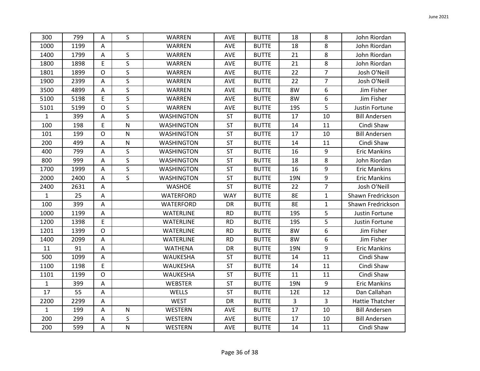| 300          | 799  | A              | S            | WARREN            | <b>AVE</b> | <b>BUTTE</b> | 18           | 8              | John Riordan           |
|--------------|------|----------------|--------------|-------------------|------------|--------------|--------------|----------------|------------------------|
| 1000         | 1199 | A              |              | WARREN            | AVE        | <b>BUTTE</b> | 18           | 8              | John Riordan           |
| 1400         | 1799 | $\mathsf{A}$   | S            | WARREN            | AVE        | <b>BUTTE</b> | 21           | 8              | John Riordan           |
| 1800         | 1898 | E              | $\mathsf{S}$ | WARREN            | AVE        | <b>BUTTE</b> | 21           | 8              | John Riordan           |
| 1801         | 1899 | $\circ$        | $\mathsf S$  | WARREN            | <b>AVE</b> | <b>BUTTE</b> | 22           | $\overline{7}$ | Josh O'Neill           |
| 1900         | 2399 | $\mathsf{A}$   | $\mathsf{S}$ | WARREN            | AVE        | <b>BUTTE</b> | 22           | $\overline{7}$ | Josh O'Neill           |
| 3500         | 4899 | A              | S            | WARREN            | AVE        | <b>BUTTE</b> | 8W           | 6              | Jim Fisher             |
| 5100         | 5198 | E              | $\sf S$      | WARREN            | AVE        | <b>BUTTE</b> | 8W           | 6              | Jim Fisher             |
| 5101         | 5199 | $\mathsf{O}$   | S            | WARREN            | AVE        | <b>BUTTE</b> | <b>19S</b>   | 5              | Justin Fortune         |
| $\mathbf{1}$ | 399  | A              | $\mathsf{S}$ | <b>WASHINGTON</b> | <b>ST</b>  | <b>BUTTE</b> | 17           | 10             | <b>Bill Andersen</b>   |
| 100          | 198  | E              | $\mathsf{N}$ | <b>WASHINGTON</b> | <b>ST</b>  | <b>BUTTE</b> | 14           | 11             | Cindi Shaw             |
| 101          | 199  | $\mathsf O$    | ${\sf N}$    | <b>WASHINGTON</b> | <b>ST</b>  | <b>BUTTE</b> | 17           | 10             | <b>Bill Andersen</b>   |
| 200          | 499  | $\mathsf{A}$   | ${\sf N}$    | <b>WASHINGTON</b> | <b>ST</b>  | <b>BUTTE</b> | 14           | 11             | Cindi Shaw             |
| 400          | 799  | A              | $\sf S$      | <b>WASHINGTON</b> | <b>ST</b>  | <b>BUTTE</b> | 16           | 9              | <b>Eric Mankins</b>    |
| 800          | 999  | A              | $\mathsf{S}$ | <b>WASHINGTON</b> | ST         | <b>BUTTE</b> | 18           | 8              | John Riordan           |
| 1700         | 1999 | A              | $\mathsf{S}$ | <b>WASHINGTON</b> | <b>ST</b>  | <b>BUTTE</b> | 16           | 9              | <b>Eric Mankins</b>    |
| 2000         | 2400 | Α              | S            | <b>WASHINGTON</b> | <b>ST</b>  | <b>BUTTE</b> | 19N          | 9              | <b>Eric Mankins</b>    |
| 2400         | 2631 | Α              |              | <b>WASHOE</b>     | <b>ST</b>  | <b>BUTTE</b> | 22           | $\overline{7}$ | Josh O'Neill           |
| $\mathbf{1}$ | 25   | $\overline{A}$ |              | WATERFORD         | <b>WAY</b> | <b>BUTTE</b> | 8E           | $\mathbf{1}$   | Shawn Fredrickson      |
| 100          | 399  | A              |              | WATERFORD         | DR         | <b>BUTTE</b> | <b>8E</b>    | $\mathbf{1}$   | Shawn Fredrickson      |
| 1000         | 1199 | A              |              | <b>WATERLINE</b>  | <b>RD</b>  | <b>BUTTE</b> | <b>19S</b>   | 5              | Justin Fortune         |
| 1200         | 1398 | E              |              | <b>WATERLINE</b>  | <b>RD</b>  | <b>BUTTE</b> | <b>19S</b>   | 5              | Justin Fortune         |
| 1201         | 1399 | $\mathsf O$    |              | WATERLINE         | <b>RD</b>  | <b>BUTTE</b> | 8W           | 6              | Jim Fisher             |
| 1400         | 2099 | A              |              | <b>WATERLINE</b>  | <b>RD</b>  | <b>BUTTE</b> | 8W           | 6              | Jim Fisher             |
| 11           | 91   | Α              |              | <b>WATHENA</b>    | DR         | <b>BUTTE</b> | <b>19N</b>   | 9              | <b>Eric Mankins</b>    |
| 500          | 1099 | A              |              | WAUKESHA          | <b>ST</b>  | <b>BUTTE</b> | 14           | 11             | Cindi Shaw             |
| 1100         | 1198 | E              |              | WAUKESHA          | <b>ST</b>  | <b>BUTTE</b> | 14           | 11             | Cindi Shaw             |
| 1101         | 1199 | $\mathsf{O}$   |              | WAUKESHA          | ST         | <b>BUTTE</b> | 11           | 11             | Cindi Shaw             |
| $\mathbf{1}$ | 399  | A              |              | <b>WEBSTER</b>    | <b>ST</b>  | <b>BUTTE</b> | 19N          | 9              | <b>Eric Mankins</b>    |
| 17           | 55   | A              |              | WELLS             | <b>ST</b>  | <b>BUTTE</b> | 12E          | 12             | Dan Callahan           |
| 2200         | 2299 | $\mathsf A$    |              | <b>WEST</b>       | DR         | <b>BUTTE</b> | $\mathsf{3}$ | 3              | <b>Hattie Thatcher</b> |
| $\mathbf{1}$ | 199  | A              | $\mathsf{N}$ | <b>WESTERN</b>    | AVE        | <b>BUTTE</b> | 17           | 10             | <b>Bill Andersen</b>   |
| 200          | 299  | Α              | $\sf S$      | WESTERN           | AVE        | <b>BUTTE</b> | 17           | 10             | <b>Bill Andersen</b>   |
| 200          | 599  | $\mathsf A$    | N            | <b>WESTERN</b>    | AVE        | <b>BUTTE</b> | 14           | 11             | Cindi Shaw             |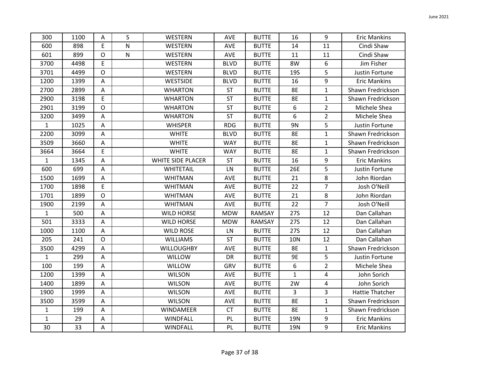| 300          | 1100 | Α            | S         | WESTERN                  | <b>AVE</b>  | <b>BUTTE</b>  | 16           | 9              | <b>Eric Mankins</b>    |
|--------------|------|--------------|-----------|--------------------------|-------------|---------------|--------------|----------------|------------------------|
| 600          | 898  | E            | N         | WESTERN                  | AVE         | <b>BUTTE</b>  | 14           | 11             | Cindi Shaw             |
| 601          | 899  | $\mathsf O$  | ${\sf N}$ | WESTERN                  | <b>AVE</b>  | <b>BUTTE</b>  | 11           | 11             | Cindi Shaw             |
| 3700         | 4498 | $\mathsf E$  |           | WESTERN                  | <b>BLVD</b> | <b>BUTTE</b>  | 8W           | 6              | Jim Fisher             |
| 3701         | 4499 | $\circ$      |           | WESTERN                  | <b>BLVD</b> | <b>BUTTE</b>  | <b>19S</b>   | 5              | Justin Fortune         |
| 1200         | 1399 | A            |           | WESTSIDE                 | <b>BLVD</b> | <b>BUTTE</b>  | 16           | 9              | <b>Eric Mankins</b>    |
| 2700         | 2899 | $\mathsf A$  |           | <b>WHARTON</b>           | ST          | <b>BUTTE</b>  | <b>8E</b>    | $\mathbf{1}$   | Shawn Fredrickson      |
| 2900         | 3198 | $\mathsf E$  |           | <b>WHARTON</b>           | <b>ST</b>   | <b>BUTTE</b>  | <b>8E</b>    | $\mathbf{1}$   | Shawn Fredrickson      |
| 2901         | 3199 | $\circ$      |           | <b>WHARTON</b>           | <b>ST</b>   | <b>BUTTE</b>  | 6            | $\overline{2}$ | Michele Shea           |
| 3200         | 3499 | Α            |           | <b>WHARTON</b>           | <b>ST</b>   | <b>BUTTE</b>  | 6            | $\overline{2}$ | Michele Shea           |
| $\mathbf{1}$ | 1025 | A            |           | <b>WHISPER</b>           | <b>RDG</b>  | <b>BUTTE</b>  | 9N           | 5              | Justin Fortune         |
| 2200         | 3099 | A            |           | <b>WHITE</b>             | <b>BLVD</b> | <b>BUTTE</b>  | <b>8E</b>    | $\mathbf{1}$   | Shawn Fredrickson      |
| 3509         | 3660 | A            |           | <b>WHITE</b>             | <b>WAY</b>  | <b>BUTTE</b>  | <b>8E</b>    | 1              | Shawn Fredrickson      |
| 3664         | 3664 | E            |           | <b>WHITE</b>             | <b>WAY</b>  | <b>BUTTE</b>  | <b>8E</b>    | $\mathbf{1}$   | Shawn Fredrickson      |
| $\mathbf{1}$ | 1345 | A            |           | <b>WHITE SIDE PLACER</b> | <b>ST</b>   | <b>BUTTE</b>  | 16           | 9              | <b>Eric Mankins</b>    |
| 600          | 699  | А            |           | WHITETAIL                | LN          | <b>BUTTE</b>  | 26E          | 5              | Justin Fortune         |
| 1500         | 1699 | Α            |           | <b>WHITMAN</b>           | <b>AVE</b>  | <b>BUTTE</b>  | 21           | 8              | John Riordan           |
| 1700         | 1898 | $\mathsf E$  |           | <b>WHITMAN</b>           | AVE         | <b>BUTTE</b>  | 22           | $\overline{7}$ | Josh O'Neill           |
| 1701         | 1899 | $\mathsf O$  |           | WHITMAN                  | AVE         | <b>BUTTE</b>  | 21           | 8              | John Riordan           |
| 1900         | 2199 | А            |           | WHITMAN                  | AVE         | <b>BUTTE</b>  | 22           | $\overline{7}$ | Josh O'Neill           |
| $\mathbf{1}$ | 500  | A            |           | <b>WILD HORSE</b>        | <b>MDW</b>  | <b>RAMSAY</b> | <b>27S</b>   | 12             | Dan Callahan           |
| 501          | 3333 | Α            |           | <b>WILD HORSE</b>        | <b>MDW</b>  | <b>RAMSAY</b> | <b>27S</b>   | 12             | Dan Callahan           |
| 1000         | 1100 | A            |           | <b>WILD ROSE</b>         | LN          | <b>BUTTE</b>  | <b>27S</b>   | 12             | Dan Callahan           |
| 205          | 241  | $\mathsf{O}$ |           | <b>WILLIAMS</b>          | <b>ST</b>   | <b>BUTTE</b>  | <b>10N</b>   | 12             | Dan Callahan           |
| 3500         | 4299 | Α            |           | <b>WILLOUGHBY</b>        | AVE         | <b>BUTTE</b>  | <b>8E</b>    | 1              | Shawn Fredrickson      |
| $\mathbf{1}$ | 299  | Α            |           | WILLOW                   | DR          | <b>BUTTE</b>  | 9E           | 5              | Justin Fortune         |
| 100          | 199  | Α            |           | WILLOW                   | GRV         | <b>BUTTE</b>  | 6            | $\overline{2}$ | Michele Shea           |
| 1200         | 1399 | A            |           | <b>WILSON</b>            | AVE         | <b>BUTTE</b>  | $\mathbf{1}$ | 4              | John Sorich            |
| 1400         | 1899 | A            |           | <b>WILSON</b>            | AVE         | <b>BUTTE</b>  | 2W           | 4              | John Sorich            |
| 1900         | 1999 | Α            |           | <b>WILSON</b>            | AVE         | <b>BUTTE</b>  | 3            | 3              | <b>Hattie Thatcher</b> |
| 3500         | 3599 | A            |           | <b>WILSON</b>            | AVE         | <b>BUTTE</b>  | <b>8E</b>    | $\mathbf{1}$   | Shawn Fredrickson      |
| $\mathbf{1}$ | 199  | Α            |           | <b>WINDAMEER</b>         | <b>CT</b>   | <b>BUTTE</b>  | <b>8E</b>    | 1              | Shawn Fredrickson      |
| $\mathbf{1}$ | 29   | Α            |           | <b>WINDFALL</b>          | PL.         | <b>BUTTE</b>  | 19N          | 9              | <b>Eric Mankins</b>    |
| 30           | 33   | $\mathsf A$  |           | <b>WINDFALL</b>          | PL          | <b>BUTTE</b>  | <b>19N</b>   | 9              | <b>Eric Mankins</b>    |